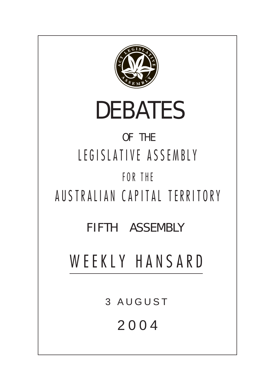

# DEBATES

### OF THE LEGISLATIVE ASSEMBLY FOR THE

## AUSTRALIAN CAPITAL TERRITORY

### FIFTH ASSEMBLY

## WEEKLY HANSARD

3 AUGUST

2004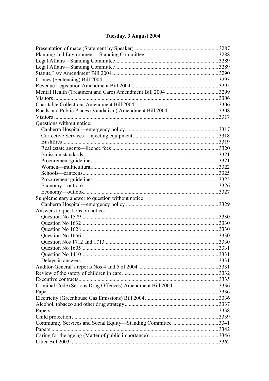#### Tuesday, 3 August 2004

| Questions without notice:                        |  |
|--------------------------------------------------|--|
|                                                  |  |
|                                                  |  |
|                                                  |  |
|                                                  |  |
|                                                  |  |
|                                                  |  |
|                                                  |  |
|                                                  |  |
|                                                  |  |
|                                                  |  |
|                                                  |  |
| Supplementary answer to question without notice: |  |
|                                                  |  |
| Answers to questions on notice:                  |  |
|                                                  |  |
|                                                  |  |
|                                                  |  |
|                                                  |  |
|                                                  |  |
|                                                  |  |
|                                                  |  |
|                                                  |  |
|                                                  |  |
|                                                  |  |
|                                                  |  |
|                                                  |  |
|                                                  |  |
|                                                  |  |
|                                                  |  |
|                                                  |  |
|                                                  |  |
|                                                  |  |
|                                                  |  |
|                                                  |  |
|                                                  |  |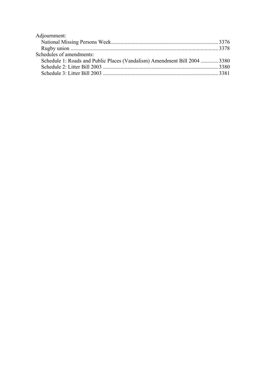| Adjournment:                                                              |  |
|---------------------------------------------------------------------------|--|
|                                                                           |  |
|                                                                           |  |
| Schedules of amendments:                                                  |  |
| Schedule 1: Roads and Public Places (Vandalism) Amendment Bill 2004  3380 |  |
|                                                                           |  |
|                                                                           |  |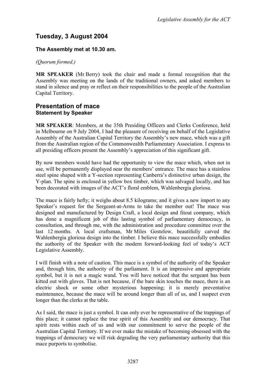#### **Tuesday, 3 August 2004**

#### **The Assembly met at 10.30 am.**

#### *(Quorum formed.)*

**MR SPEAKER** (Mr Berry) took the chair and made a formal recognition that the Assembly was meeting on the lands of the traditional owners, and asked members to stand in silence and pray or reflect on their responsibilities to the people of the Australian Capital Territory.

#### <span id="page-3-0"></span>**Presentation of mace Statement by Speaker**

**MR SPEAKER**: Members, at the 35th Presiding Officers and Clerks Conference, held in Melbourne on 9 July 2004, I had the pleasure of receiving on behalf of the Legislative Assembly of the Australian Capital Territory the Assembly's new mace, which was a gift from the Australian region of the Commonwealth Parliamentary Association. I express to all presiding officers present the Assembly's appreciation of this significant gift.

By now members would have had the opportunity to view the mace which, when not in use, will be permanently displayed near the members' entrance. The mace has a stainless steel spine shaped with a Y-section representing Canberra's distinctive urban design, the Y-plan. The spine is enclosed in yellow box timber, which was salvaged locally, and has been decorated with images of the ACT's floral emblem, Wahlenbergia gloriosa.

The mace is fairly hefty; it weighs about 8.5 kilograms; and it gives a new import to any Speaker's request for the Sergeant-at-Arms to take the member out! The mace was designed and manufactured by Design Craft, a local design and fitout company, which has done a magnificent job of this lasting symbol of parliamentary democracy, in consultation, and through me, with the administration and procedure committee over the last 12 months. A local craftsman, Mr Miles Gostelow, beautifully carved the Wahlenbergia gloriosa design into the timber. I believe this mace successfully embodies the authority of the Speaker with the modern forward-looking feel of today's ACT Legislative Assembly.

I will finish with a note of caution. This mace is a symbol of the authority of the Speaker and, through him, the authority of the parliament. It is an impressive and appropriate symbol, but it is not a magic wand. You will have noticed that the sergeant has been kitted out with gloves. That is not because, if the bare skin touches the mace, there is an electric shock or some other mysterious happening; it is merely preventative maintenance, because the mace will be around longer than all of us, and I suspect even longer than the clerks at the table.

As I said, the mace is just a symbol. It can only ever be representative of the trappings of this place; it cannot replace the true spirit of this Assembly and our democracy. That spirit rests within each of us and with our commitment to serve the people of the Australian Capital Territory. If we ever make the mistake of becoming obsessed with the trappings of democracy we will risk degrading the very parliamentary authority that this mace purports to symbolise.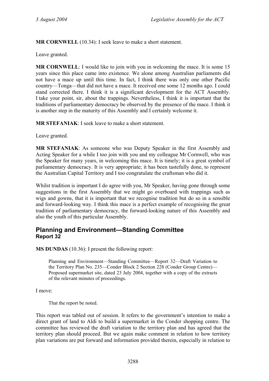**MR CORNWELL** (10.34): I seek leave to make a short statement.

Leave granted.

**MR CORNWELL**: I would like to join with you in welcoming the mace. It is some 15 years since this place came into existence. We alone among Australian parliaments did not have a mace up until this time. In fact, I think there was only one other Pacific country—Tonga—that did not have a mace. It received one some 12 months ago. I could stand corrected there. I think it is a significant development for the ACT Assembly. I take your point, sir, about the trappings. Nevertheless, I think it is important that the traditions of parliamentary democracy be observed by the presence of the mace. I think it is another step in the maturity of this Assembly and I certainly welcome it.

**MR STEFANIAK**: I seek leave to make a short statement.

Leave granted.

**MR STEFANIAK**: As someone who was Deputy Speaker in the first Assembly and Acting Speaker for a while I too join with you and my colleague Mr Cornwell, who was the Speaker for many years, in welcoming this mace. It is timely; it is a great symbol of parliamentary democracy. It is very appropriate; it has been tastefully done, to represent the Australian Capital Territory and I too congratulate the craftsman who did it.

Whilst tradition is important I do agree with you, Mr Speaker, having gone through some suggestions in the first Assembly that we might go overboard with trappings such as wigs and gowns, that it is important that we recognise tradition but do so in a sensible and forward-looking way. I think this mace is a perfect example of recognising the great tradition of parliamentary democracy, the forward-looking nature of this Assembly and also the youth of this particular Assembly.

#### <span id="page-4-0"></span>**Planning and Environment—Standing Committee Report 32**

**MS DUNDAS** (10.36): I present the following report:

Planning and Environment—Standing Committee—Report 32—Draft Variation to the Territory Plan No. 235—Conder Block 2 Section 228 (Conder Group Centre)— Proposed supermarket site, dated 23 July 2004, together with a copy of the extracts of the relevant minutes of proceedings.

I move:

That the report be noted.

This report was tabled out of session. It refers to the government's intention to make a direct grant of land to Aldi to build a supermarket in the Conder shopping centre. The committee has reviewed the draft variation to the territory plan and has agreed that the territory plan should proceed. But we again make comment in relation to how territory plan variations are put forward and information provided therein, especially in relation to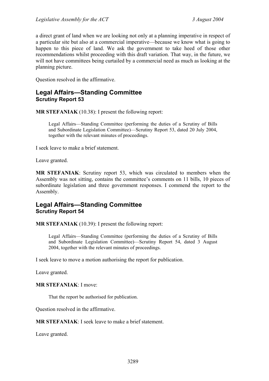a direct grant of land when we are looking not only at a planning imperative in respect of a particular site but also at a commercial imperative—because we know what is going to happen to this piece of land. We ask the government to take heed of those other recommendations whilst proceeding with this draft variation. That way, in the future, we will not have committees being curtailed by a commercial need as much as looking at the planning picture.

Question resolved in the affirmative.

#### <span id="page-5-0"></span>**Legal Affairs—Standing Committee Scrutiny Report 53**

**MR STEFANIAK** (10.38): I present the following report:

Legal Affairs—Standing Committee (performing the duties of a Scrutiny of Bills and Subordinate Legislation Committee)—Scrutiny Report 53, dated 20 July 2004, together with the relevant minutes of proceedings.

I seek leave to make a brief statement.

Leave granted.

**MR STEFANIAK**: Scrutiny report 53, which was circulated to members when the Assembly was not sitting, contains the committee's comments on 11 bills, 10 pieces of subordinate legislation and three government responses. I commend the report to the Assembly.

#### <span id="page-5-1"></span>**Legal Affairs—Standing Committee Scrutiny Report 54**

**MR STEFANIAK** (10.39): I present the following report:

Legal Affairs—Standing Committee (performing the duties of a Scrutiny of Bills and Subordinate Legislation Committee)—Scrutiny Report 54, dated 3 August 2004, together with the relevant minutes of proceedings.

I seek leave to move a motion authorising the report for publication.

Leave granted.

**MR STEFANIAK**: I move:

That the report be authorised for publication.

Question resolved in the affirmative.

**MR STEFANIAK**: I seek leave to make a brief statement.

Leave granted.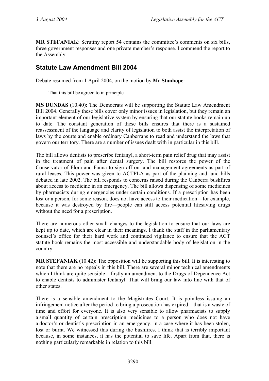**MR STEFANIAK**: Scrutiny report 54 contains the committee's comments on six bills, three government responses and one private member's response. I commend the report to the Assembly.

#### <span id="page-6-0"></span>**Statute Law Amendment Bill 2004**

Debate resumed from 1 April 2004, on the motion by **Mr Stanhope**:

That this bill be agreed to in principle.

**MS DUNDAS** (10.40): The Democrats will be supporting the Statute Law Amendment Bill 2004. Generally these bills cover only minor issues in legislation, but they remain an important element of our legislative system by ensuring that our statute books remain up to date. The constant generation of these bills ensures that there is a sustained reassessment of the language and clarity of legislation to both assist the interpretation of laws by the courts and enable ordinary Canberrans to read and understand the laws that govern our territory. There are a number of issues dealt with in particular in this bill.

The bill allows dentists to prescribe fentanyl, a short-term pain relief drug that may assist in the treatment of pain after dental surgery. The bill restores the power of the Conservator of Flora and Fauna to sign off on land management agreements as part of rural leases. This power was given to ACTPLA as part of the planning and land bills debated in late 2002. The bill responds to concerns raised during the Canberra bushfires about access to medicine in an emergency. The bill allows dispensing of some medicines by pharmacists during emergencies under certain conditions. If a prescription has been lost or a person, for some reason, does not have access to their medication—for example, because it was destroyed by fire—people can still access potential lifesaving drugs without the need for a prescription.

There are numerous other small changes to the legislation to ensure that our laws are kept up to date, which are clear in their meanings. I thank the staff in the parliamentary counsel's office for their hard work and continued vigilance to ensure that the ACT statute book remains the most accessible and understandable body of legislation in the country.

**MR STEFANIAK** (10.42): The opposition will be supporting this bill. It is interesting to note that there are no repeals in this bill. There are several minor technical amendments which I think are quite sensible—firstly an amendment to the Drugs of Dependence Act to enable dentists to administer fentanyl. That will bring our law into line with that of other states.

There is a sensible amendment to the Magistrates Court. It is pointless issuing an infringement notice after the period to bring a prosecution has expired—that is a waste of time and effort for everyone. It is also very sensible to allow pharmacists to supply a small quantity of certain prescription medicines to a person who does not have a doctor's or dentist's prescription in an emergency, in a case where it has been stolen, lost or burnt. We witnessed this during the bushfires. I think that is terribly important because, in some instances, it has the potential to save life. Apart from that, there is nothing particularly remarkable in relation to this bill.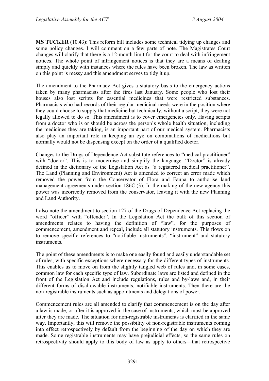**MS TUCKER** (10.43): This reform bill includes some technical tidying up changes and some policy changes. I will comment on a few parts of note. The Magistrates Court changes will clarify that there is a 12-month limit for the court to deal with infringement notices. The whole point of infringement notices is that they are a means of dealing simply and quickly with instances where the rules have been broken. The law as written on this point is messy and this amendment serves to tidy it up.

The amendment to the Pharmacy Act gives a statutory basis to the emergency actions taken by many pharmacists after the fires last January. Some people who lost their houses also lost scripts for essential medicines that were restricted substances. Pharmacists who had records of their regular medicinal needs were in the position where they could choose to supply that medicine but technically, without a script, they were not legally allowed to do so. This amendment is to cover emergencies only. Having scripts from a doctor who is or should be across the person's whole health situation, including the medicines they are taking, is an important part of our medical system. Pharmacists also play an important role in keeping an eye on combinations of medications but normally would not be dispensing except on the order of a qualified doctor.

Changes to the Drugs of Dependence Act substitute references to "medical practitioner" with "doctor". This is to modernise and simplify the language. "Doctor" is already defined in the dictionary of the Legislation Act as "a registered medical practitioner". The Land (Planning and Environment) Act is amended to correct an error made which removed the power from the Conservator of Flora and Fauna to authorise land management agreements under section 186C (3). In the making of the new agency this power was incorrectly removed from the conservator, leaving it with the new Planning and Land Authority.

I also note the amendment to section 127 of the Drugs of Dependence Act replacing the word "officer" with "offender". In the Legislation Act the bulk of this section of amendments relates to having the definition of "law", for the purposes of commencement, amendment and repeal, include all statutory instruments. This flows on to remove specific references to "notifiable instruments", "instrument" and statutory instruments.

The point of these amendments is to make one easily found and easily understandable set of rules, with specific exceptions where necessary for the different types of instruments. This enables us to move on from the slightly tangled web of rules and, in some cases, common law for each specific type of law. Subordinate laws are listed and defined in the front of the Legislation Act and include regulations, rules and by-laws and, in their different forms of disallowable instruments, notifiable instruments. Then there are the non-registrable instruments such as appointments and delegations of power.

Commencement rules are all amended to clarify that commencement is on the day after a law is made, or after it is approved in the case of instruments, which must be approved after they are made. The situation for non-registrable instruments is clarified in the same way. Importantly, this will remove the possibility of non-registrable instruments coming into effect retrospectively by default from the beginning of the day on which they are made. Some registrable instruments may have prejudicial effects, so the same rules on retrospectivity should apply to this body of law as apply to others—that retrospective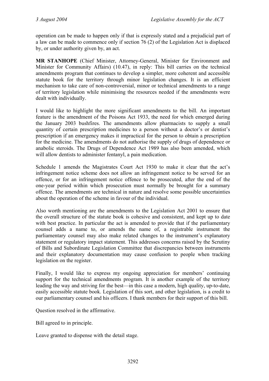operation can be made to happen only if that is expressly stated and a prejudicial part of a law can be made to commence only if section 76 (2) of the Legislation Act is displaced by, or under authority given by, an act.

**MR STANHOPE** (Chief Minister, Attorney-General, Minister for Environment and Minister for Community Affairs) (10.47), in reply: This bill carries on the technical amendments program that continues to develop a simpler, more coherent and accessible statute book for the territory through minor legislation changes. It is an efficient mechanism to take care of non-controversial, minor or technical amendments to a range of territory legislation while minimising the resources needed if the amendments were dealt with individually.

I would like to highlight the more significant amendments to the bill. An important feature is the amendment of the Poisons Act 1933, the need for which emerged during the January 2003 bushfires. The amendments allow pharmacists to supply a small quantity of certain prescription medicines to a person without a doctor's or dentist's prescription if an emergency makes it impractical for the person to obtain a prescription for the medicine. The amendments do not authorise the supply of drugs of dependence or anabolic steroids. The Drugs of Dependence Act 1989 has also been amended, which will allow dentists to administer fentanyl, a pain medication.

Schedule 1 amends the Magistrates Court Act 1930 to make it clear that the act's infringement notice scheme does not allow an infringement notice to be served for an offence, or for an infringement notice offence to be prosecuted, after the end of the one-year period within which prosecution must normally be brought for a summary offence. The amendments are technical in nature and resolve some possible uncertainties about the operation of the scheme in favour of the individual.

Also worth mentioning are the amendments to the Legislation Act 2001 to ensure that the overall structure of the statute book is cohesive and consistent, and kept up to date with best practice. In particular the act is amended to provide that if the parliamentary counsel adds a name to, or amends the name of, a registrable instrument the parliamentary counsel may also make related changes to the instrument's explanatory statement or regulatory impact statement. This addresses concerns raised by the Scrutiny of Bills and Subordinate Legislation Committee that discrepancies between instruments and their explanatory documentation may cause confusion to people when tracking legislation on the register.

Finally, I would like to express my ongoing appreciation for members' continuing support for the technical amendments program. It is another example of the territory leading the way and striving for the best—in this case a modern, high quality, up-to-date, easily accessible statute book. Legislation of this sort, and other legislation, is a credit to our parliamentary counsel and his officers. I thank members for their support of this bill.

Question resolved in the affirmative.

Bill agreed to in principle.

Leave granted to dispense with the detail stage.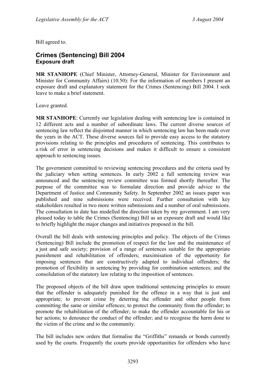Bill agreed to.

#### <span id="page-9-0"></span>**Crimes (Sentencing) Bill 2004 Exposure draft**

**MR STANHOPE** (Chief Minister, Attorney-General, Minister for Environment and Minister for Community Affairs) (10.50): For the information of members I present an exposure draft and explanatory statement for the Crimes (Sentencing) Bill 2004. I seek leave to make a brief statement.

Leave granted.

**MR STANHOPE**: Currently our legislation dealing with sentencing law is contained in 12 different acts and a number of subordinate laws. The current diverse sources of sentencing law reflect the disjointed manner in which sentencing law has been made over the years in the ACT. These diverse sources fail to provide easy access to the statutory provisions relating to the principles and procedures of sentencing. This contributes to a risk of error in sentencing decisions and makes it difficult to ensure a consistent approach to sentencing issues.

The government committed to reviewing sentencing procedures and the criteria used by the judiciary when setting sentences. In early 2002 a full sentencing review was announced and the sentencing review committee was formed shortly thereafter. The purpose of the committee was to formulate direction and provide advice to the Department of Justice and Community Safety. In September 2002 an issues paper was published and nine submissions were received. Further consultation with key stakeholders resulted in two more written submissions and a number of oral submissions. The consultation to date has modelled the direction taken by my government. I am very pleased today to table the Crimes (Sentencing) Bill as an exposure draft and would like to briefly highlight the major changes and initiatives proposed in the bill.

Overall the bill deals with sentencing principles and policy. The objects of the Crimes (Sentencing) Bill include the promotion of respect for the law and the maintenance of a just and safe society; provision of a range of sentences suitable for the appropriate punishment and rehabilitation of offenders; maximisation of the opportunity for imposing sentences that are constructively adapted to individual offenders; the promotion of flexibility in sentencing by providing for combination sentences; and the consolidation of the statutory law relating to the imposition of sentences.

The proposed objects of the bill draw upon traditional sentencing principles to ensure that the offender is adequately punished for the offence in a way that is just and appropriate; to prevent crime by deterring the offender and other people from committing the same or similar offences; to protect the community from the offender; to promote the rehabilitation of the offender; to make the offender accountable for his or her actions; to denounce the conduct of the offender; and to recognise the harm done to the victim of the crime and to the community.

The bill includes new orders that formalise the "Griffiths" remands or bonds currently used by the courts. Frequently the courts provide opportunities for offenders who have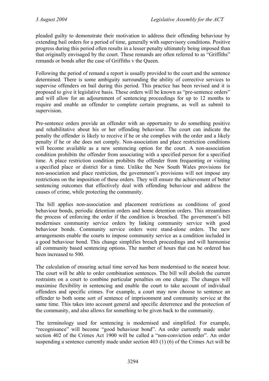pleaded guilty to demonstrate their motivation to address their offending behaviour by extending bail orders for a period of time, generally with supervisory conditions. Positive progress during this period often results in a lesser penalty ultimately being imposed than that originally envisaged by the court. These remands are often referred to as "Griffiths" remands or bonds after the case of Griffiths v the Queen.

Following the period of remand a report is usually provided to the court and the sentence determined. There is some ambiguity surrounding the ability of corrective services to supervise offenders on bail during this period. This practice has been revised and it is proposed to give it legislative basis. These orders will be known as "pre-sentence orders" and will allow for an adjournment of sentencing proceedings for up to 12 months to require and enable an offender to complete certain programs, as well as submit to supervision.

Pre-sentence orders provide an offender with an opportunity to do something positive and rehabilitative about his or her offending behaviour. The court can indicate the penalty the offender is likely to receive if he or she complies with the order and a likely penalty if he or she does not comply. Non-association and place restriction conditions will become available as a new sentencing option for the court. A non-association condition prohibits the offender from associating with a specified person for a specified time. A place restriction condition prohibits the offender from frequenting or visiting a specified place or district for a time. Unlike the New South Wales provisions for non-association and place restriction, the government's provisions will not impose any restrictions on the imposition of these orders. They will ensure the achievement of better sentencing outcomes that effectively deal with offending behaviour and address the causes of crime, while protecting the community.

The bill applies non-association and placement restrictions as conditions of good behaviour bonds, periodic detention orders and home detention orders. This streamlines the process of enforcing the order if the condition is breached. The government's bill modernises community service orders by linking community service with good behaviour bonds. Community service orders were stand-alone orders. The new arrangements enable the courts to impose community service as a condition included in a good behaviour bond. This change simplifies breach proceedings and will harmonise all community based sentencing options. The number of hours that can be ordered has been increased to 500.

The calculation of ensuring actual time served has been modernised to the nearest hour. The court will be able to order combination sentences. The bill will abolish the current restraints on a court to combine particular penalties on one charge. The changes will maximise flexibility in sentencing and enable the court to take account of individual offenders and specific crimes. For example, a court may now choose to sentence an offender to both some sort of sentence of imprisonment and community service at the same time. This takes into account general and specific deterrence and the protection of the community, and also allows for something to be given back to the community.

The terminology used for sentencing is modernised and simplified. For example, "recognisance" will become "good behaviour bond". An order currently made under section 402 of the Crimes Act 1900 will be called a "non-conviction order". An order suspending a sentence currently made under section 403 (1) (6) of the Crimes Act will be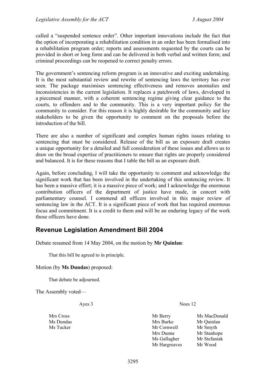called a "suspended sentence order". Other important innovations include the fact that the option of incorporating a rehabilitation condition in an order has been formalised into a rehabilitation program order; reports and assessments requested by the courts can be provided in short or long form and can be delivered in both verbal and written form; and criminal proceedings can be reopened to correct penalty errors.

The government's sentencing reform program is an innovative and exciting undertaking. It is the most substantial review and rewrite of sentencing laws the territory has ever seen. The package maximises sentencing effectiveness and removes anomalies and inconsistencies in the current legislation. It replaces a patchwork of laws, developed in a piecemeal manner, with a coherent sentencing regime giving clear guidance to the courts, to offenders and to the community. This is a very important policy for the community to consider. For this reason it is highly desirable for the community and key stakeholders to be given the opportunity to comment on the proposals before the introduction of the bill.

There are also a number of significant and complex human rights issues relating to sentencing that must be considered. Release of the bill as an exposure draft creates a unique opportunity for a detailed and full consideration of these issues and allows us to draw on the broad expertise of practitioners to ensure that rights are properly considered and balanced. It is for these reasons that I table the bill as an exposure draft.

Again, before concluding, I will take the opportunity to comment and acknowledge the significant work that has been involved in the undertaking of this sentencing review. It has been a massive effort; it is a massive piece of work; and I acknowledge the enormous contribution officers of the department of justice have made, in concert with parliamentary counsel. I commend all officers involved in this major review of sentencing law in the ACT. It is a significant piece of work that has required enormous focus and commitment. It is a credit to them and will be an enduring legacy of the work those officers have done.

#### <span id="page-11-0"></span>**Revenue Legislation Amendment Bill 2004**

Debate resumed from 14 May 2004, on the motion by **Mr Quinlan**:

That this bill be agreed to in principle.

#### Motion (by **Ms Dundas**) proposed:

That debate be adjourned.

The Assembly voted—

Ayes 3 Noes 12

Mrs Cross Mr Berry Ms MacDonald Ms Dundas Mrs Burke Mr Quinlan Ms Tucker Mr Cornwell Mr Smyth Mrs Dunne Mr Stanhope Ms Gallagher Mr Stefaniak Mr Hargreaves Mr Wood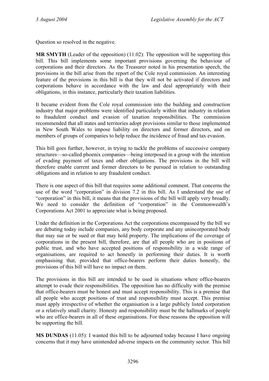Question so resolved in the negative.

**MR SMYTH** (Leader of the opposition) (11.02): The opposition will be supporting this bill. This bill implements some important provisions governing the behaviour of corporations and their directors. As the Treasurer noted in his presentation speech, the provisions in the bill arise from the report of the Cole royal commission. An interesting feature of the provisions in this bill is that they will not be activated if directors and corporations behave in accordance with the law and deal appropriately with their obligations, in this instance, particularly their taxation liabilities.

It became evident from the Cole royal commission into the building and construction industry that major problems were identified particularly within that industry in relation to fraudulent conduct and evasion of taxation responsibilities. The commission recommended that all states and territories adopt provisions similar to those implemented in New South Wales to impose liability on directors and former directors, and on members of groups of companies to help reduce the incidence of fraud and tax evasion.

This bill goes further, however, in trying to tackle the problems of successive company structures—so-called phoenix companies—being interposed in a group with the intention of evading payment of taxes and other obligations. The provisions in the bill will therefore enable current and former directors to be pursued in relation to outstanding obligations and in relation to any fraudulent conduct.

There is one aspect of this bill that requires some additional comment. That concerns the use of the word "corporation" in division 7.2 in this bill. As I understand the use of "corporation" in this bill, it means that the provisions of the bill will apply very broadly. We need to consider the definition of "corporation" in the Commonwealth's Corporations Act 2001 to appreciate what is being proposed.

Under the definition in the Corporations Act the corporations encompassed by the bill we are debating today include companies, any body corporate and any unincorporated body that may sue or be sued or that may hold property. The implications of the coverage of corporations in the present bill, therefore, are that all people who are in positions of public trust, and who have accepted positions of responsibility in a wide range of organisations, are required to act honestly in performing their duties. It is worth emphasising that, provided that office-bearers perform their duties honestly, the provisions of this bill will have no impact on them.

The provisions in this bill are intended to be used in situations where office-bearers attempt to evade their responsibilities. The opposition has no difficulty with the premise that office-bearers must be honest and must accept responsibility. This is a premise that all people who accept positions of trust and responsibility must accept. This premise must apply irrespective of whether the organisation is a large publicly listed corporation or a relatively small charity. Honesty and responsibility must be the hallmarks of people who are office-bearers in all of these organisations. For these reasons the opposition will be supporting the bill.

**MS DUNDAS** (11.05): I wanted this bill to be adjourned today because I have ongoing concerns that it may have unintended adverse impacts on the community sector. This bill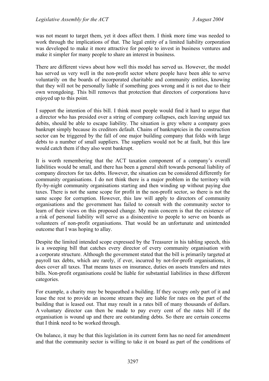was not meant to target them, yet it does affect them. I think more time was needed to work through the implications of that. The legal entity of a limited liability corporation was developed to make it more attractive for people to invest in business ventures and make it simpler for many people to share an interest in business.

There are different views about how well this model has served us. However, the model has served us very well in the non-profit sector where people have been able to serve voluntarily on the boards of incorporated charitable and community entities, knowing that they will not be personally liable if something goes wrong and it is not due to their own wrongdoing. This bill removes that protection that directors of corporations have enjoyed up to this point.

I support the intention of this bill. I think most people would find it hard to argue that a director who has presided over a string of company collapses, each leaving unpaid tax debits, should be able to escape liability. The situation is grey where a company goes bankrupt simply because its creditors default. Chains of bankruptcies in the construction sector can be triggered by the fall of one major building company that folds with large debts to a number of small suppliers. The suppliers would not be at fault, but this law would catch them if they also went bankrupt.

It is worth remembering that the ACT taxation component of a company's overall liabilities would be small, and there has been a general shift towards personal liability of company directors for tax debts. However, the situation can be considered differently for community organisations. I do not think there is a major problem in the territory with fly-by-night community organisations starting and then winding up without paying due taxes. There is not the same scope for profit in the non-profit sector, so there is not the same scope for corruption. However, this law will apply to directors of community organisations and the government has failed to consult with the community sector to learn of their views on this proposed change. My main concern is that the existence of a risk of personal liability will serve as a disincentive to people to serve on boards as volunteers of non-profit organisations. That would be an unfortunate and unintended outcome that I was hoping to allay.

Despite the limited intended scope expressed by the Treasurer in his tabling speech, this is a sweeping bill that catches every director of every community organisation with a corporate structure. Although the government stated that the bill is primarily targeted at payroll tax debts, which are rarely, if ever, incurred by not-for-profit organisations, it does cover all taxes. That means taxes on insurance, duties on assets transfers and rates bills. Non-profit organisations could be liable for substantial liabilities in these different categories.

For example, a charity may be bequeathed a building. If they occupy only part of it and lease the rest to provide an income stream they are liable for rates on the part of the building that is leased out. That may result in a rates bill of many thousands of dollars. A voluntary director can then be made to pay every cent of the rates bill if the organisation is wound up and there are outstanding debts. So there are certain concerns that I think need to be worked through.

On balance, it may be that this legislation in its current form has no need for amendment and that the community sector is willing to take it on board as part of the conditions of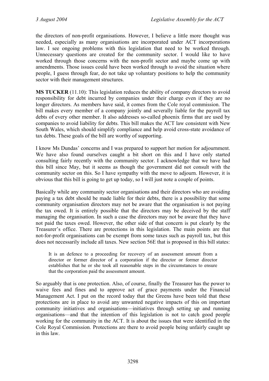the directors of non-profit organisations. However, I believe a little more thought was needed, especially as many organisations are incorporated under ACT incorporations law. I see ongoing problems with this legislation that need to be worked through. Unnecessary questions are created for the community sector. I would like to have worked through those concerns with the non-profit sector and maybe come up with amendments. Those issues could have been worked through to avoid the situation where people, I guess through fear, do not take up voluntary positions to help the community sector with their management structures.

**MS TUCKER** (11.10): This legislation reduces the ability of company directors to avoid responsibility for debt incurred by companies under their charge even if they are no longer directors. As members have said, it comes from the Cole royal commission. The bill makes every member of a company jointly and severally liable for the payroll tax debts of every other member. It also addresses so-called phoenix firms that are used by companies to avoid liability for debts. This bill makes the ACT law consistent with New South Wales, which should simplify compliance and help avoid cross-state avoidance of tax debts. These goals of the bill are worthy of supporting.

I know Ms Dundas' concerns and I was prepared to support her motion for adjournment. We have also found ourselves caught a bit short on this and I have only started consulting fairly recently with the community sector. I acknowledge that we have had this bill since May, but it seems as though the government did not consult with the community sector on this. So I have sympathy with the move to adjourn. However, it is obvious that this bill is going to get up today, so I will just note a couple of points.

Basically while any community sector organisations and their directors who are avoiding paying a tax debt should be made liable for their debts, there is a possibility that some community organisation directors may not be aware that the organisation is not paying the tax owed. It is entirely possible that the directors may be deceived by the staff managing the organisation. In such a case the directors may not be aware that they have not paid the taxes owed. However, the other side of that concern is put clearly by the Treasurer's office. There are protections in this legislation. The main points are that not-for-profit organisations can be exempt from some taxes such as payroll tax, but this does not necessarily include all taxes. New section 56E that is proposed in this bill states:

It is an defence to a proceeding for recovery of an assessment amount from a director or former director of a corporation if the director or former director establishes that he or she took all reasonable steps in the circumstances to ensure that the corporation paid the assessment amount.

So arguably that is one protection. Also, of course, finally the Treasurer has the power to waive fees and fines and to approve act of grace payments under the Financial Management Act. I put on the record today that the Greens have been told that these protections are in place to avoid any unwanted negative impacts of this on important community initiatives and organisations—initiatives through setting up and running organisations—and that the intention of this legislation is not to catch good people working for the community in the ACT. It is about the issues that were identified in the Cole Royal Commission. Protections are there to avoid people being unfairly caught up in this law.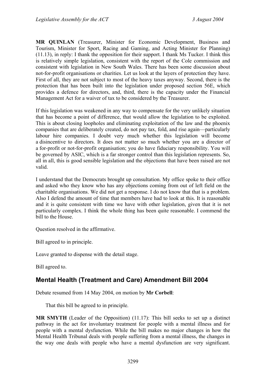**MR QUINLAN** (Treasurer, Minister for Economic Development, Business and Tourism, Minister for Sport, Racing and Gaming, and Acting Minister for Planning) (11.13), in reply: I thank the opposition for their support. I thank Ms Tucker. I think this is relatively simple legislation, consistent with the report of the Cole commission and consistent with legislation in New South Wales. There has been some discussion about not-for-profit organisations or charities. Let us look at the layers of protection they have. First of all, they are not subject to most of the heavy taxes anyway. Second, there is the protection that has been built into the legislation under proposed section 56E, which provides a defence for directors, and, third, there is the capacity under the Financial Management Act for a waiver of tax to be considered by the Treasurer.

If this legislation was weakened in any way to compensate for the very unlikely situation that has become a point of difference, that would allow the legislation to be exploited. This is about closing loopholes and eliminating exploitation of the law and the phoenix companies that are deliberately created, do not pay tax, fold, and rise again—particularly labour hire companies. I doubt very much whether this legislation will become a disincentive to directors. It does not matter so much whether you are a director of a for-profit or not-for-profit organisation; you do have fiduciary responsibility. You will be governed by ASIC, which is a far stronger control than this legislation represents. So, all in all, this is good sensible legislation and the objections that have been raised are not valid.

I understand that the Democrats brought up consultation. My office spoke to their office and asked who they know who has any objections coming from out of left field on the charitable organisations. We did not get a response. I do not know that that is a problem. Also I defend the amount of time that members have had to look at this. It is reasonable and it is quite consistent with time we have with other legislation, given that it is not particularly complex. I think the whole thing has been quite reasonable. I commend the bill to the House.

Question resolved in the affirmative.

Bill agreed to in principle.

Leave granted to dispense with the detail stage.

Bill agreed to.

#### <span id="page-15-0"></span>**Mental Health (Treatment and Care) Amendment Bill 2004**

Debate resumed from 14 May 2004, on motion by **Mr Corbell**:

That this bill be agreed to in principle.

**MR SMYTH** (Leader of the Opposition) (11.17): This bill seeks to set up a distinct pathway in the act for involuntary treatment for people with a mental illness and for people with a mental dysfunction. While the bill makes no major changes in how the Mental Health Tribunal deals with people suffering from a mental illness, the changes in the way one deals with people who have a mental dysfunction are very significant.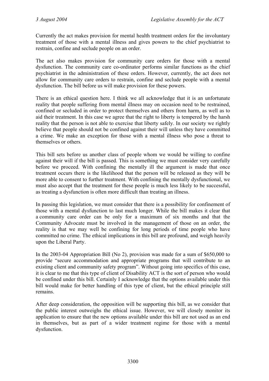Currently the act makes provision for mental health treatment orders for the involuntary treatment of those with a mental illness and gives powers to the chief psychiatrist to restrain, confine and seclude people on an order.

The act also makes provision for community care orders for those with a mental dysfunction. The community care co-ordinator performs similar functions as the chief psychiatrist in the administration of these orders. However, currently, the act does not allow for community care orders to restrain, confine and seclude people with a mental dysfunction. The bill before us will make provision for these powers.

There is an ethical question here. I think we all acknowledge that it is an unfortunate reality that people suffering from mental illness may on occasion need to be restrained, confined or secluded in order to protect themselves and others from harm, as well as to aid their treatment. In this case we agree that the right to liberty is tempered by the harsh reality that the person is not able to exercise that liberty safely. In our society we rightly believe that people should not be confined against their will unless they have committed a crime. We make an exception for those with a mental illness who pose a threat to themselves or others.

This bill sets before us another class of people whom we would be willing to confine against their will if the bill is passed. This is something we must consider very carefully before we proceed. With confining the mentally ill the argument is made that once treatment occurs there is the likelihood that the person will be released as they will be more able to consent to further treatment. With confining the mentally dysfunctional, we must also accept that the treatment for these people is much less likely to be successful, as treating a dysfunction is often more difficult than treating an illness.

In passing this legislation, we must consider that there is a possibility for confinement of those with a mental dysfunction to last much longer. While the bill makes it clear that a community care order can be only for a maximum of six months and that the Community Advocate must be involved in the management of those on an order, the reality is that we may well be confining for long periods of time people who have committed no crime. The ethical implications in this bill are profound, and weigh heavily upon the Liberal Party.

In the 2003-04 Appropriation Bill (No 2), provision was made for a sum of \$650,000 to provide "secure accommodation and appropriate programs that will contribute to an existing client and community safety program". Without going into specifics of this case, it is clear to me that this type of client of Disability ACT is the sort of person who would be confined under this bill. Certainly I acknowledge that the options available under this bill would make for better handling of this type of client, but the ethical principle still remains.

After deep consideration, the opposition will be supporting this bill, as we consider that the public interest outweighs the ethical issue. However, we will closely monitor its application to ensure that the new options available under this bill are not used as an end in themselves, but as part of a wider treatment regime for those with a mental dysfunction.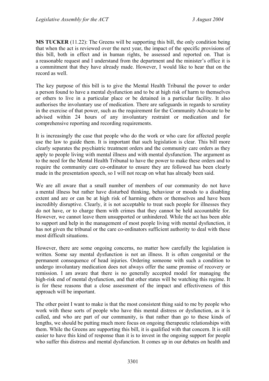**MS TUCKER** (11.22): The Greens will be supporting this bill, the only condition being that when the act is reviewed over the next year, the impact of the specific provisions of this bill, both in effect and in human rights, be assessed and reported on. That is a reasonable request and I understand from the department and the minister's office it is a commitment that they have already made. However, I would like to hear that on the record as well.

The key purpose of this bill is to give the Mental Health Tribunal the power to order a person found to have a mental dysfunction and to be at high risk of harm to themselves or others to live in a particular place or be detained in a particular facility. It also authorises the involuntary use of medication. There are safeguards in regards to scrutiny in the exercise of that power, such as the requirement for the Community Advocate to be advised within 24 hours of any involuntary restraint or medication and for comprehensive reporting and recording requirements.

It is increasingly the case that people who do the work or who care for affected people use the law to guide them. It is important that such legislation is clear. This bill more clearly separates the psychiatric treatment orders and the community care orders as they apply to people living with mental illness and with mental dysfunction. The argument as to the need for the Mental Health Tribunal to have the power to make these orders and to require the community care co-ordinator to ensure they are followed has been clearly made in the presentation speech, so I will not recap on what has already been said.

We are all aware that a small number of members of our community do not have a mental illness but rather have disturbed thinking, behaviour or moods to a disabling extent and are or can be at high risk of harming others or themselves and have been incredibly disruptive. Clearly, it is not acceptable to treat such people for illnesses they do not have, or to charge them with crimes that they cannot be held accountable for. However, we cannot leave them unsupported or unhindered. While the act has been able to support and help in the management of most people living with mental dysfunction, it has not given the tribunal or the care co-ordinators sufficient authority to deal with these most difficult situations.

However, there are some ongoing concerns, no matter how carefully the legislation is written. Some say mental dysfunction is not an illness. It is often congenital or the permanent consequence of head injuries. Ordering someone with such a condition to undergo involuntary medication does not always offer the same promise of recovery or remission. I am aware that there is no generally accepted model for managing the high-risk end of mental dysfunction, and that other states will be watching this regime. It is for these reasons that a close assessment of the impact and effectiveness of this approach will be important.

The other point I want to make is that the most consistent thing said to me by people who work with these sorts of people who have this mental distress or dysfunction, as it is called, and who are part of our community, is that rather than go to these kinds of lengths, we should be putting much more focus on ongoing therapeutic relationships with them. While the Greens are supporting this bill, it is qualified with that concern. It is still easier to have this kind of response than it is to invest in the ongoing support for people who suffer this distress and mental dysfunction. It comes up in our debates on health and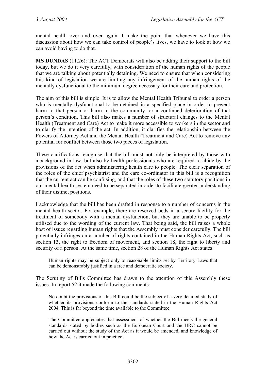mental health over and over again. I make the point that whenever we have this discussion about how we can take control of people's lives, we have to look at how we can avoid having to do that.

**MS DUNDAS** (11.26): The ACT Democrats will also be adding their support to the bill today, but we do it very carefully, with consideration of the human rights of the people that we are talking about potentially detaining. We need to ensure that when considering this kind of legislation we are limiting any infringement of the human rights of the mentally dysfunctional to the minimum degree necessary for their care and protection.

The aim of this bill is simple. It is to allow the Mental Health Tribunal to order a person who is mentally dysfunctional to be detained in a specified place in order to prevent harm to that person or harm to the community, or a continued deterioration of that person's condition. This bill also makes a number of structural changes to the Mental Health (Treatment and Care) Act to make it more accessible to workers in the sector and to clarify the intention of the act. In addition, it clarifies the relationship between the Powers of Attorney Act and the Mental Health (Treatment and Care) Act to remove any potential for conflict between those two pieces of legislation.

These clarifications recognise that the bill must not only be interpreted by those with a background in law, but also by health professionals who are required to abide by the provisions of the act when administering health care to people. The clear separation of the roles of the chief psychiatrist and the care co-ordinator in this bill is a recognition that the current act can be confusing, and that the roles of these two statutory positions in our mental health system need to be separated in order to facilitate greater understanding of their distinct positions.

I acknowledge that the bill has been drafted in response to a number of concerns in the mental health sector. For example, there are reserved beds in a secure facility for the treatment of somebody with a mental dysfunction, but they are unable to be properly utilised due to the wording of the current law. That being said, the bill raises a whole host of issues regarding human rights that the Assembly must consider carefully. The bill potentially infringes on a number of rights contained in the Human Rights Act, such as section 13, the right to freedom of movement, and section 18, the right to liberty and security of a person. At the same time, section 28 of the Human Rights Act states:

Human rights may be subject only to reasonable limits set by Territory Laws that can be demonstrably justified in a free and democratic society.

The Scrutiny of Bills Committee has drawn to the attention of this Assembly these issues. In report 52 it made the following comments:

No doubt the provisions of this Bill could be the subject of a very detailed study of whether its provisions conform to the standards stated in the Human Rights Act 2004. This is far beyond the time available to the Committee.

The Committee appreciates that assessment of whether the Bill meets the general standards stated by bodies such as the European Court and the HRC cannot be carried out without the study of the Act as it would be amended, and knowledge of how the Act is carried out in practice.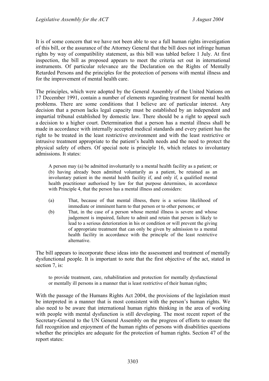It is of some concern that we have not been able to see a full human rights investigation of this bill, or the assurance of the Attorney General that the bill does not infringe human rights by way of compatibility statement, as this bill was tabled before 1 July. At first inspection, the bill as proposed appears to meet the criteria set out in international instruments. Of particular relevance are the Declaration on the Rights of Mentally Retarded Persons and the principles for the protection of persons with mental illness and for the improvement of mental health care.

The principles, which were adopted by the General Assembly of the United Nations on 17 December 1991, contain a number of elements regarding treatment for mental health problems. There are some conditions that I believe are of particular interest. Any decision that a person lacks legal capacity must be established by an independent and impartial tribunal established by domestic law. There should be a right to appeal such a decision to a higher court. Determination that a person has a mental illness shall be made in accordance with internally accepted medical standards and every patient has the right to be treated in the least restrictive environment and with the least restrictive or intrusive treatment appropriate to the patient's health needs and the need to protect the physical safety of others. Of special note is principle 16, which relates to involuntary admissions. It states:

A person may (a) be admitted involuntarily to a mental health facility as a patient; or (b) having already been admitted voluntarily as a patient, be retained as an involuntary patient in the mental health facility if, and only if, a qualified mental health practitioner authorised by law for that purpose determines, in accordance with Principle 4, that the person has a mental illness and considers:

- (a) That, because of that mental illness, there is a serious likelihood of immediate or imminent harm to that person or to other persons; or
- (b) That, in the case of a person whose mental illness is severe and whose judgement is impaired, failure to admit and retain that person is likely to lead to a serious deterioration in his or condition or will prevent the giving of appropriate treatment that can only be given by admission to a mental health facility in accordance with the principle of the least restrictive alternative.

The bill appears to incorporate these ideas into the assessment and treatment of mentally dysfunctional people. It is important to note that the first objective of the act, stated in section 7, is:

to provide treatment, care, rehabilitation and protection for mentally dysfunctional or mentally ill persons in a manner that is least restrictive of their human rights;

With the passage of the Humans Rights Act 2004, the provisions of the legislation must be interpreted in a manner that is most consistent with the person's human rights. We also need to be aware that international human rights thinking in the area of working with people with mental dysfunction is still developing. The most recent report of the Secretary-General to the UN General Assembly on the progress of efforts to ensure the full recognition and enjoyment of the human rights of persons with disabilities questions whether the principles are adequate for the protection of human rights. Section 47 of the report states: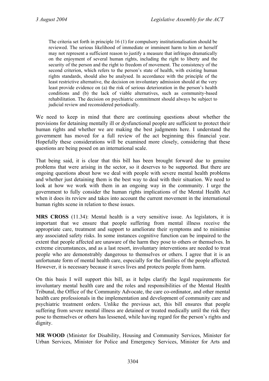The criteria set forth in principle 16 (1) for compulsory institutionalisation should be reviewed. The serious likelihood of immediate or imminent harm to him or herself may not represent a sufficient reason to justify a measure that infringes dramatically on the enjoyment of several human rights, including the right to liberty and the security of the person and the right to freedom of movement. The consistency of the second criterion, which refers to the person's state of health, with existing human rights standards, should also be analysed. In accordance with the principle of the least restrictive alternative, the decision on involuntary admission should at the very least provide evidence on (a) the risk of serious deterioration in the person's health conditions and (b) the lack of viable alternatives, such as community-based rehabilitation. The decision on psychiatric commitment should always be subject to judicial review and reconsidered periodically.

We need to keep in mind that there are continuing questions about whether the provisions for detaining mentally ill or dysfunctional people are sufficient to protect their human rights and whether we are making the best judgments here. I understand the government has moved for a full review of the act beginning this financial year. Hopefully these considerations will be examined more closely, considering that these questions are being posed on an international scale.

That being said, it is clear that this bill has been brought forward due to genuine problems that were arising in the sector, so it deserves to be supported. But there are ongoing questions about how we deal with people with severe mental health problems and whether just detaining them is the best way to deal with their situation. We need to look at how we work with them in an ongoing way in the community. I urge the government to fully consider the human rights implications of the Mental Health Act when it does its review and takes into account the current movement in the international human rights scene in relation to these issues.

**MRS CROSS** (11.34): Mental health is a very sensitive issue. As legislators, it is important that we ensure that people suffering from mental illness receive the appropriate care, treatment and support to ameliorate their symptoms and to minimise any associated safety risks. In some instances cognitive function can be impaired to the extent that people affected are unaware of the harm they pose to others or themselves. In extreme circumstances, and as a last resort, involuntary interventions are needed to treat people who are demonstrably dangerous to themselves or others. I agree that it is an unfortunate form of mental health care, especially for the families of the people affected. However, it is necessary because it saves lives and protects people from harm.

On this basis I will support this bill, as it helps clarify the legal requirements for involuntary mental health care and the roles and responsibilities of the Mental Health Tribunal, the Office of the Community Advocate, the care co-ordinator, and other mental health care professionals in the implementation and development of community care and psychiatric treatment orders. Unlike the previous act, this bill ensures that people suffering from severe mental illness are detained or treated medically until the risk they pose to themselves or others has lessened, while having regard for the person's rights and dignity.

**MR WOOD** (Minister for Disability, Housing and Community Services, Minister for Urban Services, Minister for Police and Emergency Services, Minister for Arts and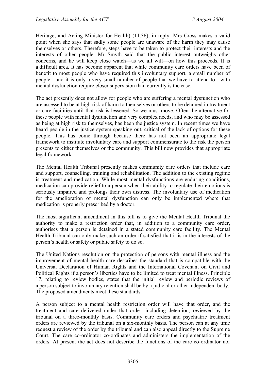Heritage, and Acting Minister for Health) (11.36), in reply: Mrs Cross makes a valid point when she says that sadly some people are unaware of the harm they may cause themselves or others. Therefore, steps have to be taken to protect their interests and the interests of other people. Mr Smyth said that the public interest outweighs other concerns, and he will keep close watch—as we all will—on how this proceeds. It is a difficult area. It has become apparent that while community care orders have been of benefit to most people who have required this involuntary support, a small number of people—and it is only a very small number of people that we have to attend to—with mental dysfunction require closer supervision than currently is the case.

The act presently does not allow for people who are suffering a mental dysfunction who are assessed to be at high risk of harm to themselves or others to be detained in treatment or care facilities until that risk is lessened. So we must move. Often the alternative for these people with mental dysfunction and very complex needs, and who may be assessed as being at high risk to themselves, has been the justice system. In recent times we have heard people in the justice system speaking out, critical of the lack of options for these people. This has come through because there has not been an appropriate legal framework to institute involuntary care and support commensurate to the risk the person presents to either themselves or the community. This bill now provides that appropriate legal framework.

The Mental Health Tribunal presently makes community care orders that include care and support, counselling, training and rehabilitation. The addition to the existing regime is treatment and medication. While most mental dysfunctions are enduring conditions, medication can provide relief to a person when their ability to regulate their emotions is seriously impaired and prolongs their own distress. The involuntary use of medication for the amelioration of mental dysfunction can only be implemented where that medication is properly prescribed by a doctor.

The most significant amendment in this bill is to give the Mental Health Tribunal the authority to make a restriction order that, in addition to a community care order, authorises that a person is detained in a stated community care facility. The Mental Health Tribunal can only make such an order if satisfied that it is in the interests of the person's health or safety or public safety to do so.

The United Nations resolution on the protection of persons with mental illness and the improvement of mental health care describes the standard that is compatible with the Universal Declaration of Human Rights and the International Covenant on Civil and Political Rights if a person's liberties have to be limited to treat mental illness. Principle 17, relating to review bodies, states that the initial review and periodic reviews of a person subject to involuntary retention shall be by a judicial or other independent body. The proposed amendments meet these standards.

A person subject to a mental health restriction order will have that order, and the treatment and care delivered under that order, including detention, reviewed by the tribunal on a three-monthly basis. Community care orders and psychiatric treatment orders are reviewed by the tribunal on a six-monthly basis. The person can at any time request a review of the order by the tribunal and can also appeal directly to the Supreme Court. The care co-ordinator co-ordinates and administers the implementation of the orders. At present the act does not describe the functions of the care co-ordinator nor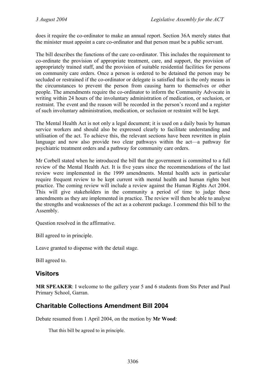does it require the co-ordinator to make an annual report. Section 36A merely states that the minister must appoint a care co-ordinator and that person must be a public servant.

The bill describes the functions of the care co-ordinator. This includes the requirement to co-ordinate the provision of appropriate treatment, care, and support, the provision of appropriately trained staff, and the provision of suitable residential facilities for persons on community care orders. Once a person is ordered to be detained the person may be secluded or restrained if the co-ordinator or delegate is satisfied that is the only means in the circumstances to prevent the person from causing harm to themselves or other people. The amendments require the co-ordinator to inform the Community Advocate in writing within 24 hours of the involuntary administration of medication, or seclusion, or restraint. The event and the reason will be recorded in the person's record and a register of such involuntary administration, medication, or seclusion or restraint will be kept.

The Mental Health Act is not only a legal document; it is used on a daily basis by human service workers and should also be expressed clearly to facilitate understanding and utilisation of the act. To achieve this, the relevant sections have been rewritten in plain language and now also provide two clear pathways within the act—a pathway for psychiatric treatment orders and a pathway for community care orders.

Mr Corbell stated when he introduced the bill that the government is committed to a full review of the Mental Health Act. It is five years since the recommendations of the last review were implemented in the 1999 amendments. Mental health acts in particular require frequent review to be kept current with mental health and human rights best practice. The coming review will include a review against the Human Rights Act 2004. This will give stakeholders in the community a period of time to judge these amendments as they are implemented in practice. The review will then be able to analyse the strengths and weaknesses of the act as a coherent package. I commend this bill to the Assembly.

Question resolved in the affirmative.

Bill agreed to in principle.

Leave granted to dispense with the detail stage.

Bill agreed to.

#### <span id="page-22-0"></span>**Visitors**

**MR SPEAKER**: I welcome to the gallery year 5 and 6 students from Sts Peter and Paul Primary School, Garran.

#### <span id="page-22-1"></span>**Charitable Collections Amendment Bill 2004**

Debate resumed from 1 April 2004, on the motion by **Mr Wood**:

That this bill be agreed to in principle.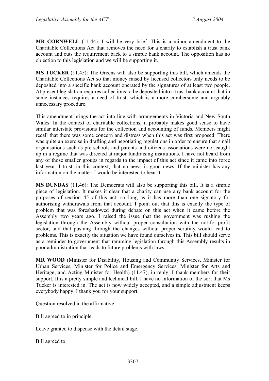**MR CORNWELL** (11.44): I will be very brief. This is a minor amendment to the Charitable Collections Act that removes the need for a charity to establish a trust bank account and cuts the requirement back to a simple bank account. The opposition has no objection to this legislation and we will be supporting it.

**MS TUCKER** (11.45): The Greens will also be supporting this bill, which amends the Charitable Collections Act so that money raised by licensed collectors only needs to be deposited into a specific bank account operated by the signatures of at least two people. At present legislation requires collections to be deposited into a trust bank account that in some instances requires a deed of trust, which is a more cumbersome and arguably unnecessary procedure.

This amendment brings the act into line with arrangements in Victoria and New South Wales. In the context of charitable collections, it probably makes good sense to have similar interstate provisions for the collection and accounting of funds. Members might recall that there was some concern and distress when this act was first proposed. There was quite an exercise in drafting and negotiating regulations in order to ensure that small organisations such as pre-schools and parents and citizens associations were not caught up in a regime that was directed at major fundraising institutions. I have not heard from any of those smaller groups in regards to the impact of this act since it came into force last year. I trust, in this context, that no news is good news. If the minister has any information on the matter, I would be interested to hear it.

**MS DUNDAS** (11.46): The Democrats will also be supporting this bill. It is a simple piece of legislation. It makes it clear that a charity can use any bank account for the purposes of section 45 of this act, so long as it has more than one signatory for authorising withdrawals from that account. I point out that this is exactly the type of problem that was foreshadowed during debate on this act when it came before the Assembly two years ago. I raised the issue that the government was rushing the legislation through the Assembly without proper consultation with the not-for-profit sector, and that pushing through the changes without proper scrutiny would lead to problems. This is exactly the situation we have found ourselves in. This bill should serve as a reminder to government that ramming legislation through this Assembly results in poor administration that leads to future problems with laws.

**MR WOOD** (Minister for Disability, Housing and Community Services, Minister for Urban Services, Minister for Police and Emergency Services, Minister for Arts and Heritage, and Acting Minister for Health) (11.47), in reply: I thank members for their support. It is a pretty simple and technical bill. I have no information of the sort that Ms Tucker is interested in. The act is now widely accepted, and a simple adjustment keeps everybody happy. I thank you for your support.

Question resolved in the affirmative.

Bill agreed to in principle.

Leave granted to dispense with the detail stage.

Bill agreed to.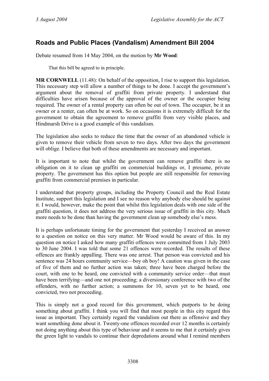#### <span id="page-24-0"></span>**Roads and Public Places (Vandalism) Amendment Bill 2004**

Debate resumed from 14 May 2004, on the motion by **Mr Wood**:

That this bill be agreed to in principle.

**MR CORNWELL** (11.48): On behalf of the opposition, I rise to support this legislation. This necessary step will allow a number of things to be done. I accept the government's argument about the removal of graffiti from private property. I understand that difficulties have arisen because of the approval of the owner or the occupier being required. The owner of a rental property can often be out of town. The occupier, be it an owner or a renter, can often be at work. So on occasions it is extremely difficult for the government to obtain the agreement to remove graffiti from very visible places, and Hindmarsh Drive is a good example of this vandalism.

The legislation also seeks to reduce the time that the owner of an abandoned vehicle is given to remove their vehicle from seven to two days. After two days the government will oblige. I believe that both of these amendments are necessary and important.

It is important to note that whilst the government can remove graffiti there is no obligation on it to clean up graffiti on commercial buildings or, I presume, private property. The government has this option but people are still responsible for removing graffiti from commercial premises in particular.

I understand that property groups, including the Property Council and the Real Estate Institute, support this legislation and I see no reason why anybody else should be against it. I would, however, make the point that whilst this legislation deals with one side of the graffiti question, it does not address the very serious issue of graffiti in this city. Much more needs to be done than having the government clean up somebody else's mess.

It is perhaps unfortunate timing for the government that yesterday I received an answer to a question on notice on this very matter. Mr Wood would be aware of this. In my question on notice I asked how many graffiti offences were committed from 1 July 2003 to 30 June 2004. I was told that some 21 offences were recorded. The results of these offences are frankly appalling. There was one arrest. That person was convicted and his sentence was 24 hours community service—boy oh boy! A caution was given in the case of five of them and no further action was taken; three have been charged before the court, with one to be heard, one convicted with a community service order—that must have been terrifying—and one not proceeding; a diversionary conference with two of the offenders, with no further action; a summons for 10, seven yet to be heard, one convicted, two not proceeding.

This is simply not a good record for this government, which purports to be doing something about graffiti. I think you will find that most people in this city regard this issue as important. They certainly regard the vandalism out there as offensive and they want something done about it. Twenty-one offences recorded over 12 months is certainly not doing anything about this type of behaviour and it seems to me that it certainly gives the green light to vandals to continue their depredations around what I remind members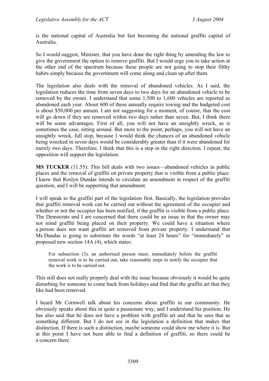is the national capital of Australia but fast becoming the national graffiti capital of Australia.

So I would suggest, Minister, that you have done the right thing by amending the law to give the government the option to remove graffiti. But I would urge you to take action at the other end of the spectrum because these people are not going to stop their filthy habits simply because the government will come along and clean up after them.

The legislation also deals with the removal of abandoned vehicles. As I said, the legislation reduces the time from seven days to two days for an abandoned vehicle to be removed by the owner. I understand that some 1,500 to 1,600 vehicles are reported as abandoned each year. About 600 of these annually require towing and the budgeted cost is about \$50,000 per annum. I am not suggesting for a moment, of course, that the cost will go down if they are removed within two days rather than seven. But, I think there will be some advantages. First of all, you will not have an unsightly wreck, as is sometimes the case, sitting around. But more to the point, perhaps, you will not have an unsightly wreck, full stop, because I would think the chances of an abandoned vehicle being wrecked in seven days would be considerably greater than if it were abandoned for merely two days. Therefore, I think that this is a step in the right direction. I repeat, the opposition will support the legislation.

**MS TUCKER** (11.55): This bill deals with two issues—abandoned vehicles in public places and the removal of graffiti on private property that is visible from a public place. I know that Roslyn Dundas intends to circulate an amendment in respect of the graffiti question, and I will be supporting that amendment.

I will speak to the graffiti part of the legislation first. Basically, the legislation provides that graffiti removal work can be carried out without the agreement of the occupier and whether or not the occupier has been notified, if the graffiti is visible from a public place. The Democrats and I are concerned that there could be an issue in that the owner may not mind graffiti being placed on their property. We could have a situation where a person does not want graffiti art removed from private property. I understand that Ms Dundas is going to substitute the words "at least 24 hours" for "immediately" in proposed new section 14A (4), which states:

For subsection (3), an authorised person must, immediately before the graffiti removal work is to be carried out, take reasonable steps to notify the occupier that the work is to be carried out.

This still does not really properly deal with the issue because obviously it would be quite disturbing for someone to come back from holidays and find that the graffiti art that they like had been removed.

I heard Mr Cornwell talk about his concerns about graffiti in our community. He obviously speaks about this in quite a passionate way, and I understand his position. He has also said that he does not have a problem with graffiti art and that he sees that as something different. But I do not see in the legislation a definition that makes that distinction. If there is such a distinction, maybe someone could show me where it is. But at this point I have not been able to find a definition of graffiti, so there could be a concern there.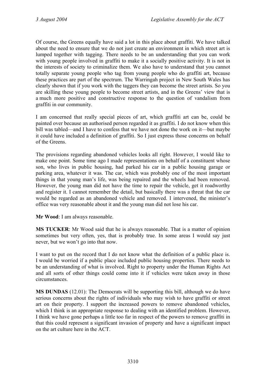Of course, the Greens equally have said a lot in this place about graffiti. We have talked about the need to ensure that we do not just create an environment in which street art is lumped together with tagging. There needs to be an understanding that you can work with young people involved in graffiti to make it a socially positive activity. It is not in the interests of society to criminalize them. We also have to understand that you cannot totally separate young people who tag from young people who do graffiti art, because these practices are part of the spectrum. The Warringah project in New South Wales has clearly shown that if you work with the taggers they can become the street artists. So you are skilling these young people to become street artists, and in the Greens' view that is a much more positive and constructive response to the question of vandalism from graffiti in our community.

I am concerned that really special pieces of art, which graffiti art can be, could be painted over because an authorised person regarded it as graffiti. I do not know when this bill was tabled—and I have to confess that we have not done the work on it—but maybe it could have included a definition of graffiti. So I just express those concerns on behalf of the Greens.

The provisions regarding abandoned vehicles looks all right. However, I would like to make one point. Some time ago I made representations on behalf of a constituent whose son, who lives in public housing, had parked his car in a public housing garage or parking area, whatever it was. The car, which was probably one of the most important things in that young man's life, was being repaired and the wheels had been removed. However, the young man did not have the time to repair the vehicle, get it roadworthy and register it. I cannot remember the detail, but basically there was a threat that the car would be regarded as an abandoned vehicle and removed. I intervened, the minister's office was very reasonable about it and the young man did not lose his car.

**Mr Wood**: I am always reasonable.

**MS TUCKER**: Mr Wood said that he is always reasonable. That is a matter of opinion sometimes but very often, yes, that is probably true. In some areas I would say just never, but we won't go into that now.

I want to put on the record that I do not know what the definition of a public place is. I would be worried if a public place included public housing properties. There needs to be an understanding of what is involved. Right to property under the Human Rights Act and all sorts of other things could come into it if vehicles were taken away in those circumstances.

**MS DUNDAS** (12.01): The Democrats will be supporting this bill, although we do have serious concerns about the rights of individuals who may wish to have graffiti or street art on their property. I support the increased powers to remove abandoned vehicles, which I think is an appropriate response to dealing with an identified problem. However, I think we have gone perhaps a little too far in respect of the powers to remove graffiti in that this could represent a significant invasion of property and have a significant impact on the art culture here in the ACT.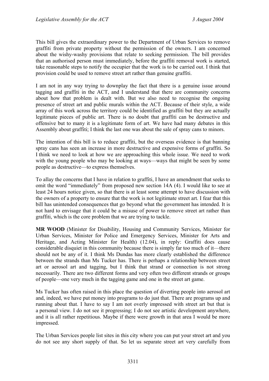This bill gives the extraordinary power to the Department of Urban Services to remove graffiti from private property without the permission of the owners. I am concerned about the wishy-washy provisions that relate to seeking permission. The bill provides that an authorised person must immediately, before the graffiti removal work is started, take reasonable steps to notify the occupier that the work is to be carried out. I think that provision could be used to remove street art rather than genuine graffiti.

I am not in any way trying to downplay the fact that there is a genuine issue around tagging and graffiti in the ACT, and I understand that there are community concerns about how that problem is dealt with. But we also need to recognise the ongoing presence of street art and public murals within the ACT. Because of their style, a wide array of this work across the territory could be identified as graffiti but they are actually legitimate pieces of public art. There is no doubt that graffiti can be destructive and offensive but to many it is a legitimate form of art. We have had many debates in this Assembly about graffiti; I think the last one was about the sale of spray cans to minors.

The intention of this bill is to reduce graffiti, but the overseas evidence is that banning spray cans has seen an increase in more destructive and expensive forms of graffiti. So I think we need to look at how we are approaching this whole issue. We need to work with the young people who may be looking at ways—ways that might be seen by some people as destructive—to express themselves.

To allay the concerns that I have in relation to graffiti, I have an amendment that seeks to omit the word "immediately" from proposed new section 14A (4). I would like to see at least 24 hours notice given, so that there is at least some attempt to have discussion with the owners of a property to ensure that the work is not legitimate street art. I fear that this bill has unintended consequences that go beyond what the government has intended. It is not hard to envisage that it could be a misuse of power to remove street art rather than graffiti, which is the core problem that we are trying to tackle.

**MR WOOD** (Minister for Disability, Housing and Community Services, Minister for Urban Services, Minister for Police and Emergency Services, Minister for Arts and Heritage, and Acting Minister for Health) (12.04), in reply: Graffiti does cause considerable disquiet in this community because there is simply far too much of it—there should not be any of it. I think Ms Dundas has more clearly established the difference between the strands than Ms Tucker has. There is perhaps a relationship between street art or aerosol art and tagging, but I think that strand or connection is not strong necessarily. There are two different forms and very often two different strands or groups of people—one very much in the tagging game and one in the street art game.

Ms Tucker has often raised in this place the question of diverting people into aerosol art and, indeed, we have put money into programs to do just that. There are programs up and running about that. I have to say I am not overly impressed with street art but that is a personal view. I do not see it progressing; I do not see artistic development anywhere, and it is all rather repetitious. Maybe if there were growth in that area I would be more impressed.

The Urban Services people list sites in this city where you can put your street art and you do not see any short supply of that. So let us separate street art very carefully from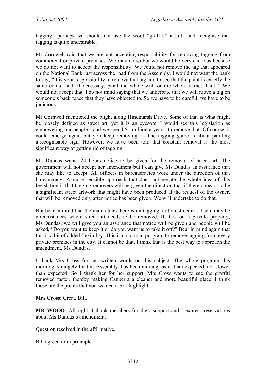tagging—perhaps we should not use the word "graffiti" at all—and recognise that tagging is quite undesirable.

Mr Cornwell said that we are not accepting responsibility for removing tagging from commercial or private premises. We may do so but we would be very cautious because we do not want to accept the responsibility. We could not remove the tag that appeared on the National Bank just across the road from the Assembly. I would not want the bank to say, "It is your responsibility to remove that tag and to see that the paint is exactly the same colour and, if necessary, paint the whole wall or the whole darned bank." We would not accept that. I do not mind saying that we anticipate that we will move a tag on someone's back fence that they have objected to. So we have to be careful, we have to be judicious.

Mr Cornwell mentioned the blight along Hindmarsh Drive. Some of that is what might be loosely defined as street art, yet it is an eyesore. I would see this legislation as empowering our people—and we spend \$1 million a year—to remove that. Of course, it could emerge again but you keep removing it. The tagging game is about painting a recognisable sign. However, we have been told that constant removal is the most significant way of getting rid of tagging.

Ms Dundas wants 24 hours notice to be given for the removal of street art. The government will not accept her amendment but I can give Ms Dundas an assurance that she may like to accept. All officers in bureaucracies work under the direction of that bureaucracy. A more sensible approach that does not negate the whole idea of this legislation is that tagging removers will be given the direction that if there appears to be a significant street artwork that might have been produced at the request of the owner, that will be removed only after notice has been given. We will undertake to do that.

But bear in mind that the main attack here is on tagging, not on street art. There may be circumstances where street art needs to be removed. If it is on a private property, Ms Dundas, we will give you an assurance that notice will be given and people will be asked, "Do you want to keep it or do you want us to take it off?" Bear in mind again that this is a bit of added flexibility. This is not a total program to remove tagging from every private premises in the city. It cannot be that. I think that is the best way to approach the amendment, Ms Dundas.

I thank Mrs Cross for her written words on this subject. The whole program this morning, strangely for this Assembly, has been moving faster than expected, not slower than expected. So I thank her for her support. Mrs Cross wants to see the graffiti removed faster, thereby making Canberra a cleaner and more beautiful place. I think those are the points that you wanted me to highlight.

**Mrs Cross**: Great, Bill.

**MR WOOD**: All right. I thank members for their support and I express reservations about Ms Dundas's amendment.

Question resolved in the affirmative.

Bill agreed to in principle.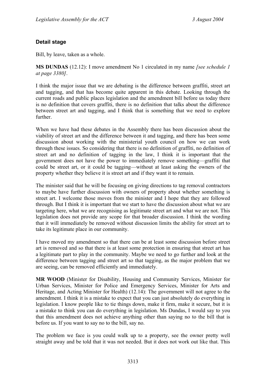#### **Detail stage**

Bill, by leave, taken as a whole.

**MS DUNDAS** (12.12): I move amendment No 1 circulated in my name *[see schedule 1 at page 3380]*.

I think the major issue that we are debating is the difference between graffiti, street art and tagging, and that has become quite apparent in this debate. Looking through the current roads and public places legislation and the amendment bill before us today there is no definition that covers graffiti, there is no definition that talks about the difference between street art and tagging, and I think that is something that we need to explore further.

When we have had these debates in the Assembly there has been discussion about the viability of street art and the difference between it and tagging, and there has been some discussion about working with the ministerial youth council on how we can work through these issues. So considering that there is no definition of graffiti, no definition of street art and no definition of tagging in the law, I think it is important that the government does not have the power to immediately remove something—graffiti that could be street art, or it could be tagging—without at least asking the owners of the property whether they believe it is street art and if they want it to remain.

The minister said that he will be focusing on giving directions to tag removal contractors to maybe have further discussion with owners of property about whether something is street art. I welcome those moves from the minister and I hope that they are followed through. But I think it is important that we start to have the discussion about what we are targeting here, what we are recognising as legitimate street art and what we are not. This legislation does not provide any scope for that broader discussion. I think the wording that it will immediately be removed without discussion limits the ability for street art to take its legitimate place in our community.

I have moved my amendment so that there can be at least some discussion before street art is removed and so that there is at least some protection in ensuring that street art has a legitimate part to play in the community. Maybe we need to go further and look at the difference between tagging and street art so that tagging, as the major problem that we are seeing, can be removed efficiently and immediately.

**MR WOOD** (Minister for Disability, Housing and Community Services, Minister for Urban Services, Minister for Police and Emergency Services, Minister for Arts and Heritage, and Acting Minister for Health) (12.14): The government will not agree to the amendment. I think it is a mistake to expect that you can just absolutely do everything in legislation. I know people like to tie things down, make it firm, make it secure, but it is a mistake to think you can do everything in legislation. Ms Dundas, I would say to you that this amendment does not achieve anything other than saying no to the bill that is before us. If you want to say no to the bill, say no.

The problem we face is you could walk up to a property, see the owner pretty well straight away and be told that it was not needed. But it does not work out like that. This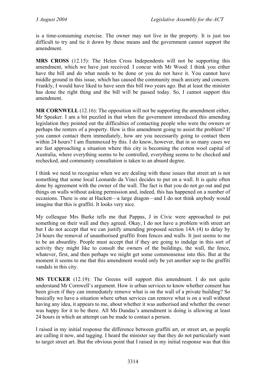is a time-consuming exercise. The owner may not live in the property. It is just too difficult to try and tie it down by these means and the government cannot support the amendment.

**MRS CROSS** (12.15): The Helen Cross Independents will not be supporting this amendment, which we have just received. I concur with Mr Wood: I think you either have the bill and do what needs to be done or you do not have it. You cannot have middle ground in this issue, which has caused the community much anxiety and concern. Frankly, I would have liked to have seen this bill two years ago. But at least the minister has done the right thing and the bill will be passed today. So, I cannot support this amendment.

**MR CORNWELL** (12.16): The opposition will not be supporting the amendment either, Mr Speaker. I am a bit puzzled in that when the government introduced this amending legislation they pointed out the difficulties of contacting people who were the owners or perhaps the renters of a property. How is this amendment going to assist the problem? If you cannot contact them immediately, how are you necessarily going to contact them within 24 hours? I am flummoxed by this. I do know, however, that in so many cases we are fast approaching a situation where this city is becoming the cotton wool capital of Australia, where everything seems to be controlled, everything seems to be checked and rechecked, and community consultation is taken to an absurd degree.

I think we need to recognise when we are dealing with these issues that street art is not something that some local Leonardo da Vinci decides to put on a wall. It is quite often done by agreement with the owner of the wall. The fact is that you do not go out and put things on walls without asking permission and, indeed, this has happened on a number of occasions. There is one at Hackett—a large dragon—and I do not think anybody would imagine that this is graffiti. It looks very nice.

My colleague Mrs Burke tells me that Pappas, J in Civic were approached to put something on their wall and they agreed. Okay, I do not have a problem with street art but I do not accept that we can justify amending proposed section 14A (4) to delay by 24 hours the removal of unauthorised graffiti from fences and walls. It just seems to me to be an absurdity. People must accept that if they are going to indulge in this sort of activity they might like to consult the owners of the buildings, the wall, the fence, whatever, first, and then perhaps we might get some commonsense into this. But at the moment it seems to me that this amendment would only be yet another sop to the graffiti vandals in this city.

**MS TUCKER** (12.19): The Greens will support this amendment. I do not quite understand Mr Cornwell's argument. How is urban services to know whether consent has been given if they can immediately remove what is on the wall of a private building? So basically we have a situation where urban services can remove what is on a wall without having any idea, it appears to me, about whether it was authorised and whether the owner was happy for it to be there. All Ms Dundas's amendment is doing is allowing at least 24 hours in which an attempt can be made to contact a person.

I raised in my initial response the difference between graffiti art, or street art, as people are calling it now, and tagging. I heard the minister say that they do not particularly want to target street art. But the obvious point that I raised in my initial response was that this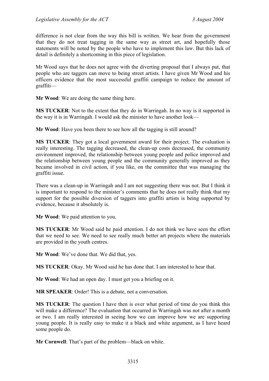difference is not clear from the way this bill is written. We hear from the government that they do not treat tagging in the same way as street art, and hopefully those statements will be noted by the people who have to implement this law. But this lack of detail is definitely a shortcoming in this piece of legislation.

Mr Wood says that he does not agree with the diverting proposal that I always put, that people who are taggers can move to being street artists. I have given Mr Wood and his officers evidence that the most successful graffiti campaign to reduce the amount of graffiti—

**Mr Wood**: We are doing the same thing here.

**MS TUCKER**: Not to the extent that they do in Warringah. In no way is it supported in the way it is in Warringah. I would ask the minister to have another look—

**Mr Wood**: Have you been there to see how all the tagging is still around?

**MS TUCKER**: They got a local government award for their project. The evaluation is really interesting. The tagging decreased, the clean-up costs decreased, the community environment improved, the relationship between young people and police improved and the relationship between young people and the community generally improved as they became involved in civil action, if you like, on the committee that was managing the graffiti issue.

There was a clean-up in Warringah and I am not suggesting there was not. But I think it is important to respond to the minister's comments that he does not really think that my support for the possible diversion of taggers into graffiti artists is being supported by evidence, because it absolutely is.

**Mr Wood**: We paid attention to you.

**MS TUCKER**: Mr Wood said he paid attention. I do not think we have seen the effort that we need to see. We need to see really much better art projects where the materials are provided in the youth centres.

**Mr Wood**: We've done that. We did that, yes.

**MS TUCKER**: Okay. Mr Wood said he has done that. I am interested to hear that.

**Mr Wood**: We had an open day. I must get you a briefing on it.

**MR SPEAKER**: Order! This is a debate, not a conversation.

**MS TUCKER**: The question I have then is over what period of time do you think this will make a difference? The evaluation that occurred in Warringah was not after a month or two. I am really interested in seeing how we can improve how we are supporting young people. It is really easy to make it a black and white argument, as I have heard some people do.

**Mr Cornwell**: That's part of the problem—black on white.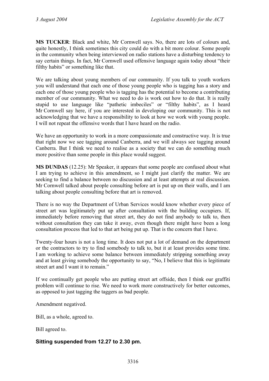**MS TUCKER**: Black and white, Mr Cornwell says. No, there are lots of colours and, quite honestly, I think sometimes this city could do with a bit more colour. Some people in the community when being interviewed on radio stations have a disturbing tendency to say certain things. In fact, Mr Cornwell used offensive language again today about "their filthy habits" or something like that.

We are talking about young members of our community. If you talk to youth workers you will understand that each one of those young people who is tagging has a story and each one of those young people who is tagging has the potential to become a contributing member of our community. What we need to do is work out how to do that. It is really stupid to use language like "pathetic imbeciles" or "filthy habits", as I heard Mr Cornwell say here, if you are interested in developing our community. This is not acknowledging that we have a responsibility to look at how we work with young people. I will not repeat the offensive words that I have heard on the radio.

We have an opportunity to work in a more compassionate and constructive way. It is true that right now we see tagging around Canberra, and we will always see tagging around Canberra. But I think we need to realise as a society that we can do something much more positive than some people in this place would suggest.

**MS DUNDAS** (12.25): Mr Speaker, it appears that some people are confused about what I am trying to achieve in this amendment, so I might just clarify the matter. We are seeking to find a balance between no discussion and at least attempts at real discussion. Mr Cornwell talked about people consulting before art is put up on their walls, and I am talking about people consulting before that art is removed.

There is no way the Department of Urban Services would know whether every piece of street art was legitimately put up after consultation with the building occupiers. If, immediately before removing that street art, they do not find anybody to talk to, then without consultation they can take it away, even though there might have been a long consultation process that led to that art being put up. That is the concern that I have.

Twenty-four hours is not a long time. It does not put a lot of demand on the department or the contractors to try to find somebody to talk to, but it at least provides some time. I am working to achieve some balance between immediately stripping something away and at least giving somebody the opportunity to say, "No, I believe that this is legitimate street art and I want it to remain."

If we continually get people who are putting street art offside, then I think our graffiti problem will continue to rise. We need to work more constructively for better outcomes, as opposed to just tagging the taggers as bad people.

Amendment negatived.

Bill, as a whole, agreed to.

Bill agreed to.

#### **Sitting suspended from 12.27 to 2.30 pm.**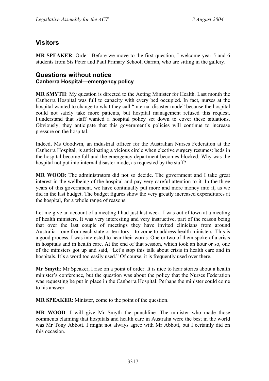#### <span id="page-33-0"></span>**Visitors**

**MR SPEAKER**: Order! Before we move to the first question, I welcome year 5 and 6 students from Sts Peter and Paul Primary School, Garran, who are sitting in the gallery.

#### <span id="page-33-1"></span>**Questions without notice Canberra Hospital—emergency policy**

**MR SMYTH**: My question is directed to the Acting Minister for Health. Last month the Canberra Hospital was full to capacity with every bed occupied. In fact, nurses at the hospital wanted to change to what they call "internal disaster mode" because the hospital could not safely take more patients, but hospital management refused this request. I understand that staff wanted a hospital policy set down to cover these situations. Obviously, they anticipate that this government's policies will continue to increase pressure on the hospital.

Indeed, Ms Goodwin, an industrial officer for the Australian Nurses Federation at the Canberra Hospital, is anticipating a vicious circle when elective surgery resumes: beds in the hospital become full and the emergency department becomes blocked. Why was the hospital not put into internal disaster mode, as requested by the staff?

**MR WOOD**: The administrators did not so decide. The government and I take great interest in the wellbeing of the hospital and pay very careful attention to it. In the three years of this government, we have continually put more and more money into it, as we did in the last budget. The budget figures show the very greatly increased expenditures at the hospital, for a whole range of reasons.

Let me give an account of a meeting I had just last week. I was out of town at a meeting of health ministers. It was very interesting and very instructive, part of the reason being that over the last couple of meetings they have invited clinicians from around Australia—one from each state or territory—to come to address health ministers. This is a good process. I was interested to hear their words. One or two of them spoke of a crisis in hospitals and in health care. At the end of that session, which took an hour or so, one of the ministers got up and said, "Let's stop this talk about crisis in health care and in hospitals. It's a word too easily used." Of course, it is frequently used over there.

**Mr Smyth**: Mr Speaker, I rise on a point of order. It is nice to hear stories about a health minister's conference, but the question was about the policy that the Nurses Federation was requesting be put in place in the Canberra Hospital. Perhaps the minister could come to his answer.

**MR SPEAKER**: Minister, come to the point of the question.

**MR WOOD**: I will give Mr Smyth the punchline. The minister who made those comments claiming that hospitals and health care in Australia were the best in the world was Mr Tony Abbott. I might not always agree with Mr Abbott, but I certainly did on this occasion.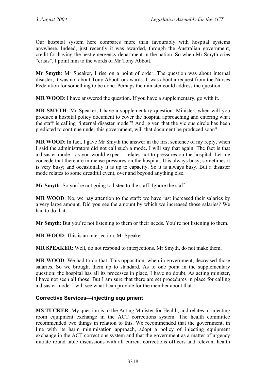Our hospital system here compares more than favourably with hospital systems anywhere. Indeed, just recently it was awarded, through the Australian government, credit for having the best emergency department in the nation. So when Mr Smyth cries "crisis", I point him to the words of Mr Tony Abbott.

**Mr Smyth**: Mr Speaker, I rise on a point of order. The question was about internal disaster; it was not about Tony Abbott or awards. It was about a request from the Nurses Federation for something to be done. Perhaps the minister could address the question.

**MR WOOD**: I have answered the question. If you have a supplementary, go with it.

**MR SMYTH**: Mr Speaker, I have a supplementary question. Minister, when will you produce a hospital policy document to cover the hospital approaching and entering what the staff is calling "internal disaster mode"? And, given that the vicious circle has been predicted to continue under this government, will that document be produced soon?

**MR WOOD**: In fact, I gave Mr Smyth the answer in the first sentence of my reply, when I said the administrators did not call such a mode. I will say that again. The fact is that a disaster mode—as you would expect—relates not to pressures on the hospital. Let me concede that there are immense pressures on the hospital. It is always busy; sometimes it is very busy; and occasionally it is up to capacity. So it is always busy. But a disaster mode relates to some dreadful event, over and beyond anything else.

**Mr Smyth**: So you're not going to listen to the staff. Ignore the staff.

**MR WOOD**: No, we pay attention to the staff: we have just increased their salaries by a very large amount. Did you see the amount by which we increased those salaries? We had to do that.

**Mr Smyth**: But you're not listening to them or their needs. You're not listening to them.

**MR WOOD**: This is an interjection, Mr Speaker.

**MR SPEAKER**: Well, do not respond to interjections. Mr Smyth, do not make them.

**MR WOOD**: We had to do that. This opposition, when in government, decreased those salaries. So we brought them up to standard. As to one point in the supplementary question: the hospital has all its processes in place, I have no doubt. As acting minister, I have not seen all those. But I am sure that there are set procedures in place for calling a disaster mode. I will see what I can provide for the member about that.

#### <span id="page-34-0"></span>**Corrective Services—injecting equipment**

**MS TUCKER**: My question is to the Acting Minister for Health, and relates to injecting room equipment exchange in the ACT corrections system. The health committee recommended two things in relation to this. We recommended that the government, in line with its harm minimisation approach, adopt a policy of injecting equipment exchange in the ACT corrections system and that the government as a matter of urgency initiate round table discussions with all current corrections officers and relevant health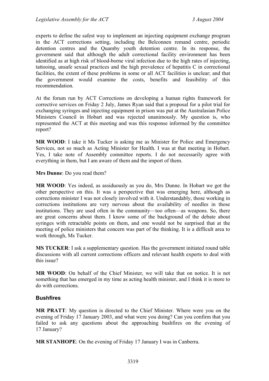experts to define the safest way to implement an injecting equipment exchange program in the ACT corrections setting, including the Belconnen remand centre, periodic detention centres and the Quamby youth detention centre. In its response, the government said that although the adult correctional facility environment has been identified as at high risk of blood-borne viral infection due to the high rates of injecting, tattooing, unsafe sexual practices and the high prevalence of hepatitis C in correctional facilities, the extent of these problems in some or all ACT facilities is unclear; and that the government would examine the costs, benefits and feasibility of this recommendation.

At the forum run by ACT Corrections on developing a human rights framework for corrective services on Friday 2 July, James Ryan said that a proposal for a pilot trial for exchanging syringes and injecting equipment in prison was put at the Australasian Police Ministers Council in Hobart and was rejected unanimously. My question is, who represented the ACT at this meeting and was this response informed by the committee report?

**MR WOOD**: I take it Ms Tucker is asking me as Minister for Police and Emergency Services, not so much as Acting Minister for Health. I was at that meeting in Hobart. Yes, I take note of Assembly committee reports. I do not necessarily agree with everything in them, but I am aware of them and the import of them.

**Mrs Dunne**: Do you read them?

**MR WOOD**: Yes indeed, as assiduously as you do, Mrs Dunne. In Hobart we got the other perspective on this. It was a perspective that was emerging here, although as corrections minister I was not closely involved with it. Understandably, those working in corrections institutions are very nervous about the availability of needles in those institutions. They are used often in the community—too often—as weapons. So, there are great concerns about them. I know some of the background of the debate about syringes with retractable points on them, and one would not be surprised that at the meeting of police ministers that concern was part of the thinking. It is a difficult area to work through, Ms Tucker.

**MS TUCKER**: I ask a supplementary question. Has the government initiated round table discussions with all current corrections officers and relevant health experts to deal with this issue?

**MR WOOD**: On behalf of the Chief Minister, we will take that on notice. It is not something that has emerged in my time as acting health minister, and I think it is more to do with corrections.

#### <span id="page-35-0"></span>**Bushfires**

**MR PRATT**: My question is directed to the Chief Minister. Where were you on the evening of Friday 17 January 2003, and what were you doing? Can you confirm that you failed to ask any questions about the approaching bushfires on the evening of 17 January?

**MR STANHOPE**: On the evening of Friday 17 January I was in Canberra.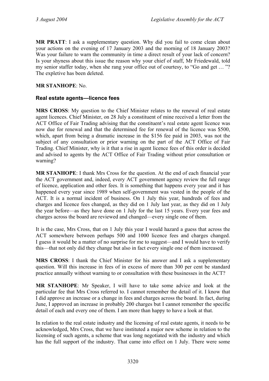**MR PRATT**: I ask a supplementary question. Why did you fail to come clean about your actions on the evening of 17 January 2003 and the morning of 18 January 2003? Was your failure to warn the community in time a direct result of your lack of concern? Is your shyness about this issue the reason why your chief of staff, Mr Friedewald, told my senior staffer today, when she rang your office out of courtesy, to "Go and get … "? The expletive has been deleted.

### **MR STANHOPE**: No.

### **Real estate agents—licence fees**

**MRS CROSS**: My question to the Chief Minister relates to the renewal of real estate agent licences. Chief Minister, on 28 July a constituent of mine received a letter from the ACT Office of Fair Trading advising that the constituent's real estate agent licence was now due for renewal and that the determined fee for renewal of the licence was \$500, which, apart from being a dramatic increase in the \$156 fee paid in 2003, was not the subject of any consultation or prior warning on the part of the ACT Office of Fair Trading. Chief Minister, why is it that a rise in agent licence fees of this order is decided and advised to agents by the ACT Office of Fair Trading without prior consultation or warning?

**MR STANHOPE**: I thank Mrs Cross for the question. At the end of each financial year the ACT government and, indeed, every ACT government agency review the full range of licence, application and other fees. It is something that happens every year and it has happened every year since 1989 when self-government was vested in the people of the ACT. It is a normal incident of business. On 1 July this year, hundreds of fees and charges and licence fees changed, as they did on 1 July last year, as they did on 1 July the year before—as they have done on 1 July for the last 15 years. Every year fees and charges across the board are reviewed and changed—every single one of them.

It is the case, Mrs Cross, that on 1 July this year I would hazard a guess that across the ACT somewhere between perhaps 500 and 1000 licence fees and charges changed. I guess it would be a matter of no surprise for me to suggest—and I would have to verify this—that not only did they change but also in fact every single one of them increased.

**MRS CROSS**: I thank the Chief Minister for his answer and I ask a supplementary question. Will this increase in fees of in excess of more than 300 per cent be standard practice annually without warning to or consultation with these businesses in the ACT?

**MR STANHOPE**: Mr Speaker, I will have to take some advice and look at the particular fee that Mrs Cross referred to. I cannot remember the detail of it. I know that I did approve an increase or a change in fees and charges across the board. In fact, during June, I approved an increase in probably 200 charges but I cannot remember the specific detail of each and every one of them. I am more than happy to have a look at that.

In relation to the real estate industry and the licensing of real estate agents, it needs to be acknowledged, Mrs Cross, that we have instituted a major new scheme in relation to the licensing of such agents, a scheme that was long negotiated with the industry and which has the full support of the industry. That came into effect on 1 July. There were some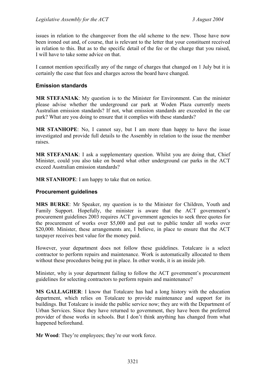issues in relation to the changeover from the old scheme to the new. Those have now been ironed out and, of course, that is relevant to the letter that your constituent received in relation to this. But as to the specific detail of the fee or the charge that you raised, I will have to take some advice on that.

I cannot mention specifically any of the range of charges that changed on 1 July but it is certainly the case that fees and charges across the board have changed.

### **Emission standards**

**MR STEFANIAK**: My question is to the Minister for Environment. Can the minister please advise whether the underground car park at Woden Plaza currently meets Australian emission standards? If not, what emission standards are exceeded in the car park? What are you doing to ensure that it complies with these standards?

**MR STANHOPE**: No, I cannot say, but I am more than happy to have the issue investigated and provide full details to the Assembly in relation to the issue the member raises.

**MR STEFANIAK:** I ask a supplementary question. Whilst you are doing that, Chief Minister, could you also take on board what other underground car parks in the ACT exceed Australian emission standards?

**MR STANHOPE**: I am happy to take that on notice.

### **Procurement guidelines**

**MRS BURKE**: Mr Speaker, my question is to the Minister for Children, Youth and Family Support. Hopefully, the minister is aware that the ACT government's procurement guidelines 2003 requires ACT government agencies to seek three quotes for the procurement of works over \$5,000 and put out to public tender all works over \$20,000. Minister, these arrangements are, I believe, in place to ensure that the ACT taxpayer receives best value for the money paid.

However, your department does not follow these guidelines. Totalcare is a select contractor to perform repairs and maintenance. Work is automatically allocated to them without these procedures being put in place. In other words, it is an inside job.

Minister, why is your department failing to follow the ACT government's procurement guidelines for selecting contractors to perform repairs and maintenance?

**MS GALLAGHER**: I know that Totalcare has had a long history with the education department, which relies on Totalcare to provide maintenance and support for its buildings. But Totalcare is inside the public service now; they are with the Department of Urban Services. Since they have returned to government, they have been the preferred provider of those works in schools. But I don't think anything has changed from what happened beforehand.

**Mr Wood**: They're employees; they're our work force.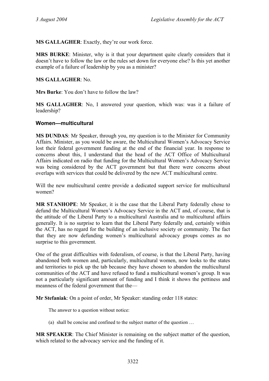**MS GALLAGHER**: Exactly, they're our work force.

**MRS BURKE**: Minister, why is it that your department quite clearly considers that it doesn't have to follow the law or the rules set down for everyone else? Is this yet another example of a failure of leadership by you as a minister?

**MS GALLAGHER**: No.

**Mrs Burke**: You don't have to follow the law?

**MS GALLAGHER**: No, I answered your question, which was: was it a failure of leadership?

### **Women—multicultural**

**MS DUNDAS**: Mr Speaker, through you, my question is to the Minister for Community Affairs. Minister, as you would be aware, the Multicultural Women's Advocacy Service lost their federal government funding at the end of the financial year. In response to concerns about this, I understand that the head of the ACT Office of Multicultural Affairs indicated on radio that funding for the Multicultural Women's Advocacy Service was being considered by the ACT government but that there were concerns about overlaps with services that could be delivered by the new ACT multicultural centre.

Will the new multicultural centre provide a dedicated support service for multicultural women?

**MR STANHOPE**: Mr Speaker, it is the case that the Liberal Party federally chose to defund the Multicultural Women's Advocacy Service in the ACT and, of course, that is the attitude of the Liberal Party to a multicultural Australia and to multicultural affairs generally. It is no surprise to learn that the Liberal Party federally and, certainly within the ACT, has no regard for the building of an inclusive society or community. The fact that they are now defunding women's multicultural advocacy groups comes as no surprise to this government.

One of the great difficulties with federalism, of course, is that the Liberal Party, having abandoned both women and, particularly, multicultural women, now looks to the states and territories to pick up the tab because they have chosen to abandon the multicultural communities of the ACT and have refused to fund a multicultural women's group. It was not a particularly significant amount of funding and I think it shows the pettiness and meanness of the federal government that the—

**Mr Stefaniak**: On a point of order, Mr Speaker: standing order 118 states:

The answer to a question without notice:

(a) shall be concise and confined to the subject matter of the question …

**MR SPEAKER**: The Chief Minister is remaining on the subject matter of the question, which related to the advocacy service and the funding of it.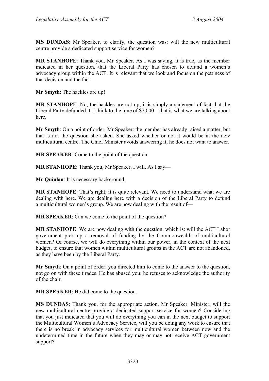**MS DUNDAS**: Mr Speaker, to clarify, the question was: will the new multicultural centre provide a dedicated support service for women?

**MR STANHOPE**: Thank you, Mr Speaker. As I was saying, it is true, as the member indicated in her question, that the Liberal Party has chosen to defund a women's advocacy group within the ACT. It is relevant that we look and focus on the pettiness of that decision and the fact—

**Mr Smyth**: The hackles are up!

**MR STANHOPE**: No, the hackles are not up; it is simply a statement of fact that the Liberal Party defunded it, I think to the tune of \$7,000—that is what we are talking about here.

**Mr Smyth**: On a point of order, Mr Speaker: the member has already raised a matter, but that is not the question she asked. She asked whether or not it would be in the new multicultural centre. The Chief Minister avoids answering it; he does not want to answer.

**MR SPEAKER**: Come to the point of the question.

**MR STANHOPE**: Thank you, Mr Speaker, I will. As I say—

**Mr Quinlan**: It is necessary background.

**MR STANHOPE**: That's right; it is quite relevant. We need to understand what we are dealing with here. We are dealing here with a decision of the Liberal Party to defund a multicultural women's group. We are now dealing with the result of—

**MR SPEAKER**: Can we come to the point of the question?

**MR STANHOPE**: We are now dealing with the question, which is: will the ACT Labor government pick up a removal of funding by the Commonwealth of multicultural women? Of course, we will do everything within our power, in the context of the next budget, to ensure that women within multicultural groups in the ACT are not abandoned, as they have been by the Liberal Party.

**Mr Smyth**: On a point of order: you directed him to come to the answer to the question, not go on with these tirades. He has abused you; he refuses to acknowledge the authority of the chair.

**MR SPEAKER**: He did come to the question.

**MS DUNDAS**: Thank you, for the appropriate action, Mr Speaker. Minister, will the new multicultural centre provide a dedicated support service for women? Considering that you just indicated that you will do everything you can in the next budget to support the Multicultural Women's Advocacy Service, will you be doing any work to ensure that there is no break in advocacy services for multicultural women between now and the undetermined time in the future when they may or may not receive ACT government support?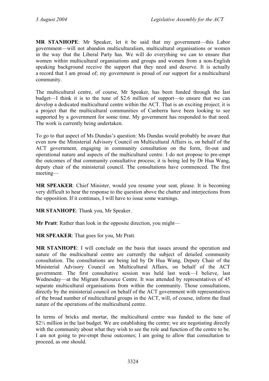**MR STANHOPE**: Mr Speaker, let it be said that my government—this Labor government—will not abandon multiculturalism, multicultural organisations or women in the way that the Liberal Party has. We will do everything we can to ensure that women within multicultural organisations and groups and women from a non-English speaking background receive the support that they need and deserve. It is actually a record that I am proud of; my government is proud of our support for a multicultural community.

The multicultural centre, of course, Mr Speaker, has been funded through the last budget—I think it is to the tune of \$2.6 million of support—to ensure that we can develop a dedicated multicultural centre within the ACT. That is an exciting project; it is a project that the multicultural communities of Canberra have been looking to see supported by a government for some time. My government has responded to that need. The work is currently being undertaken.

To go to that aspect of Ms Dundas's question: Ms Dundas would probably be aware that even now the Ministerial Advisory Council on Multicultural Affairs is, on behalf of the ACT government, engaging in community consultation on the form, fit-out and operational nature and aspects of the multicultural centre. I do not propose to pre-empt the outcomes of that community consultative process; it is being led by Dr Hua Wang, deputy chair of the ministerial council. The consultations have commenced. The first meeting—

**MR SPEAKER**: Chief Minister, would you resume your seat, please. It is becoming very difficult to hear the response to the question above the chatter and interjections from the opposition. If it continues, I will have to issue some warnings.

**MR STANHOPE**: Thank you, Mr Speaker.

**Mr Pratt**: Rather than look in the opposite direction, you might—

**MR SPEAKER**: That goes for you, Mr Pratt.

**MR STANHOPE**: I will conclude on the basis that issues around the operation and nature of the multicultural centre are currently the subject of detailed community consultation. The consultations are being led by Dr Hua Wang, Deputy Chair of the Ministerial Advisory Council on Multicultural Affairs, on behalf of the ACT government. The first consultative session was held last week—I believe, last Wednesday—at the Migrant Resource Centre. It was attended by representatives of 45 separate multicultural organisations from within the community. Those consultations, directly by the ministerial council on behalf of the ACT government with representatives of the broad number of multicultural groups in the ACT, will, of course, inform the final nature of the operations of the multicultural centre.

In terms of bricks and mortar, the multicultural centre was funded to the tune of \$2\% million in the last budget. We are establishing the centre; we are negotiating directly with the community about what they wish to see the role and function of the centre to be. I am not going to pre-empt those outcomes; I am going to allow that consultation to proceed, as one should.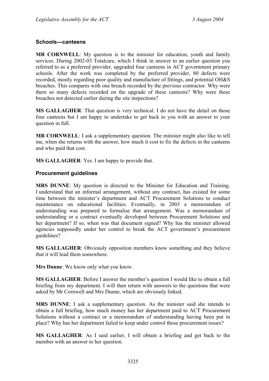### **Schools—canteens**

**MR CORNWELL**: My question is to the minister for education, youth and family services. During 2002-03 Totalcare, which I think in answer to an earlier question you referred to as a preferred provider, upgraded four canteens in ACT government primary schools. After the work was completed by the preferred provider, 80 defects were recorded, mostly regarding poor quality and manufacture of fittings, and potential OH&S breaches. This compares with one breach recorded by the previous contractor. Why were there so many defects recorded on the upgrade of these canteens? Why were these breaches not detected earlier during the site inspections?

**MS GALLAGHER**: That question is very technical. I do not have the detail on those four canteens but I am happy to undertake to get back to you with an answer to your question in full.

**MR CORNWELL**: I ask a supplementary question. The minister might also like to tell me, when she returns with the answer, how much it cost to fix the defects in the canteens and who paid that cost.

**MS GALLAGHER**: Yes. I am happy to provide that.

### **Procurement guidelines**

**MRS DUNNE**: My question is directed to the Minister for Education and Training. I understand that an informal arrangement, without any contract, has existed for some time between the minister's department and ACT Procurement Solutions to conduct maintenance on educational facilities. Eventually, in 2003 a memorandum of understanding was prepared to formalise that arrangement. Was a memorandum of understanding or a contract eventually developed between Procurement Solutions and her department? If so, when was that document signed? Why has the minister allowed agencies supposedly under her control to break the ACT government's procurement guidelines?

**MS GALLAGHER**: Obviously opposition members know something and they believe that it will lead them somewhere.

**Mrs Dunne**: We know only what you know.

**MS GALLAGHER**: Before I answer the member's question I would like to obtain a full briefing from my department. I will then return with answers to the questions that were asked by Mr Cornwell and Mrs Dunne, which are obviously linked.

**MRS DUNNE**: I ask a supplementary question. As the minister said she intends to obtain a full briefing, how much money has her department paid to ACT Procurement Solutions without a contract or a memorandum of understanding having been put in place? Why has her department failed to keep under control those procurement issues?

**MS GALLAGHER**: As I said earlier, I will obtain a briefing and get back to the member with an answer to her question.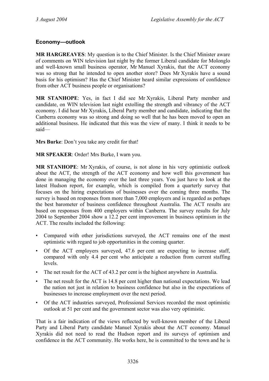## **Economy—outlook**

**MR HARGREAVES**: My question is to the Chief Minister. Is the Chief Minister aware of comments on WIN television last night by the former Liberal candidate for Molonglo and well-known small business operator, Mr Manuel Xyrakis, that the ACT economy was so strong that he intended to open another store? Does Mr Xyrakis have a sound basis for his optimism? Has the Chief Minister heard similar expressions of confidence from other ACT business people or organisations?

**MR STANHOPE**: Yes, in fact I did see Mr Xyrakis, Liberal Party member and candidate, on WIN television last night extolling the strength and vibrancy of the ACT economy. I did hear Mr Xyrakis, Liberal Party member and candidate, indicating that the Canberra economy was so strong and doing so well that he has been moved to open an additional business. He indicated that this was the view of many. I think it needs to be said—

**Mrs Burke**: Don't you take any credit for that!

**MR SPEAKER**: Order! Mrs Burke, I warn you.

**MR STANHOPE**: Mr Xyrakis, of course, is not alone in his very optimistic outlook about the ACT, the strength of the ACT economy and how well this government has done in managing the economy over the last three years. You just have to look at the latest Hudson report, for example, which is compiled from a quarterly survey that focuses on the hiring expectations of businesses over the coming three months. The survey is based on responses from more than 7,000 employers and is regarded as perhaps the best barometer of business confidence throughout Australia. The ACT results are based on responses from 400 employers within Canberra. The survey results for July 2004 to September 2004 show a 12.2 per cent improvement in business optimism in the ACT. The results included the following:

- Compared with other jurisdictions surveyed, the ACT remains one of the most optimistic with regard to job opportunities in the coming quarter.
- Of the ACT employers surveyed, 47.6 per cent are expecting to increase staff, compared with only 4.4 per cent who anticipate a reduction from current staffing levels.
- The net result for the ACT of 43.2 per cent is the highest anywhere in Australia.
- The net result for the ACT is 14.8 per cent higher than national expectations. We lead the nation not just in relation to business confidence but also in the expectations of businesses to increase employment over the next period.
- Of the ACT industries surveyed, Professional Services recorded the most optimistic outlook at 51 per cent and the government sector was also very optimistic.

That is a fair indication of the views reflected by well-known member of the Liberal Party and Liberal Party candidate Manuel Xyrakis about the ACT economy. Manuel Xyrakis did not need to read the Hudson report and its surveys of optimism and confidence in the ACT community. He works here, he is committed to the town and he is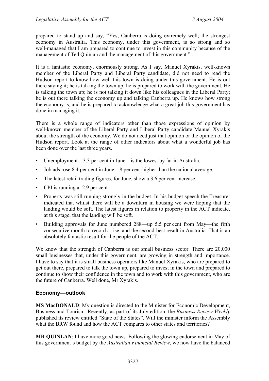prepared to stand up and say, "Yes, Canberra is doing extremely well; the strongest economy in Australia. This economy, under this government, is so strong and so well-managed that I am prepared to continue to invest in this community because of the management of Ted Quinlan and the management of this government."

It is a fantastic economy, enormously strong. As I say, Manuel Xyrakis, well-known member of the Liberal Party and Liberal Party candidate, did not need to read the Hudson report to know how well this town is doing under this government. He is out there saying it; he is talking the town up; he is prepared to work with the government. He is talking the town up; he is not talking it down like his colleagues in the Liberal Party; he is out there talking the economy up and talking Canberra up. He knows how strong the economy is, and he is prepared to acknowledge what a great job this government has done in managing it.

There is a whole range of indicators other than those expressions of opinion by well-known member of the Liberal Party and Liberal Party candidate Manuel Xyrakis about the strength of the economy. We do not need just that opinion or the opinion of the Hudson report. Look at the range of other indicators about what a wonderful job has been done over the last three years.

- Unemployment—3.3 per cent in June—is the lowest by far in Australia.
- Job ads rose 8.4 per cent in June—8 per cent higher than the national average.
- The latest retail trading figures, for June, show a 3.6 per cent increase.
- CPI is running at 2.9 per cent.
- Property was still running strongly in the budget. In his budget speech the Treasurer indicated that whilst there will be a downturn in housing we were hoping that the landing would be soft. The latest figures in relation to property in the ACT indicate, at this stage, that the landing will be soft.
- Building approvals for June numbered 288—up 5.5 per cent from May—the fifth consecutive month to record a rise, and the second-best result in Australia. That is an absolutely fantastic result for the people of the ACT.

We know that the strength of Canberra is our small business sector. There are 20,000 small businesses that, under this government, are growing in strength and importance. I have to say that it is small business operators like Manuel Xyrakis, who are prepared to get out there, prepared to talk the town up, prepared to invest in the town and prepared to continue to show their confidence in the town and to work with this government, who are the future of Canberra. Well done, Mr Xyrakis.

### **Economy—outlook**

**MS MacDONALD**: My question is directed to the Minister for Economic Development, Business and Tourism. Recently, as part of its July edition, the *Business Review Weekly*  published its review entitled "State of the States". Will the minister inform the Assembly what the BRW found and how the ACT compares to other states and territories?

**MR QUINLAN:** I have more good news. Following the glowing endorsement in May of this government's budget by the *Australian Financial Review*, we now have the balanced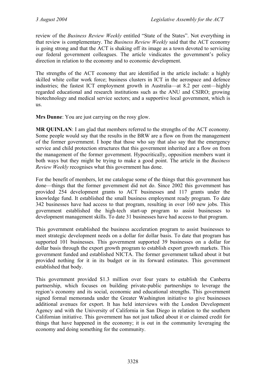review of the *Business Review Weekly* entitled "State of the States". Not everything in that review is complementary. The *Business Review Weekly* said that the ACT economy is going strong and that the ACT is shaking off its image as a town devoted to servicing our federal government colleagues. The article vindicates the government's policy direction in relation to the economy and to economic development.

The strengths of the ACT economy that are identified in the article include: a highly skilled white collar work force; business clusters in ICT in the aerospace and defence industries; the fastest ICT employment growth in Australia—at 8.2 per cent—highly regarded educational and research institutions such as the ANU and CSIRO; growing biotechnology and medical service sectors; and a supportive local government, which is us.

**Mrs Dunne**: You are just carrying on the rosy glow.

**MR QUINLAN:** I am glad that members referred to the strengths of the ACT economy. Some people would say that the results in the BRW are a flow on from the management of the former government. I hope that those who say that also say that the emergency service and child protection structures that this government inherited are a flow on from the management of the former government. Hypocritically, opposition members want it both ways but they might be trying to make a good point. The article in the *Business Review Weekly* recognises what this government has done.

For the benefit of members, let me catalogue some of the things that this government has done—things that the former government did not do. Since 2002 this government has provided 254 development grants to ACT businesses and 117 grants under the knowledge fund. It established the small business employment ready program. To date 342 businesses have had access to that program, resulting in over 160 new jobs. This government established the high-tech start-up program to assist businesses to development management skills. To date 31 businesses have had access to that program.

This government established the business acceleration program to assist businesses to meet strategic development needs on a dollar for dollar basis. To date that program has supported 101 businesses. This government supported 39 businesses on a dollar for dollar basis through the export growth program to establish export growth markets. This government funded and established NICTA. The former government talked about it but provided nothing for it in its budget or in its forward estimates. This government established that body.

This government provided \$1.3 million over four years to establish the Canberra partnership, which focuses on building private-public partnerships to leverage the region's economy and its social, economic and educational strengths. This government signed formal memoranda under the Greater Washington initiative to give businesses additional avenues for export. It has held interviews with the London Development Agency and with the University of California in San Diego in relation to the southern Californian initiative. This government has not just talked about it or claimed credit for things that have happened in the economy; it is out in the community leveraging the economy and doing something for the community.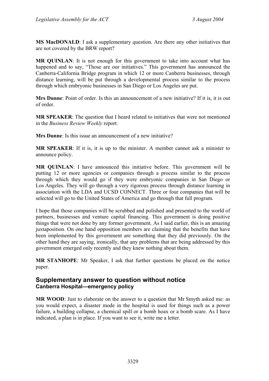**MS MacDONALD**: I ask a supplementary question. Are there any other initiatives that are not covered by the BRW report?

**MR QUINLAN**: It is not enough for this government to take into account what has happened and to say, "Those are our initiatives." This government has announced the Canberra-California Bridge program in which 12 or more Canberra businesses, through distance learning, will be put through a developmental process similar to the process through which embryonic businesses in San Diego or Los Angeles are put.

**Mrs Dunne**: Point of order. Is this an announcement of a new initiative? If it is, it is out of order.

**MR SPEAKER**: The question that I heard related to initiatives that were not mentioned in the *Business Review Weekly* report.

**Mrs Dunne**: Is this issue an announcement of a new initiative?

**MR SPEAKER**: If it is, it is up to the minister. A member cannot ask a minister to announce policy.

**MR QUINLAN**: I have announced this initiative before. This government will be putting 12 or more agencies or companies through a process similar to the process through which they would go if they were embryonic companies in San Diego or Los Angeles. They will go through a very rigorous process through distance learning in association with the LDA and UCSD CONNECT. Three or four companies that will be selected will go to the United States of America and go through that full program.

I hope that those companies will be scrubbed and polished and presented to the world of partners, businesses and venture capital financing. This government is doing positive things that were not done by any former government. As I said earlier, this is an amazing juxtaposition. On one hand opposition members are claiming that the benefits that have been implemented by this government are something that they did previously. On the other hand they are saying, ironically, that any problems that are being addressed by this government emerged only recently and they knew nothing about them.

**MR STANHOPE**: Mr Speaker, I ask that further questions be placed on the notice paper.

### **Supplementary answer to question without notice Canberra Hospital—emergency policy**

**MR WOOD**: Just to elaborate on the answer to a question that Mr Smyth asked me: as you would expect, a disaster mode in the hospital is used for things such as a power failure, a building collapse, a chemical spill or a bomb hoax or a bomb scare. As I have indicated, a plan is in place. If you want to see it, write me a letter.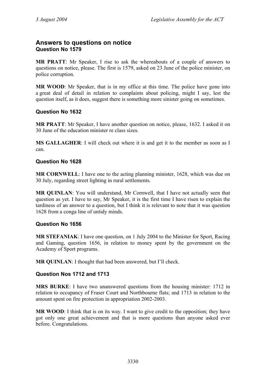# **Answers to questions on notice Question No 1579**

**MR PRATT**: Mr Speaker, I rise to ask the whereabouts of a couple of answers to questions on notice, please. The first is 1579, asked on 23 June of the police minister, on police corruption.

**MR WOOD**: Mr Speaker, that is in my office at this time. The police have gone into a great deal of detail in relation to complaints about policing, might I say, lest the question itself, as it does, suggest there is something more sinister going on sometimes.

### **Question No 1632**

**MR PRATT**: Mr Speaker, I have another question on notice, please, 1632. I asked it on 30 June of the education minister re class sizes.

**MS GALLAGHER:** I will check out where it is and get it to the member as soon as I can.

# **Question No 1628**

**MR CORNWELL**: I have one to the acting planning minister, 1628, which was due on 30 July, regarding street lighting in rural settlements.

**MR QUINLAN**: You will understand, Mr Cornwell, that I have not actually seen that question as yet. I have to say, Mr Speaker, it is the first time I have risen to explain the tardiness of an answer to a question, but I think it is relevant to note that it was question 1628 from a conga line of untidy minds.

### **Question No 1656**

**MR STEFANIAK**: I have one question, on 1 July 2004 to the Minister for Sport, Racing and Gaming, question 1656, in relation to money spent by the government on the Academy of Sport programs.

**MR OUINLAN:** I thought that had been answered, but I'll check.

# **Question Nos 1712 and 1713**

**MRS BURKE**: I have two unanswered questions from the housing minister: 1712 in relation to occupancy of Fraser Court and Northbourne flats; and 1713 in relation to the amount spent on fire protection in appropriation 2002-2003.

**MR WOOD**: I think that is on its way. I want to give credit to the opposition; they have got only one great achievement and that is more questions than anyone asked ever before. Congratulations.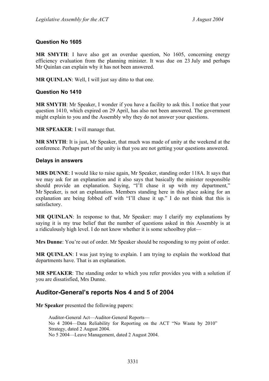### **Question No 1605**

**MR SMYTH**: I have also got an overdue question, No 1605, concerning energy efficiency evaluation from the planning minister. It was due on 23 July and perhaps Mr Quinlan can explain why it has not been answered.

**MR QUINLAN**: Well, I will just say ditto to that one.

### **Question No 1410**

**MR SMYTH**: Mr Speaker, I wonder if you have a facility to ask this. I notice that your question 1410, which expired on 29 April, has also not been answered. The government might explain to you and the Assembly why they do not answer your questions.

**MR SPEAKER**: I will manage that.

**MR SMYTH**: It is just, Mr Speaker, that much was made of unity at the weekend at the conference. Perhaps part of the unity is that you are not getting your questions answered.

### **Delays in answers**

**MRS DUNNE**: I would like to raise again, Mr Speaker, standing order 118A. It says that we may ask for an explanation and it also says that basically the minister responsible should provide an explanation. Saying, "I'll chase it up with my department," Mr Speaker, is not an explanation. Members standing here in this place asking for an explanation are being fobbed off with "I'll chase it up." I do not think that this is satisfactory.

**MR QUINLAN**: In response to that, Mr Speaker: may I clarify my explanations by saying it is my true belief that the number of questions asked in this Assembly is at a ridiculously high level. I do not know whether it is some schoolboy plot—

**Mrs Dunne**: You're out of order. Mr Speaker should be responding to my point of order.

**MR QUINLAN**: I was just trying to explain. I am trying to explain the workload that departments have. That is an explanation.

**MR SPEAKER**: The standing order to which you refer provides you with a solution if you are dissatisfied, Mrs Dunne.

# **Auditor-General's reports Nos 4 and 5 of 2004**

**Mr Speaker** presented the following papers:

Auditor-General Act—Auditor-General Reports— No 4 2004—Data Reliability for Reporting on the ACT "No Waste by 2010" Strategy, dated 2 August 2004. No 5 2004—Leave Management, dated 2 August 2004.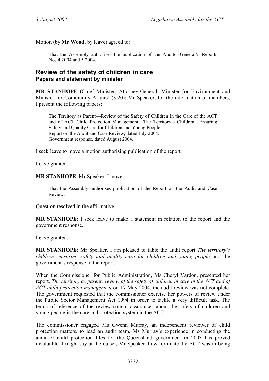Motion (by **Mr Wood**, by leave) agreed to:

That the Assembly authorises the publication of the Auditor-General's Reports Nos 4 2004 and 5 2004.

### **Review of the safety of children in care Papers and statement by minister**

**MR STANHOPE** (Chief Minister, Attorney-General, Minister for Environment and Minister for Community Affairs) (3.20): Mr Speaker, for the information of members, I present the following papers:

The Territory as Parent—Review of the Safety of Children in the Care of the ACT and of ACT Child Protection Management—The Territory's Children—Ensuring Safety and Quality Care for Children and Young People— Report on the Audit and Case Review, dated July 2004. Government response, dated August 2004.

I seek leave to move a motion authorising publication of the report.

Leave granted.

**MR STANHOPE**: Mr Speaker, I move:

That the Assembly authorises publication of the Report on the Audit and Case Review.

Question resolved in the affirmative.

**MR STANHOPE**: I seek leave to make a statement in relation to the report and the government response.

Leave granted.

**MR STANHOPE**: Mr Speaker, I am pleased to table the audit report *The territory's children—ensuring safety and quality care for children and young people* and the government's response to the report.

When the Commissioner for Public Administration, Ms Cheryl Vardon, presented her report, *The territory as parent: review of the safety of children in care in the ACT and of ACT child protection management* on 17 May 2004, the audit review was not complete. The government requested that the commissioner exercise her powers of review under the Public Sector Management Act 1994 in order to tackle a very difficult task. The terms of reference of the review sought assurances about the safety of children and young people in the care and protection system in the ACT.

The commissioner engaged Ms Gwenn Murray, an independent reviewer of child protection matters, to lead an audit team. Ms Murray's experience in conducting the audit of child protection files for the Queensland government in 2003 has proved invaluable. I might say at the outset, Mr Speaker, how fortunate the ACT was in being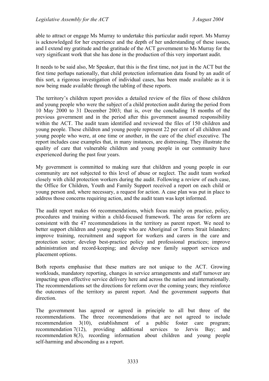able to attract or engage Ms Murray to undertake this particular audit report. Ms Murray is acknowledged for her experience and the depth of her understanding of these issues, and I extend my gratitude and the gratitude of the ACT government to Ms Murray for the very significant work that she has done in the production of this very important audit.

It needs to be said also, Mr Speaker, that this is the first time, not just in the ACT but the first time perhaps nationally, that child protection information data found by an audit of this sort, a rigorous investigation of individual cases, has been made available as it is now being made available through the tabling of these reports.

The territory's children report provides a detailed review of the files of those children and young people who were the subject of a child protection audit during the period from 10 May 2000 to 31 December 2003; that is, over the concluding 18 months of the previous government and in the period after this government assumed responsibility within the ACT. The audit team identified and reviewed the files of 150 children and young people. These children and young people represent 22 per cent of all children and young people who were, at one time or another, in the care of the chief executive. The report includes case examples that, in many instances, are distressing. They illustrate the quality of care that vulnerable children and young people in our community have experienced during the past four years.

My government is committed to making sure that children and young people in our community are not subjected to this level of abuse or neglect. The audit team worked closely with child protection workers during the audit. Following a review of each case, the Office for Children, Youth and Family Support received a report on each child or young person and, where necessary, a request for action. A case plan was put in place to address those concerns requiring action, and the audit team was kept informed.

The audit report makes 66 recommendations, which focus mainly on practice, policy, procedures and training within a child-focused framework. The areas for reform are consistent with the 47 recommendations in the territory as parent report. We need to better support children and young people who are Aboriginal or Torres Strait Islanders; improve training, recruitment and support for workers and carers in the care and protection sector; develop best-practice policy and professional practices; improve administration and record-keeping; and develop new family support services and placement options.

Both reports emphasise that these matters are not unique to the ACT. Growing workloads, mandatory reporting, changes in service arrangements and staff turnover are impacting upon effective service delivery here and across the nation and internationally. The recommendations set the directions for reform over the coming years; they reinforce the outcomes of the territory as parent report. And the government supports that direction.

The government has agreed or agreed in principle to all but three of the recommendations. The three recommendations that are not agreed to include recommendation 3(10), establishment of a public foster care program; recommendation 7(12), providing additional services to Jervis Bay; and recommendation 8(3), recording information about children and young people self-harming and absconding as a report.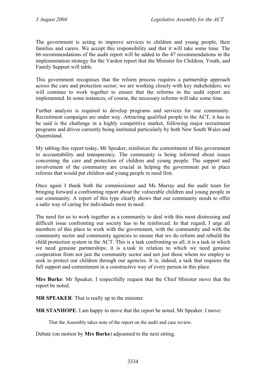The government is acting to improve services to children and young people, their families and carers. We accept this responsibility and that it will take some time. The 66 recommendations of the audit report will be added to the 47 recommendations in the implementation strategy for the Vardon report that the Minister for Children, Youth, and Family Support will table.

This government recognises that the reform process requires a partnership approach across the care and protection sector; we are working closely with key stakeholders; we will continue to work together to ensure that the reforms in the audit report are implemented. In some instances, of course, the necessary reforms will take some time.

Further analysis is required to develop programs and services for our community. Recruitment campaigns are under way. Attracting qualified people to the ACT, it has to be said is the challenge in a highly competitive market, following major recruitment programs and drives currently being instituted particularly by both New South Wales and Queensland.

My tabling this report today, Mr Speaker, reinforces the commitment of this government to accountability and transparency. The community is being informed about issues concerning the care and protection of children and young people. The support and involvement of the community are crucial in helping the government put in place reforms that would put children and young people in need first.

Once again I thank both the commissioner and Ms Murray and the audit team for bringing forward a confronting report about the vulnerable children and young people in our community. A report of this type clearly shows that our community needs to offer a safer way of caring for individuals most in need.

The need for us to work together as a community to deal with this most distressing and difficult issue confronting our society has to be reinforced. In that regard, I urge all members of this place to work with the government, with the community and with the community sector and community agencies to ensure that we do reform and rebuild the child protection system in the ACT. This is a task confronting us all; it is a task in which we need genuine partnerships; it is a task in relation to which we need genuine cooperation from not just the community sector and not just those whom we employ to seek to protect our children through our agencies. It is, indeed, a task that requires the full support and commitment in a constructive way of every person in this place.

**Mrs Burke**: Mr Speaker, I respectfully request that the Chief Minister move that the report be noted.

**MR SPEAKER**: That is really up to the minister.

**MR STANHOPE**: I am happy to move that the report be noted, Mr Speaker. I move:

That the Assembly takes note of the report on the audit and case review.

Debate (on motion by **Mrs Burke**) adjourned to the next sitting.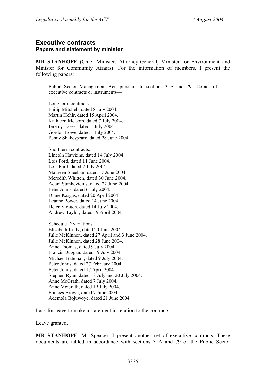## **Executive contracts Papers and statement by minister**

**MR STANHOPE** (Chief Minister, Attorney-General, Minister for Environment and Minister for Community Affairs): For the information of members, I present the following papers:

Public Sector Management Act, pursuant to sections 31A and 79—Copies of executive contracts or instruments—

Long term contracts: Philip Mitchell, dated 8 July 2004. Martin Hehir, dated 15 April 2004. Kathleen Melsom, dated 7 July 2004. Jeremy Lasek, dated 1 July 2004. Gordon Lowe, dated 1 July 2004. Penny Shakespeare, dated 28 June 2004.

Short term contracts: Lincoln Hawkins, dated 14 July 2004. Lois Ford, dated 11 June 2004. Lois Ford, dated 7 July 2004. Maureen Sheehan, dated 17 June 2004. Meredith Whitten, dated 30 June 2004. Adam Stankevicius, dated 22 June 2004. Peter Johns, dated 6 July 2004. Diane Kargas, dated 20 April 2004. Leanne Power, dated 14 June 2004. Helen Strauch, dated 14 July 2004. Andrew Taylor, dated 19 April 2004.

Schedule D variations: Elizabeth Kelly, dated 20 June 2004. Julie McKinnon, dated 27 April and 3 June 2004. Julie McKinnon, dated 28 June 2004. Anne Thomas, dated 9 July 2004. Francis Duggan, dated 19 July 2004. Michael Bateman, dated 9 July 2004. Peter Johns, dated 27 February 2004. Peter Johns, dated 17 April 2004. Stephen Ryan, dated 18 July and 20 July 2004. Anne McGrath, dated 7 July 2004. Anne McGrath, dated 19 July 2004. Frances Brown, dated 7 June 2004. Ademola Bojuwoye, dated 21 June 2004.

I ask for leave to make a statement in relation to the contracts.

Leave granted.

**MR STANHOPE**: Mr Speaker, I present another set of executive contracts. These documents are tabled in accordance with sections 31A and 79 of the Public Sector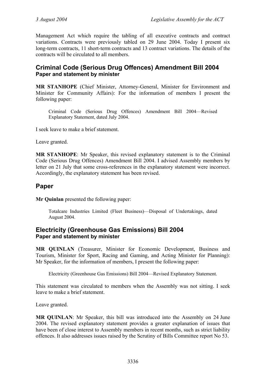Management Act which require the tabling of all executive contracts and contract variations. Contracts were previously tabled on 29 June 2004. Today I present six long-term contracts, 11 short-term contracts and 13 contract variations. The details of the contracts will be circulated to all members.

# **Criminal Code (Serious Drug Offences) Amendment Bill 2004 Paper and statement by minister**

**MR STANHOPE** (Chief Minister, Attorney-General, Minister for Environment and Minister for Community Affairs): For the information of members I present the following paper:

Criminal Code (Serious Drug Offences) Amendment Bill 2004—Revised Explanatory Statement, dated July 2004.

I seek leave to make a brief statement.

Leave granted.

**MR STANHOPE**: Mr Speaker, this revised explanatory statement is to the Criminal Code (Serious Drug Offences) Amendment Bill 2004. I advised Assembly members by letter on 21 July that some cross-references in the explanatory statement were incorrect. Accordingly, the explanatory statement has been revised.

# **Paper**

**Mr Quinlan** presented the following paper:

Totalcare Industries Limited (Fleet Business)—Disposal of Undertakings, dated August 2004.

# **Electricity (Greenhouse Gas Emissions) Bill 2004 Paper and statement by minister**

**MR QUINLAN** (Treasurer, Minister for Economic Development, Business and Tourism, Minister for Sport, Racing and Gaming, and Acting Minister for Planning): Mr Speaker, for the information of members, I present the following paper:

Electricity (Greenhouse Gas Emissions) Bill 2004—Revised Explanatory Statement.

This statement was circulated to members when the Assembly was not sitting. I seek leave to make a brief statement.

Leave granted.

**MR QUINLAN**: Mr Speaker, this bill was introduced into the Assembly on 24 June 2004. The revised explanatory statement provides a greater explanation of issues that have been of close interest to Assembly members in recent months, such as strict liability offences. It also addresses issues raised by the Scrutiny of Bills Committee report No 53.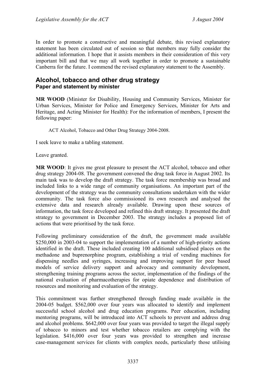In order to promote a constructive and meaningful debate, this revised explanatory statement has been circulated out of session so that members may fully consider the additional information. I hope that it assists members in their consideration of this very important bill and that we may all work together in order to promote a sustainable Canberra for the future. I commend the revised explanatory statement to the Assembly.

## **Alcohol, tobacco and other drug strategy Paper and statement by minister**

**MR WOOD** (Minister for Disability, Housing and Community Services, Minister for Urban Services, Minister for Police and Emergency Services, Minister for Arts and Heritage, and Acting Minister for Health): For the information of members, I present the following paper:

ACT Alcohol, Tobacco and Other Drug Strategy 2004-2008.

I seek leave to make a tabling statement.

Leave granted.

**MR WOOD**: It gives me great pleasure to present the ACT alcohol, tobacco and other drug strategy 2004-08. The government convened the drug task force in August 2002. Its main task was to develop the draft strategy. The task force membership was broad and included links to a wide range of community organisations. An important part of the development of the strategy was the community consultations undertaken with the wider community. The task force also commissioned its own research and analysed the extensive data and research already available. Drawing upon these sources of information, the task force developed and refined this draft strategy. It presented the draft strategy to government in December 2003. The strategy includes a proposed list of actions that were prioritised by the task force.

Following preliminary consideration of the draft, the government made available \$250,000 in 2003-04 to support the implementation of a number of high-priority actions identified in the draft. These included creating 100 additional subsidised places on the methadone and buprenorphine program, establishing a trial of vending machines for dispensing needles and syringes, increasing and improving support for peer based models of service delivery support and advocacy and community development, strengthening training programs across the sector, implementation of the findings of the national evaluation of pharmacotherapies for opiate dependence and distribution of resources and monitoring and evaluation of the strategy.

This commitment was further strengthened through funding made available in the 2004-05 budget. \$562,000 over four years was allocated to identify and implement successful school alcohol and drug education programs. Peer education, including mentoring programs, will be introduced into ACT schools to prevent and address drug and alcohol problems. \$642,000 over four years was provided to target the illegal supply of tobacco to minors and test whether tobacco retailers are complying with the legislation. \$416,000 over four years was provided to strengthen and increase case-management services for clients with complex needs, particularly those utilising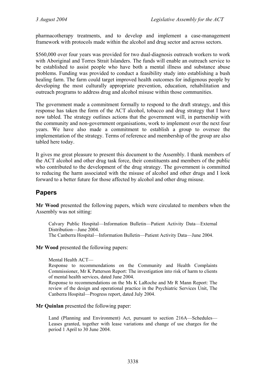pharmacotherapy treatments, and to develop and implement a case-management framework with protocols made within the alcohol and drug sector and across sectors.

\$560,000 over four years was provided for two dual-diagnosis outreach workers to work with Aboriginal and Torres Strait Islanders. The funds will enable an outreach service to be established to assist people who have both a mental illness and substance abuse problems. Funding was provided to conduct a feasibility study into establishing a bush healing farm. The farm could target improved health outcomes for indigenous people by developing the most culturally appropriate prevention, education, rehabilitation and outreach programs to address drug and alcohol misuse within those communities.

The government made a commitment formally to respond to the draft strategy, and this response has taken the form of the ACT alcohol, tobacco and drug strategy that I have now tabled. The strategy outlines actions that the government will, in partnership with the community and non-government organisations, work to implement over the next four years. We have also made a commitment to establish a group to oversee the implementation of the strategy. Terms of reference and membership of the group are also tabled here today.

It gives me great pleasure to present this document to the Assembly. I thank members of the ACT alcohol and other drug task force, their constituents and members of the public who contributed to the development of the drug strategy. The government is committed to reducing the harm associated with the misuse of alcohol and other drugs and I look forward to a better future for those affected by alcohol and other drug misuse.

# **Papers**

**Mr Wood** presented the following papers, which were circulated to members when the Assembly was not sitting:

Calvary Public Hospital—Information Bulletin—Patient Activity Data—External Distribution—June 2004. The Canberra Hospital—Information Bulletin—Patient Activity Data—June 2004.

**Mr Wood** presented the following papers:

Mental Health ACT—

Response to recommendations on the Community and Health Complaints Commissioner, Mr K Patterson Report: The investigation into risk of harm to clients of mental health services, dated June 2004.

Response to recommendations on the Ms K LaRoche and Mr R Mann Report: The review of the design and operational practice in the Psychiatric Services Unit, The Canberra Hospital—Progress report, dated July 2004.

**Mr Quinlan** presented the following paper:

Land (Planning and Environment) Act, pursuant to section 216A—Schedules— Leases granted, together with lease variations and change of use charges for the period 1 April to 30 June 2004.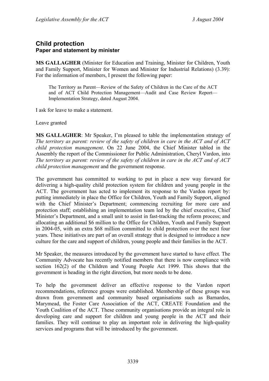# **Child protection Paper and statement by minister**

**MS GALLAGHER** (Minister for Education and Training, Minister for Children, Youth and Family Support, Minister for Women and Minister for Industrial Relations) (3.39): For the information of members, I present the following paper:

The Territory as Parent—Review of the Safety of Children in the Care of the ACT and of ACT Child Protection Management—Audit and Case Review Report— Implementation Strategy, dated August 2004.

I ask for leave to make a statement.

Leave granted

**MS GALLAGHER**: Mr Speaker, I'm pleased to table the implementation strategy of *The territory as parent: review of the safety of children in care in the ACT and of ACT child protection management*. On 22 June 2004, the Chief Minister tabled in the Assembly the report of the Commissioner for Public Administration, Cheryl Vardon, into *The territory as parent: review of the safety of children in care in the ACT and of ACT child protection management* and the government response.

The government has committed to working to put in place a new way forward for delivering a high-quality child protection system for children and young people in the ACT. The government has acted to implement its response to the Vardon report by: putting immediately in place the Office for Children, Youth and Family Support, aligned with the Chief Minister's Department; commencing recruiting for more care and protection staff; establishing an implementation team led by the chief executive, Chief Minister's Department, and a small unit to assist in fast-tracking the reform process; and allocating an additional \$6 million to the Office for Children, Youth and Family Support in 2004-05, with an extra \$68 million committed to child protection over the next four years. These initiatives are part of an overall strategy that is designed to introduce a new culture for the care and support of children, young people and their families in the ACT.

Mr Speaker, the measures introduced by the government have started to have effect. The Community Advocate has recently notified members that there is now compliance with section 162(2) of the Children and Young People Act 1999. This shows that the government is heading in the right direction, but more needs to be done.

To help the government deliver an effective response to the Vardon report recommendations, reference groups were established. Membership of these groups was drawn from government and community based organisations such as Barnardos, Marymead, the Foster Care Association of the ACT, CREATE Foundation and the Youth Coalition of the ACT. These community organisations provide an integral role in developing care and support for children and young people in the ACT and their families. They will continue to play an important role in delivering the high-quality services and programs that will be introduced by the government.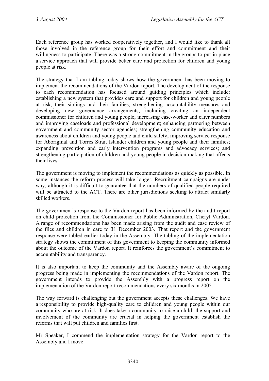Each reference group has worked cooperatively together, and I would like to thank all those involved in the reference group for their effort and commitment and their willingness to participate. There was a strong commitment in the groups to put in place a service approach that will provide better care and protection for children and young people at risk.

The strategy that I am tabling today shows how the government has been moving to implement the recommendations of the Vardon report. The development of the response to each recommendation has focused around guiding principles which include: establishing a new system that provides care and support for children and young people at risk, their siblings and their families; strengthening accountability measures and developing new governance arrangements, including creating an independent commissioner for children and young people; increasing case-worker and carer numbers and improving caseloads and professional development; enhancing partnering between government and community sector agencies; strengthening community education and awareness about children and young people and child safety; improving service response for Aboriginal and Torres Strait Islander children and young people and their families; expanding prevention and early intervention programs and advocacy services; and strengthening participation of children and young people in decision making that affects their lives.

The government is moving to implement the recommendations as quickly as possible. In some instances the reform process will take longer. Recruitment campaigns are under way, although it is difficult to guarantee that the numbers of qualified people required will be attracted to the ACT. There are other jurisdictions seeking to attract similarly skilled workers.

The government's response to the Vardon report has been informed by the audit report on child protection from the Commissioner for Public Administration, Cheryl Vardon. A range of recommendations has been made arising from the audit and case review of the files and children in care to 31 December 2003. That report and the government response were tabled earlier today in the Assembly. The tabling of the implementation strategy shows the commitment of this government to keeping the community informed about the outcome of the Vardon report. It reinforces the government's commitment to accountability and transparency.

It is also important to keep the community and the Assembly aware of the ongoing progress being made in implementing the recommendations of the Vardon report. The government intends to provide the Assembly with a progress report on the implementation of the Vardon report recommendations every six months in 2005.

The way forward is challenging but the government accepts these challenges. We have a responsibility to provide high-quality care to children and young people within our community who are at risk. It does take a community to raise a child; the support and involvement of the community are crucial in helping the government establish the reforms that will put children and families first.

Mr Speaker, I commend the implementation strategy for the Vardon report to the Assembly and I move: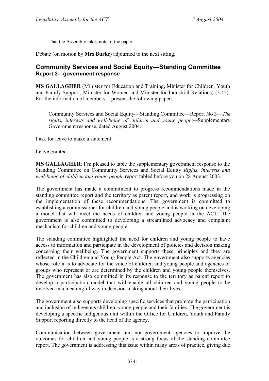That the Assembly takes note of the paper.

Debate (on motion by **Mrs Burke**) adjourned to the next sitting.

# **Community Services and Social Equity—Standing Committee Report 3—government response**

**MS GALLAGHER** (Minister for Education and Training, Minister for Children, Youth and Family Support, Minister for Women and Minister for Industrial Relations) (3.45): For the information of members, I present the following paper:

Community Services and Social Equity—Standing Committee—Report No 3—*The rights, interests and well-being of children and young people—*Supplementary Government response, dated August 2004.

I ask for leave to make a statement.

Leave granted.

**MS GALLAGHER**: I'm pleased to table the supplementary government response to the Standing Committee on Community Services and Social Equity *Rights, interests and well-being of children and young people* report tabled before you on 28 August 2003.

The government has made a commitment to progress recommendations made in the standing committee report and the territory as parent report, and work is progressing on the implementation of these recommendations. The government is committed to establishing a commissioner for children and young people and is working on developing a model that will meet the needs of children and young people in the ACT. The government is also committed to developing a streamlined advocacy and complaint mechanism for children and young people.

The standing committee highlighted the need for children and young people to have access to information and participate in the development of policies and decision making concerning their wellbeing. The government supports these principles and they are reflected in the Children and Young People Act. The government also supports agencies whose role it is to advocate for the voice of children and young people and agencies or groups who represent or are determined by the children and young people themselves. The government has also committed in its response to the territory as parent report to develop a participation model that will enable all children and young people to be involved in a meaningful way in decision-making about their lives.

The government also supports developing specific services that promote the participation and inclusion of indigenous children, young people and their families. The government is developing a specific indigenous unit within the Office for Children, Youth and Family Support reporting directly to the head of the agency.

Communication between government and non-government agencies to improve the outcomes for children and young people is a strong focus of the standing committee report. The government is addressing this issue within many areas of practice, giving due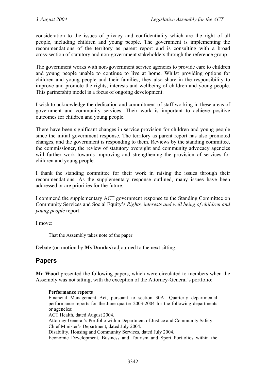consideration to the issues of privacy and confidentiality which are the right of all people, including children and young people. The government is implementing the recommendations of the territory as parent report and is consulting with a broad cross-section of statutory and non-government stakeholders through the reference group.

The government works with non-government service agencies to provide care to children and young people unable to continue to live at home. Whilst providing options for children and young people and their families, they also share in the responsibility to improve and promote the rights, interests and wellbeing of children and young people. This partnership model is a focus of ongoing development.

I wish to acknowledge the dedication and commitment of staff working in these areas of government and community services. Their work is important to achieve positive outcomes for children and young people.

There have been significant changes in service provision for children and young people since the initial government response. The territory as parent report has also promoted changes, and the government is responding to them. Reviews by the standing committee, the commissioner, the review of statutory oversight and community advocacy agencies will further work towards improving and strengthening the provision of services for children and young people.

I thank the standing committee for their work in raising the issues through their recommendations. As the supplementary response outlined, many issues have been addressed or are priorities for the future.

I commend the supplementary ACT government response to the Standing Committee on Community Services and Social Equity's *Rights, interests and well being of children and young people* report.

I move:

That the Assembly takes note of the paper.

Debate (on motion by **Ms Dundas**) adjourned to the next sitting.

# **Papers**

**Mr Wood** presented the following papers, which were circulated to members when the Assembly was not sitting, with the exception of the Attorney-General's portfolio:

### **Performance reports**

Financial Management Act, pursuant to section 30A—Quarterly departmental performance reports for the June quarter 2003-2004 for the following departments or agencies:

ACT Health, dated August 2004. Attorney-General's Portfolio within Department of Justice and Community Safety.

Chief Minister's Department, dated July 2004. Disability, Housing and Community Services, dated July 2004.

Economic Development, Business and Tourism and Sport Portfolios within the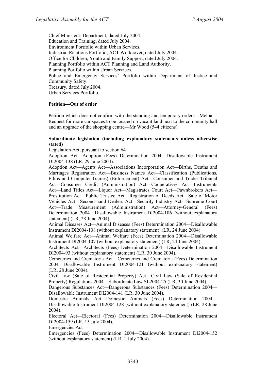Chief Minister's Department, dated July 2004. Education and Training, dated July 2004. Environment Portfolio within Urban Services. Industrial Relations Portfolio, ACT Workcover, dated July 2004. Office for Children, Youth and Family Support, dated July 2004. Planning Portfolio within ACT Planning and Land Authority. Planning Portfolio within Urban Services. Police and Emergency Services' Portfolio within Department of Justice and Community Safety. Treasury, dated July 2004. Urban Services Portfolio.

#### **Petition—Out of order**

Petition which does not confirm with the standing and temporary orders—Melba— Request for more car spaces to be located on vacant land next to the community hall and an upgrade of the shopping centre—Mr Wood (544 citizens).

#### **Subordinate legislation (including explanatory statements unless otherwise stated)**

Legislation Act, pursuant to section 64—

Adoption Act—Adoption (Fees) Determination 2004—Disallowable Instrument DI2004-138 (LR, 29 June 2004).

Adoption Act—Agents Act—Associations Incorporation Act—Births, Deaths and Marriages Registration Act—Business Names Act—Classification (Publications, Films and Computer Games) (Enforcement) Act—Consumer and Trader Tribunal Act—Consumer Credit (Administration) Act—Cooperatives Act—Instruments Act—Land Titles Act—Liquor Act—Magistrates Court Act—Pawnbrokers Act— Prostitution Act—Public Trustee Act—Registration of Deeds Act—Sale of Motor Vehicles Act—Second-hand Dealers Act—Security Industry Act—Supreme Court Act—Trade Measurement (Administration) Act—Attorney-General (Fees) Determination 2004—Disallowable Instrument DI2004-106 (without explanatory statement) (LR, 28 June 2004).

Animal Diseases Act—Animal Diseases (Fees) Determination 2004—Disallowable Instrument DI2004-108 (without explanatory statement) (LR, 24 June 2004).

Animal Welfare Act—Animal Welfare (Fees) Determination 2004—Disallowable Instrument DI2004-107 (without explanatory statement) (LR, 24 June 2004).

Architects Act—Architects (Fees) Determination 2004—Disallowable Instrument DI2004-93 (without explanatory statement) (LR, 30 June 2004).

Cemeteries and Crematoria Act—Cemeteries and Crematoria (Fees) Determination 2004—Disallowable Instrument DI2004-121 (without explanatory statement) (LR, 28 June 2004).

Civil Law (Sale of Residential Property) Act—Civil Law (Sale of Residential Property) Regulations 2004—Subordinate Law SL2004-25 (LR, 30 June 2004).

Dangerous Substances Act—Dangerous Substances (Fees) Determination 2004— Disallowable Instrument DI2004-141 (LR, 30 June 2004).

Domestic Animals Act—Domestic Animals (Fees) Determination 2004— Disallowable Instrument DI2004-128 (without explanatory statement) (LR, 28 June 2004).

Electoral Act—Electoral (Fees) Determination 2004—Disallowable Instrument DI2004-159 (LR, 15 July 2004).

Emergencies Act—

Emergencies (Fees) Determination 2004—Disallowable Instrument DI2004-152 (without explanatory statement) (LR, 1 July 2004).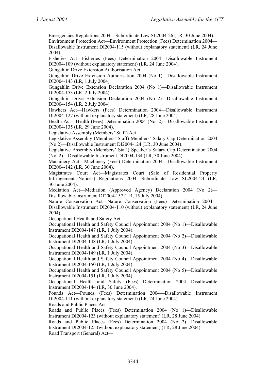Emergencies Regulations 2004—Subordinate Law SL2004-26 (LR, 30 June 2004). Environment Protection Act—Environment Protection (Fees) Determination 2004— Disallowable Instrument DI2004-115 (without explanatory statement) (LR, 24 June 2004).

Fisheries Act—Fisheries (Fees) Determination 2004—Disallowable Instrument DI2004-109 (without explanatory statement) (LR, 24 June 2004).

Gungahlin Drive Extension Authorisation Act—

Gungahlin Drive Extension Authorisation 2004 (No 1)—Disallowable Instrument DI2004-143 (LR, 1 July 2004).

Gungahlin Drive Extension Declaration 2004 (No 1)—Disallowable Instrument DI2004-153 (LR, 2 July 2004).

Gungahlin Drive Extension Declaration 2004 (No 2)—Disallowable Instrument DI2004-154 (LR, 2 July 2004).

Hawkers Act—Hawkers (Fees) Determination 2004—Disallowable Instrument DI2004-127 (without explanatory statement) (LR, 28 June 2004).

Health Act—Health (Fees) Determination 2004 (No. 2)—Disallowable Instrument DI2004-135 (LR, 29 June 2004).

Legislative Assembly (Members' Staff) Act—

Legislative Assembly (Members' Staff) Members' Salary Cap Determination 2004 (No 2)—Disallowable Instrument DI2004-124 (LR, 30 June 2004).

Legislative Assembly (Members' Staff) Speaker's Salary Cap Determination 2004 (No. 2)—Disallowable Instrument DI2004-134 (LR, 30 June 2004).

Machinery Act—Machinery (Fees) Determination 2004—Disallowable Instrument DI2004-142 (LR, 30 June 2004).

Magistrates Court Act—Magistrates Court (Sale of Residential Property Infringement Notices) Regulations 2004—Subordinate Law SL2004-24 (LR, 30 June 2004).

Mediation Act—Mediation (Approved Agency) Declaration 2004 (No 2)— Disallowable Instrument DI2004-157 (LR, 15 July 2004).

Nature Conservation Act—Nature Conservation (Fees) Determination 2004— Disallowable Instrument DI2004-110 (without explanatory statement) (LR, 24 June 2004).

Occupational Health and Safety Act—

Occupational Health and Safety Council Appointment 2004 (No 1)—Disallowable Instrument DI2004-147 (LR, 1 July 2004).

Occupational Health and Safety Council Appointment 2004 (No 2)—Disallowable Instrument DI2004-148 (LR, 1 July 2004).

Occupational Health and Safety Council Appointment 2004 (No 3)—Disallowable Instrument DI2004-149 (LR, 1 July 2004).

Occupational Health and Safety Council Appointment 2004 (No 4)—Disallowable Instrument DI2004-150 (LR, 1 July 2004).

Occupational Health and Safety Council Appointment 2004 (No 5)—Disallowable Instrument DI2004-151 (LR, 1 July 2004).

Occupational Health and Safety (Fees) Determination 2004—Disallowable Instrument DI2004-144 (LR, 30 June 2004).

Pounds Act—Pounds (Fees) Determination 2004—Disallowable Instrument DI2004-111 (without explanatory statement) (LR, 24 June 2004).

Roads and Public Places Act—

Roads and Public Places (Fees) Determination 2004 (No 1)—Disallowable Instrument DI2004-123 (without explanatory statement) (LR, 28 June 2004).

Roads and Public Places (Fees) Determination 2004 (No 2)—Disallowable Instrument DI2004-125 (without explanatory statement) (LR, 28 June 2004). Road Transport (General) Act—

3344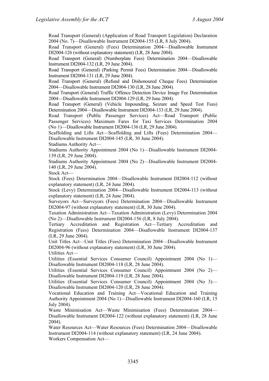Road Transport (General) (Application of Road Transport Legislation) Declaration 2004 (No. 7)—Disallowable Instrument DI2004-155 (LR, 8 July 2004).

Road Transport (General) (Fees) Determination 2004—Disallowable Instrument DI2004-126 (without explanatory statement) (LR, 28 June 2004).

Road Transport (General) (Numberplate Fees) Determination 2004—Disallowable Instrument DI2004-132 (LR, 29 June 2004).

Road Transport (General) (Parking Permit Fees) Determination 2004—Disallowable Instrument DI2004-131 (LR, 29 June 2004).

Road Transport (General) (Refund and Dishonoured Cheque Fees) Determination 2004—Disallowable Instrument DI2004-130 (LR, 28 June 2004).

Road Transport (General) Traffic Offence Detection Device Image Fee Determination 2004—Disallowable Instrument DI2004-129 (LR, 29 June 2004).

Road Transport (General) (Vehicle Impounding, Seizure and Speed Test Fees) Determination 2004—Disallowable Instrument DI2004-133 (LR, 29 June 2004).

Road Transport (Public Passenger Services) Act—Road Transport (Public Passenger Services) Maximum Fares for Taxi Services Determination 2004 (No 1)—Disallowable Instrument DI2004-136 (LR, 29 June 2004).

Scaffolding and Lifts Act—Scaffolding and Lifts (Fees) Determination 2004— Disallowable Instrument DI2004-145 (LR, 30 June 2004).

Stadiums Authority Act—

Stadiums Authority Appointment 2004 (No 1)—Disallowable Instrument DI2004- 139 (LR, 29 June 2004).

Stadiums Authority Appointment 2004 (No 2)—Disallowable Instrument DI2004- 140 (LR, 29 June 2004).

Stock Act—

Stock (Fees) Determination 2004—Disallowable Instrument DI2004-112 (without explanatory statement) (LR, 24 June 2004).

Stock (Levy) Determination 2004—Disallowable Instrument DI2004-113 (without explanatory statement) (LR, 24 June 2004).

Surveyors Act—Surveyors (Fees) Determination 2004—Disallowable Instrument DI2004-97 (without explanatory statement) (LR, 30 June 2004).

Taxation Administration Act—Taxation Administration (Levy) Determination 2004 (No 2)—Disallowable Instrument DI2004-156 (LR, 8 July 2004).

Tertiary Accreditation and Registration Act—Tertiary Accreditation and Registration (Fees) Determination 2004—Disallowable Instrument DI2004-137 (LR, 29 June 2004).

Unit Titles Act—Unit Titles (Fees) Determination 2004—Disallowable Instrument DI2004-96 (without explanatory statement) (LR, 30 June 2004).

Utilities Act—

Utilities (Essential Services Consumer Council) Appointment 2004 (No 1)— Disallowable Instrument DI2004-118 (LR, 28 June 2004).

Utilities (Essential Services Consumer Council) Appointment 2004 (No 2)— Disallowable Instrument DI2004-119 (LR, 28 June 2004).

Utilities (Essential Services Consumer Council) Appointment 2004 (No 3)— Disallowable Instrument DI2004-120 (LR, 28 June 2004).

Vocational Education and Training Act—Vocational Education and Training Authority Appointment 2004 (No 1)—Disallowable Instrument DI2004-160 (LR, 15 July 2004).

Waste Minimisation Act—Waste Minimisation (Fees) Determination 2004— Disallowable Instrument DI2004-122 (without explanatory statement) (LR, 28 June 2004).

Water Resources Act—Water Resources (Fees) Determination 2004—Disallowable Instrument DI2004-114 (without explanatory statement) (LR, 24 June 2004). Workers Compensation Act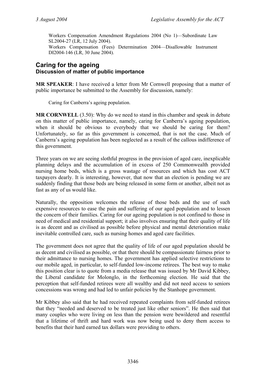Workers Compensation Amendment Regulations 2004 (No 1)—Subordinate Law SL2004-27 (LR, 12 July 2004). Workers Compensation (Fees) Determination 2004—Disallowable Instrument DI2004-146 (LR, 30 June 2004).

# **Caring for the ageing Discussion of matter of public importance**

**MR SPEAKER**: I have received a letter from Mr Cornwell proposing that a matter of public importance be submitted to the Assembly for discussion, namely:

Caring for Canberra's ageing population.

**MR CORNWELL** (3.50): Why do we need to stand in this chamber and speak in debate on this matter of public importance, namely, caring for Canberra's ageing population, when it should be obvious to everybody that we should be caring for them? Unfortunately, so far as this government is concerned, that is not the case. Much of Canberra's ageing population has been neglected as a result of the callous indifference of this government.

Three years on we are seeing slothful progress in the provision of aged care, inexplicable planning delays and the accumulation of in excess of 250 Commonwealth provided nursing home beds, which is a gross wastage of resources and which has cost ACT taxpayers dearly. It is interesting, however, that now that an election is pending we are suddenly finding that those beds are being released in some form or another, albeit not as fast as any of us would like.

Naturally, the opposition welcomes the release of those beds and the use of such expensive resources to ease the pain and suffering of our aged population and to lessen the concern of their families. Caring for our ageing population is not confined to those in need of medical and residential support; it also involves ensuring that their quality of life is as decent and as civilised as possible before physical and mental deterioration make inevitable controlled care, such as nursing homes and aged care facilities.

The government does not agree that the quality of life of our aged population should be as decent and civilised as possible, or that there should be compassionate fairness prior to their admittance to nursing homes. The government has applied selective restrictions to our mobile aged, in particular, to self-funded low-income retirees. The best way to make this position clear is to quote from a media release that was issued by Mr David Kibbey, the Liberal candidate for Molonglo, in the forthcoming election. He said that the perception that self-funded retirees were all wealthy and did not need access to seniors concessions was wrong and had led to unfair policies by the Stanhope government.

Mr Kibbey also said that he had received repeated complaints from self-funded retirees that they "needed and deserved to be treated just like other seniors". He then said that many couples who were living on less than the pension were bewildered and resentful that a lifetime of thrift and hard work was now being used to deny them access to benefits that their hard earned tax dollars were providing to others.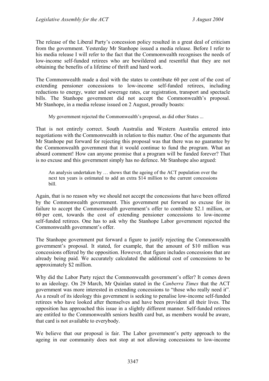The release of the Liberal Party's concession policy resulted in a great deal of criticism from the government. Yesterday Mr Stanhope issued a media release. Before I refer to his media release I will refer to the fact that the Commonwealth recognises the needs of low-income self-funded retirees who are bewildered and resentful that they are not obtaining the benefits of a lifetime of thrift and hard work.

The Commonwealth made a deal with the states to contribute 60 per cent of the cost of extending pensioner concessions to low-income self-funded retirees, including reductions to energy, water and sewerage rates, car registration, transport and spectacle bills. The Stanhope government did not accept the Commonwealth's proposal. Mr Stanhope, in a media release issued on 2 August, proudly boasts:

My government rejected the Commonwealth's proposal, as did other States ...

That is not entirely correct. South Australia and Western Australia entered into negotiations with the Commonwealth in relation to this matter. One of the arguments that Mr Stanhope put forward for rejecting this proposal was that there was no guarantee by the Commonwealth government that it would continue to fund the program. What an absurd comment! How can anyone promise that a program will be funded forever? That is no excuse and this government simply has no defence. Mr Stanhope also argued:

An analysis undertaken by … shows that the ageing of the ACT population over the next ten years is estimated to add an extra \$14 million to the current concessions bill.

Again, that is no reason why we should not accept the concessions that have been offered by the Commonwealth government. This government put forward no excuse for its failure to accept the Commonwealth government's offer to contribute \$2.1 million, or 60 per cent, towards the cost of extending pensioner concessions to low-income self-funded retirees. One has to ask why the Stanhope Labor government rejected the Commonwealth government's offer.

The Stanhope government put forward a figure to justify rejecting the Commonwealth government's proposal. It stated, for example, that the amount of \$10 million was concessions offered by the opposition. However, that figure includes concessions that are already being paid. We accurately calculated the additional cost of concessions to be approximately \$2 million.

Why did the Labor Party reject the Commonwealth government's offer? It comes down to an ideology. On 29 March, Mr Quinlan stated in the *Canberra Times* that the ACT government was more interested in extending concessions to "those who really need it". As a result of its ideology this government is seeking to penalise low-income self-funded retirees who have looked after themselves and have been provident all their lives. The opposition has approached this issue in a slightly different manner. Self-funded retirees are entitled to the Commonwealth seniors health card but, as members would be aware, that card is not available to everybody.

We believe that our proposal is fair. The Labor government's petty approach to the ageing in our community does not stop at not allowing concessions to low-income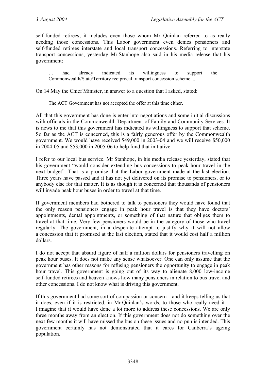self-funded retirees; it includes even those whom Mr Quinlan referred to as really needing those concessions. This Labor government even denies pensioners and self-funded retirees interstate and local transport concessions. Referring to interstate transport concessions, yesterday Mr Stanhope also said in his media release that his government:

had already indicated its willingness to support the Commonwealth/State/Territory reciprocal transport concession scheme ...

On 14 May the Chief Minister, in answer to a question that I asked, stated:

The ACT Government has not accepted the offer at this time either.

All that this government has done is enter into negotiations and some initial discussions with officials in the Commonwealth Department of Family and Community Services. It is news to me that this government has indicated its willingness to support that scheme. So far as the ACT is concerned, this is a fairly generous offer by the Commonwealth government. We would have received \$49,000 in 2003-04 and we will receive \$50,000 in 2004-05 and \$53,000 in 2005-06 to help fund that initiative.

I refer to our local bus service. Mr Stanhope, in his media release yesterday, stated that his government "would consider extending bus concessions to peak hour travel in the next budget". That is a promise that the Labor government made at the last election. Three years have passed and it has not yet delivered on its promise to pensioners, or to anybody else for that matter. It is as though it is concerned that thousands of pensioners will invade peak hour buses in order to travel at that time.

If government members had bothered to talk to pensioners they would have found that the only reason pensioners engage in peak hour travel is that they have doctors' appointments, dental appointments, or something of that nature that obliges them to travel at that time. Very few pensioners would be in the category of those who travel regularly. The government, in a desperate attempt to justify why it will not allow a concession that it promised at the last election, stated that it would cost half a million dollars.

I do not accept that absurd figure of half a million dollars for pensioners travelling on peak hour buses. It does not make any sense whatsoever. One can only assume that the government has other reasons for refusing pensioners the opportunity to engage in peak hour travel. This government is going out of its way to alienate 8,000 low-income self-funded retirees and heaven knows how many pensioners in relation to bus travel and other concessions. I do not know what is driving this government.

If this government had some sort of compassion or concern—and it keeps telling us that it does, even if it is restricted, in Mr Quinlan's words, to those who really need it— I imagine that it would have done a lot more to address these concessions. We are only three months away from an election. If this government does not do something over the next few months it will have missed the bus on these issues and no pun is intended. This government certainly has not demonstrated that it cares for Canberra's ageing population.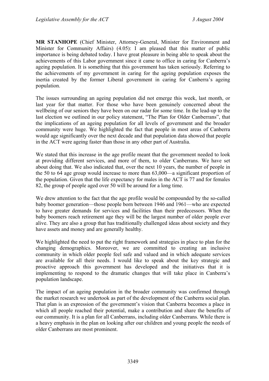**MR STANHOPE** (Chief Minister, Attorney-General, Minister for Environment and Minister for Community Affairs) (4.05): I am pleased that this matter of public importance is being debated today. I have great pleasure in being able to speak about the achievements of this Labor government since it came to office in caring for Canberra's ageing population. It is something that this government has taken seriously. Referring to the achievements of my government in caring for the ageing population exposes the inertia created by the former Liberal government in caring for Canberra's ageing population.

The issues surrounding an ageing population did not emerge this week, last month, or last year for that matter. For those who have been genuinely concerned about the wellbeing of our seniors they have been on our radar for some time. In the lead-up to the last election we outlined in our policy statement, "The Plan for Older Canberrans", that the implications of an ageing population for all levels of government and the broader community were huge. We highlighted the fact that people in most areas of Canberra would age significantly over the next decade and that population data showed that people in the ACT were ageing faster than those in any other part of Australia.

We stated that this increase in the age profile meant that the government needed to look at providing different services, and more of them, to older Canberrans. We have set about doing that. We also indicated that, over the next 10 years, the number of people in the 50 to 64 age group would increase to more than 63,000—a significant proportion of the population. Given that the life expectancy for males in the ACT is 77 and for females 82, the group of people aged over 50 will be around for a long time.

We drew attention to the fact that the age profile would be compounded by the so-called baby boomer generation—those people born between 1946 and 1961—who are expected to have greater demands for services and facilities than their predecessors. When the baby boomers reach retirement age they will be the largest number of older people ever alive. They are also a group that has traditionally challenged ideas about society and they have assets and money and are generally healthy.

We highlighted the need to put the right framework and strategies in place to plan for the changing demographics. Moreover, we are committed to creating an inclusive community in which older people feel safe and valued and in which adequate services are available for all their needs. I would like to speak about the key strategic and proactive approach this government has developed and the initiatives that it is implementing to respond to the dramatic changes that will take place in Canberra's population landscape.

The impact of an ageing population in the broader community was confirmed through the market research we undertook as part of the development of the Canberra social plan. That plan is an expression of the government's vision that Canberra becomes a place in which all people reached their potential, make a contribution and share the benefits of our community. It is a plan for all Canberrans, including older Canberrans. While there is a heavy emphasis in the plan on looking after our children and young people the needs of older Canberrans are most prominent.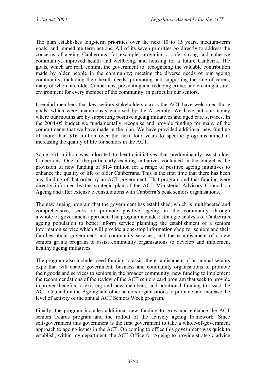The plan establishes long-term priorities over the next 10 to 15 years, medium-term goals, and immediate term actions. All of its seven priorities go directly to address the concerns of ageing Canberrans, for example, providing a safe, strong and cohesive community, improved health and wellbeing, and housing for a future Canberra. The goals, which are real, commit the government to: recognising the valuable contribution made by older people in the community; meeting the diverse needs of our ageing community, including their health needs; promoting and supporting the role of carers, many of whom are older Canberrans; preventing and reducing crime; and creating a safer environment for every member of the community, in particular our seniors.

I remind members that key seniors stakeholders across the ACT have welcomed those goals, which were unanimously endorsed by the Assembly. We have put our money where our mouths are by supporting positive ageing initiatives and aged care services. In the 2004-05 budget we fundamentally recognise and provide funding for many of the commitments that we have made in the plan. We have provided additional new funding of more than \$16 million over the next four years to specific programs aimed at increasing the quality of life for seniors in the ACT.

Some \$31 million was allocated to health initiatives that predominantly assist older Canberrans. One of the particularly exciting initiatives contained in the budget is the provision of new funding of \$1.4 million for a range of positive ageing initiatives to enhance the quality of life of older Canberrans. This is the first time that there has been any funding of that order by an ACT government. That program and that funding were directly informed by the strategic plan of the ACT Ministerial Advisory Council on Ageing and after extensive consultations with Canberra's peak seniors organisations.

The new ageing program that the government has established, which is multifaceted and comprehensive, seeks to promote positive ageing in the community through a whole-of-government approach. The program includes: strategic analysis of Canberra's ageing population to better inform service planning; the establishment of a seniors information service which will provide a one-stop information shop for seniors and their families about government and community services; and the establishment of a new seniors grants program to assist community organisations to develop and implement healthy ageing initiatives.

The program also includes seed funding to assist the establishment of an annual seniors expo that will enable government, business and community organisations to promote their goods and services to seniors in the broader community; new funding to implement the recommendations of the review of the ACT seniors card program that seek to provide improved benefits to existing and new members; and additional funding to assist the ACT Council on the Ageing and other seniors organisations to promote and increase the level of activity of the annual ACT Seniors Week program.

Finally, the program includes additional new funding to grow and enhance the ACT seniors awards program and the rollout of the actively ageing framework. Since self-government this government is the first government to take a whole-of-government approach to ageing issues in the ACT. On coming to office this government was quick to establish, within my department, the ACT Office for Ageing to provide strategic advice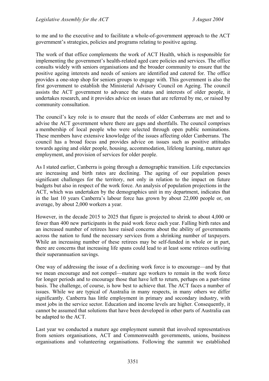to me and to the executive and to facilitate a whole-of-government approach to the ACT government's strategies, policies and programs relating to positive ageing.

The work of that office complements the work of ACT Health, which is responsible for implementing the government's health-related aged care policies and services. The office consults widely with seniors organisations and the broader community to ensure that the positive ageing interests and needs of seniors are identified and catered for. The office provides a one-stop shop for seniors groups to engage with. This government is also the first government to establish the Ministerial Advisory Council on Ageing. The council assists the ACT government to advance the status and interests of older people, it undertakes research, and it provides advice on issues that are referred by me, or raised by community consultation.

The council's key role is to ensure that the needs of older Canberrans are met and to advise the ACT government where there are gaps and shortfalls. The council comprises a membership of local people who were selected through open public nominations. These members have extensive knowledge of the issues affecting older Canberrans. The council has a broad focus and provides advice on issues such as positive attitudes towards ageing and older people, housing, accommodation, lifelong learning, mature age employment, and provision of services for older people.

As I stated earlier, Canberra is going through a demographic transition. Life expectancies are increasing and birth rates are declining. The ageing of our population poses significant challenges for the territory, not only in relation to the impact on future budgets but also in respect of the work force. An analysis of population projections in the ACT, which was undertaken by the demographics unit in my department, indicates that in the last 10 years Canberra's labour force has grown by about 22,000 people or, on average, by about 2,000 workers a year.

However, in the decade 2015 to 2025 that figure is projected to shrink to about 4,000 or fewer than 400 new participants in the paid work force each year. Falling birth rates and an increased number of retirees have raised concerns about the ability of governments across the nation to fund the necessary services from a shrinking number of taxpayers. While an increasing number of these retirees may be self-funded in whole or in part, there are concerns that increasing life spans could lead to at least some retirees outliving their superannuation savings.

One way of addressing the issue of a declining work force is to encourage—and by that we mean encourage and not compel—mature age workers to remain in the work force for longer periods and to encourage those that have left to return, perhaps on a part-time basis. The challenge, of course, is how best to achieve that. The ACT faces a number of issues. While we are typical of Australia in many respects, in many others we differ significantly. Canberra has little employment in primary and secondary industry, with most jobs in the service sector. Education and income levels are higher. Consequently, it cannot be assumed that solutions that have been developed in other parts of Australia can be adapted to the ACT.

Last year we conducted a mature age employment summit that involved representatives from seniors organisations, ACT and Commonwealth governments, unions, business organisations and volunteering organisations. Following the summit we established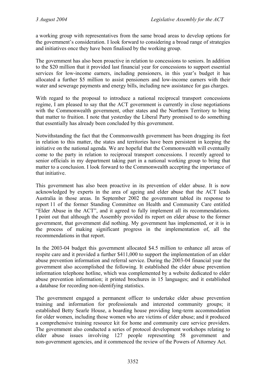a working group with representatives from the same broad areas to develop options for the government's consideration. I look forward to considering a broad range of strategies and initiatives once they have been finalised by the working group.

The government has also been proactive in relation to concessions to seniors. In addition to the \$20 million that it provided last financial year for concessions to support essential services for low-income earners, including pensioners, in this year's budget it has allocated a further \$5 million to assist pensioners and low-income earners with their water and sewerage payments and energy bills, including new assistance for gas charges.

With regard to the proposal to introduce a national reciprocal transport concessions regime, I am pleased to say that the ACT government is currently in close negotiations with the Commonwealth government, other states and the Northern Territory to bring that matter to fruition. I note that yesterday the Liberal Party promised to do something that essentially has already been concluded by this government.

Notwithstanding the fact that the Commonwealth government has been dragging its feet in relation to this matter, the states and territories have been persistent in keeping the initiative on the national agenda. We are hopeful that the Commonwealth will eventually come to the party in relation to reciprocal transport concessions. I recently agreed to senior officials in my department taking part in a national working group to bring that matter to a conclusion. I look forward to the Commonwealth accepting the importance of that initiative.

This government has also been proactive in its prevention of elder abuse. It is now acknowledged by experts in the area of ageing and elder abuse that the ACT leads Australia in those areas. In September 2002 the government tabled its response to report 11 of the former Standing Committee on Health and Community Care entitled "Elder Abuse in the ACT", and it agreed to fully implement all its recommendations. I point out that although the Assembly provided its report on elder abuse to the former government, that government did nothing. My government has implemented, or it is in the process of making significant progress in the implementation of, all the recommendations in that report.

In the 2003-04 budget this government allocated \$4.5 million to enhance all areas of respite care and it provided a further \$411,000 to support the implementation of an elder abuse prevention information and referral service. During the 2003-04 financial year the government also accomplished the following. It established the elder abuse prevention information telephone hotline, which was complemented by a website dedicated to elder abuse prevention information; it printed brochures in 15 languages; and it established a database for recording non-identifying statistics.

The government engaged a permanent officer to undertake elder abuse prevention training and information for professionals and interested community groups; it established Betty Searle House, a boarding house providing long-term accommodation for older women, including those women who are victims of elder abuse; and it produced a comprehensive training resource kit for home and community care service providers. The government also conducted a series of protocol development workshops relating to elder abuse issues involving 127 people representing 58 government and non-government agencies, and it commenced the review of the Powers of Attorney Act.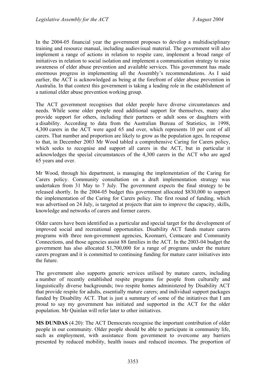In the 2004-05 financial year the government proposes to develop a multidisciplinary training and resource manual, including audiovisual material. The government will also implement a range of actions in relation to respite care, implement a broad range of initiatives in relation to social isolation and implement a communication strategy to raise awareness of elder abuse prevention and available services. This government has made enormous progress in implementing all the Assembly's recommendations. As I said earlier, the ACT is acknowledged as being at the forefront of elder abuse prevention in Australia. In that context this government is taking a leading role in the establishment of a national elder abuse prevention working group.

The ACT government recognises that older people have diverse circumstances and needs. While some older people need additional support for themselves, many also provide support for others, including their partners or adult sons or daughters with a disability. According to data from the Australian Bureau of Statistics, in 1998, 4,300 carers in the ACT were aged 65 and over, which represents 10 per cent of all carers. That number and proportion are likely to grow as the population ages. In response to that, in December 2003 Mr Wood tabled a comprehensive Caring for Carers policy, which seeks to recognise and support all carers in the ACT, but in particular it acknowledges the special circumstances of the 4,300 carers in the ACT who are aged 65 years and over.

Mr Wood, through his department, is managing the implementation of the Caring for Carers policy. Community consultation on a draft implementation strategy was undertaken from 31 May to 7 July. The government expects the final strategy to be released shortly. In the 2004-05 budget this government allocated \$830,000 to support the implementation of the Caring for Carers policy. The first round of funding, which was advertised on 24 July, is targeted at projects that aim to improve the capacity, skills, knowledge and networks of carers and former carers.

Older carers have been identified as a particular and special target for the development of improved social and recreational opportunities. Disability ACT funds mature carers programs with three non-government agencies, Koomarri, Centacare and Community Connections, and those agencies assist 88 families in the ACT. In the 2003-04 budget the government has also allocated \$1,700,000 for a range of programs under the mature carers program and it is committed to continuing funding for mature carer initiatives into the future.

The government also supports generic services utilised by mature carers, including a number of recently established respite programs for people from culturally and linguistically diverse backgrounds; two respite homes administered by Disability ACT that provide respite for adults, essentially mature carers; and individual support packages funded by Disability ACT. That is just a summary of some of the initiatives that I am proud to say my government has initiated and supported in the ACT for the older population. Mr Quinlan will refer later to other initiatives.

**MS DUNDAS** (4.20): The ACT Democrats recognise the important contribution of older people in our community. Older people should be able to participate in community life, such as employment, with assistance from government to overcome any barriers presented by reduced mobility, health issues and reduced incomes. The proportion of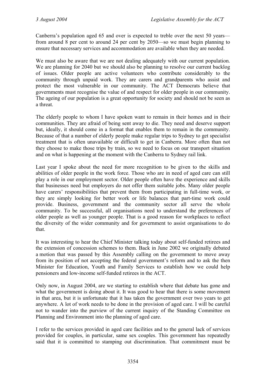Canberra's population aged 65 and over is expected to treble over the next 50 years from around 8 per cent to around 24 per cent by 2050—so we must begin planning to ensure that necessary services and accommodation are available when they are needed.

We must also be aware that we are not dealing adequately with our current population. We are planning for 2040 but we should also be planning to resolve our current backlog of issues. Older people are active volunteers who contribute considerably to the community through unpaid work. They are carers and grandparents who assist and protect the most vulnerable in our community. The ACT Democrats believe that governments must recognise the value of and respect for older people in our community. The ageing of our population is a great opportunity for society and should not be seen as a threat.

The elderly people to whom I have spoken want to remain in their homes and in their communities. They are afraid of being sent away to die. They need and deserve support but, ideally, it should come in a format that enables them to remain in the community. Because of that a number of elderly people make regular trips to Sydney to get specialist treatment that is often unavailable or difficult to get in Canberra. More often than not they choose to make those trips by train, so we need to focus on our transport situation and on what is happening at the moment with the Canberra to Sydney rail link.

Last year I spoke about the need for more recognition to be given to the skills and abilities of older people in the work force. Those who are in need of aged care can still play a role in our employment sector. Older people often have the experience and skills that businesses need but employers do not offer them suitable jobs. Many older people have carers' responsibilities that prevent them from participating in full-time work, or they are simply looking for better work or life balances that part-time work could provide. Business, government and the community sector all serve the whole community. To be successful, all organisations need to understand the preferences of older people as well as younger people. That is a good reason for workplaces to reflect the diversity of the wider community and for government to assist organisations to do that.

It was interesting to hear the Chief Minister talking today about self-funded retirees and the extension of concession schemes to them. Back in June 2002 we originally debated a motion that was passed by this Assembly calling on the government to move away from its position of not accepting the federal government's reform and to ask the then Minister for Education, Youth and Family Services to establish how we could help pensioners and low-income self-funded retirees in the ACT.

Only now, in August 2004, are we starting to establish where that debate has gone and what the government is doing about it. It was good to hear that there is some movement in that area, but it is unfortunate that it has taken the government over two years to get anywhere. A lot of work needs to be done in the provision of aged care. I will be careful not to wander into the purview of the current inquiry of the Standing Committee on Planning and Environment into the planning of aged care.

I refer to the services provided in aged care facilities and to the general lack of services provided for couples, in particular, same sex couples. This government has repeatedly said that it is committed to stamping out discrimination. That commitment must be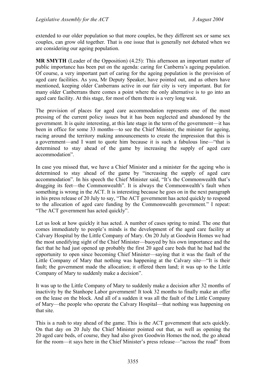extended to our older population so that more couples, be they different sex or same sex couples, can grow old together. That is one issue that is generally not debated when we are considering our ageing population.

**MR SMYTH** (Leader of the Opposition) (4.25): This afternoon an important matter of public importance has been put on the agenda: caring for Canberra's ageing population. Of course, a very important part of caring for the ageing population is the provision of aged care facilities. As you, Mr Deputy Speaker, have pointed out, and as others have mentioned, keeping older Canberrans active in our fair city is very important. But for many older Canberrans there comes a point where the only alternative is to go into an aged care facility. At this stage, for most of them there is a very long wait.

The provision of places for aged care accommodation represents one of the most pressing of the current policy issues but it has been neglected and abandoned by the government. It is quite interesting, at this late stage in the term of the government—it has been in office for some 33 months—to see the Chief Minister, the minister for ageing, racing around the territory making announcements to create the impression that this is a government—and I want to quote him because it is such a fabulous line—"that is determined to stay ahead of the game by increasing the supply of aged care accommodation".

In case you missed that, we have a Chief Minister and a minister for the ageing who is determined to stay ahead of the game by "increasing the supply of aged care accommodation". In his speech the Chief Minister said, "It's the Commonwealth that's dragging its feet—the Commonwealth". It is always the Commonwealth's fault when something is wrong in the ACT. It is interesting because he goes on in the next paragraph in his press release of 20 July to say, "The ACT government has acted quickly to respond to the allocation of aged care funding by the Commonwealth government." I repeat: "The ACT government has acted quickly".

Let us look at how quickly it has acted. A number of cases spring to mind. The one that comes immediately to people's minds is the development of the aged care facility at Calvary Hospital by the Little Company of Mary. On 20 July at Goodwin Homes we had the most unedifying sight of the Chief Minister—buoyed by his own importance and the fact that he had just opened up probably the first 20 aged care beds that he had had the opportunity to open since becoming Chief Minister—saying that it was the fault of the Little Company of Mary that nothing was happening at the Calvary site—"It is their fault; the government made the allocation; it offered them land; it was up to the Little Company of Mary to suddenly make a decision".

It was up to the Little Company of Mary to suddenly make a decision after 32 months of inactivity by the Stanhope Labor government! It took 32 months to finally make an offer on the lease on the block. And all of a sudden it was all the fault of the Little Company of Mary—the people who operate the Calvary Hospital—that nothing was happening on that site.

This is a rush to stay ahead of the game. This is the ACT government that acts quickly. On that day on 20 July the Chief Minister pointed out that, as well as opening the 20 aged care beds, of course, they had also given Goodwin Homes the nod, the go ahead for the room—it says here in the Chief Minister's press release—"across the road" from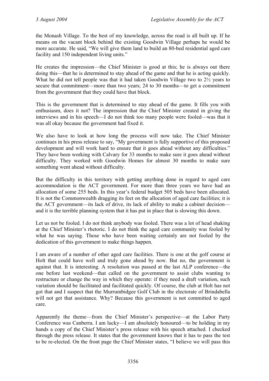the Monash Village. To the best of my knowledge, across the road is all built up. If he means on the vacant block behind the existing Goodwin Village perhaps he would be more accurate. He said, "We will give them land to build an 80-bed residential aged care facility and 150 independent living units."

He creates the impression—the Chief Minister is good at this; he is always out there doing this—that he is determined to stay ahead of the game and that he is acting quickly. What he did not tell people was that it had taken Goodwin Village two to 2½ years to secure that commitment—more than two years; 24 to 30 months—to get a commitment from the government that they could have that block.

This is the government that is determined to stay ahead of the game. It fills you with enthusiasm, does it not? The impression that the Chief Minister created in giving the interviews and in his speech—I do not think too many people were fooled—was that it was all okay because the government had fixed it.

We also have to look at how long the process will now take. The Chief Minister continues in his press release to say, "My government is fully supportive of this proposed development and will work hard to ensure that it goes ahead without any difficulties." They have been working with Calvary for 33 months to make sure it goes ahead without difficulty. They worked with Goodwin Homes for almost 30 months to make sure something went ahead without difficulty.

But the difficulty in this territory with getting anything done in regard to aged care accommodation is the ACT government. For more than three years we have had an allocation of some 255 beds. In this year's federal budget 505 beds have been allocated. It is not the Commonwealth dragging its feet on the allocation of aged care facilities; it is the ACT government—its lack of drive, its lack of ability to make a cabinet decision and it is the terrible planning system that it has put in place that is slowing this down.

Let us not be fooled. I do not think anybody was fooled. There was a lot of head shaking at the Chief Minister's rhetoric. I do not think the aged care community was fooled by what he was saying. Those who have been waiting certainly are not fooled by the dedication of this government to make things happen.

I am aware of a number of other aged care facilities. There is one at the golf course at Holt that could have well and truly gone ahead by now. But no, the government is against that. It is interesting. A resolution was passed at the last ALP conference—the one before last weekend—that called on the government to assist clubs wanting to restructure or change the way in which they operate: if they need a draft variation, such variation should be facilitated and facilitated quickly. Of course, the club at Holt has not got that and I suspect that the Murrumbidgee Golf Club in the electorate of Brindabella will not get that assistance. Why? Because this government is not committed to aged care.

Apparently the theme—from the Chief Minister's perspective—at the Labor Party Conference was Canberra. I am lucky—I am absolutely honoured—to be holding in my hands a copy of the Chief Minister's press release with his speech attached. I checked through the press release. It states that the government knows that it has to pass the test to be re-elected. On the front page the Chief Minister states, "I believe we will pass this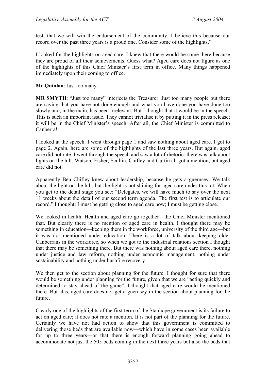test, that we will win the endorsement of the community. I believe this because our record over the past three years is a proud one. Consider some of the highlights."

I looked for the highlights on aged care. I knew that there would be some there because they are proud of all their achievements. Guess what? Aged care does not figure as one of the highlights of this Chief Minister's first term in office. Many things happened immediately upon their coming to office.

**Mr Quinlan**: Just too many.

**MR SMYTH**: "Just too many" interjects the Treasurer. Just too many people out there are saying that you have not done enough and what you have done you have done too slowly and, in the main, has been irrelevant. But I thought that it would be in the speech. This is such an important issue. They cannot trivialise it by putting it in the press release; it will be in the Chief Minister's speech. After all, the Chief Minister is committed to Canberra!

I looked at the speech. I went through page 1 and saw nothing about aged care. I got to page 2. Again, here are some of the highlights of the last three years. But again, aged care did not rate. I went through the speech and saw a lot of rhetoric: there was talk about lights on the hill. Watson, Fisher, Scullin, Chifley and Curtin all got a mention, but aged care did not.

Apparently Ben Chifley knew about leadership, because he gets a guernsey. We talk about the light on the hill, but the light is not shining for aged care under this lot. When you get to the detail stage you see: "Delegates, we will have much to say over the next 11 weeks about the detail of our second term agenda. The first test is to articulate our record." I thought: I must be getting close to aged care now; I must be getting close.

We looked in health. Health and aged care go together—the Chief Minister mentioned that. But clearly there is no mention of aged care in health. I thought there may be something in education—keeping them in the workforce, university of the third age—but it was not mentioned under education. There is a lot of talk about keeping older Canberrans in the workforce, so when we got to the industrial relations section I thought that there may be something there. But there was nothing about aged care there, nothing under justice and law reform, nothing under economic management, nothing under sustainability and nothing under bushfire recovery.

We then get to the section about planning for the future. I thought for sure that there would be something under planning for the future, given that we are "acting quickly and determined to stay ahead of the game". I thought that aged care would be mentioned there. But alas, aged care does not get a guernsey in the section about planning for the future.

Clearly one of the highlights of the first term of the Stanhope government is its failure to act on aged care; it does not rate a mention. It is not part of the planning for the future. Certainly we have not had action to show that this government is committed to delivering those beds that are available now—which have in some cases been available for up to three years—or that there is enough forward planning going ahead to accommodate not just the 505 beds coming in the next three years but also the beds that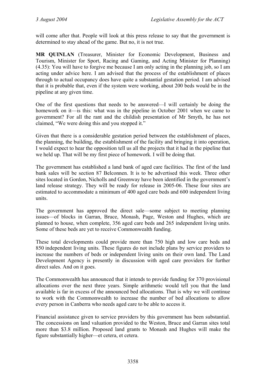will come after that. People will look at this press release to say that the government is determined to stay ahead of the game. But no, it is not true.

**MR QUINLAN** (Treasurer, Minister for Economic Development, Business and Tourism, Minister for Sport, Racing and Gaming, and Acting Minister for Planning) (4.35): You will have to forgive me because I am only acting in the planning job, so I am acting under advice here. I am advised that the process of the establishment of places through to actual occupancy does have quite a substantial gestation period. I am advised that it is probable that, even if the system were working, about 200 beds would be in the pipeline at any given time.

One of the first questions that needs to be answered—I will certainly be doing the homework on it—is this: what was in the pipeline in October 2001 when we came to government? For all the rant and the childish presentation of Mr Smyth, he has not claimed, "We were doing this and you stopped it."

Given that there is a considerable gestation period between the establishment of places, the planning, the building, the establishment of the facility and bringing it into operation, I would expect to hear the opposition tell us all the projects that it had in the pipeline that we held up. That will be my first piece of homework. I will be doing that.

The government has established a land bank of aged care facilities. The first of the land bank sales will be section 87 Belconnen. It is to be advertised this week. Three other sites located in Gordon, Nicholls and Greenway have been identified in the government's land release strategy. They will be ready for release in 2005-06. These four sites are estimated to accommodate a minimum of 400 aged care beds and 600 independent living units.

The government has approved the direct sale—some subject to meeting planning issues—of blocks in Garran, Bruce, Monash, Page, Weston and Hughes, which are planned to house, when complete, 356 aged care beds and 265 independent living units. Some of these beds are yet to receive Commonwealth funding.

These total developments could provide more than 750 high and low care beds and 850 independent living units. These figures do not include plans by service providers to increase the numbers of beds or independent living units on their own land. The Land Development Agency is presently in discussion with aged care providers for further direct sales. And on it goes.

The Commonwealth has announced that it intends to provide funding for 370 provisional allocations over the next three years. Simple arithmetic would tell you that the land available is far in excess of the announced bed allocations. That is why we will continue to work with the Commonwealth to increase the number of bed allocations to allow every person in Canberra who needs aged care to be able to access it.

Financial assistance given to service providers by this government has been substantial. The concessions on land valuation provided to the Weston, Bruce and Garran sites total more than \$3.8 million. Proposed land grants to Monash and Hughes will make the figure substantially higher—et cetera, et cetera.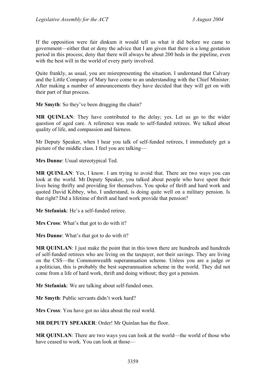If the opposition were fair dinkum it would tell us what it did before we came to government—either that or deny the advice that I am given that there is a long gestation period in this process; deny that there will always be about 200 beds in the pipeline, even with the best will in the world of every party involved.

Quite frankly, as usual, you are misrepresenting the situation. I understand that Calvary and the Little Company of Mary have come to an understanding with the Chief Minister. After making a number of announcements they have decided that they will get on with their part of that process.

**Mr Smyth**: So they've been dragging the chain?

**MR QUINLAN**: They have contributed to the delay; yes. Let us go to the wider question of aged care. A reference was made to self-funded retirees. We talked about quality of life, and compassion and fairness.

Mr Deputy Speaker, when I hear you talk of self-funded retirees, I immediately get a picture of the middle class. I feel you are talking—

**Mrs Dunne**: Usual stereotypical Ted.

MR QUINLAN: Yes, I know. I am trying to avoid that. There are two ways you can look at the world. Mr Deputy Speaker, you talked about people who have spent their lives being thrifty and providing for themselves. You spoke of thrift and hard work and quoted David Kibbey, who, I understand, is doing quite well on a military pension. Is that right? Did a lifetime of thrift and hard work provide that pension?

**Mr Stefaniak**: He's a self-funded retiree.

**Mrs Cross**: What's that got to do with it?

**Mrs Dunne**: What's that got to do with it?

**MR QUINLAN**: I just make the point that in this town there are hundreds and hundreds of self-funded retirees who are living on the taxpayer, not their savings. They are living on the CSS—the Commonwealth superannuation scheme. Unless you are a judge or a politician, this is probably the best superannuation scheme in the world. They did not come from a life of hard work, thrift and doing without; they got a pension.

**Mr Stefaniak**: We are talking about self-funded ones.

**Mr Smyth**: Public servants didn't work hard?

**Mrs Cross**: You have got no idea about the real world.

**MR DEPUTY SPEAKER**: Order! Mr Quinlan has the floor.

**MR QUINLAN**: There are two ways you can look at the world—the world of those who have ceased to work. You can look at those—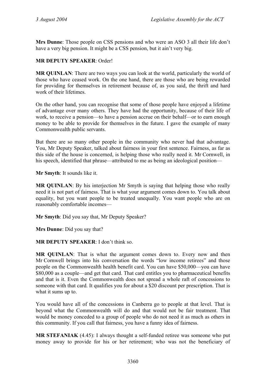**Mrs Dunne**: Those people on CSS pensions and who were an ASO 3 all their life don't have a very big pension. It might be a CSS pension, but it ain't very big.

# **MR DEPUTY SPEAKER**: Order!

**MR QUINLAN**: There are two ways you can look at the world, particularly the world of those who have ceased work. On the one hand, there are those who are being rewarded for providing for themselves in retirement because of, as you said, the thrift and hard work of their lifetimes.

On the other hand, you can recognise that some of those people have enjoyed a lifetime of advantage over many others. They have had the opportunity, because of their life of work, to receive a pension—to have a pension accrue on their behalf—or to earn enough money to be able to provide for themselves in the future. I gave the example of many Commonwealth public servants.

But there are so many other people in the community who never had that advantage. You, Mr Deputy Speaker, talked about fairness in your first sentence. Fairness, as far as this side of the house is concerned, is helping those who really need it. Mr Cornwell, in his speech, identified that phrase—attributed to me as being an ideological position—

**Mr Smyth**: It sounds like it.

**MR QUINLAN**: By his interjection Mr Smyth is saying that helping those who really need it is not part of fairness. That is what your argument comes down to. You talk about equality, but you want people to be treated unequally. You want people who are on reasonably comfortable incomes—

**Mr Smyth**: Did you say that, Mr Deputy Speaker?

**Mrs Dunne**: Did you say that?

**MR DEPUTY SPEAKER**: I don't think so.

**MR QUINLAN**: That is what the argument comes down to. Every now and then Mr Cornwell brings into his conversation the words "low income retirees" and those people on the Commonwealth health benefit card. You can have \$50,000—you can have \$80,000 as a couple—and get that card. That card entitles you to pharmaceutical benefits and that is it. Even the Commonwealth does not spread a whole raft of concessions to someone with that card. It qualifies you for about a \$20 discount per prescription. That is what it sums up to.

You would have all of the concessions in Canberra go to people at that level. That is beyond what the Commonwealth will do and that would not be fair treatment. That would be money conceded to a group of people who do not need it as much as others in this community. If you call that fairness, you have a funny idea of fairness.

**MR STEFANIAK** (4.45): I always thought a self-funded retiree was someone who put money away to provide for his or her retirement; who was not the beneficiary of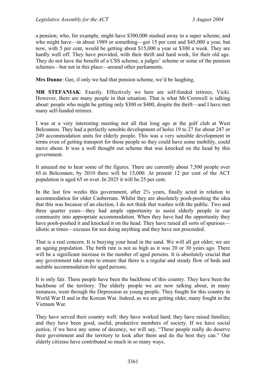a pension; who, for example, might have \$300,000 stashed away in a super scheme; and who might have—in about 1989 or something—got 15 per cent and \$45,000 a year, but now, with 5 per cent, would be getting about \$15,000 a year or \$300 a week. They are hardly well off. They have provided, with their thrift and hard work, for their old age. They do not have the benefit of a CSS scheme, a judges' scheme or some of the pension schemes—but not in this place—around other parliaments.

**Mrs Dunne**: Gee, if only we had that pension scheme, we'd be laughing.

**MR STEFANIAK**: Exactly. Effectively we here are self-funded retirees, Vicki. However, there are many people in that situation. That is what Mr Cornwell is talking about: people who might be getting only \$300 or \$400, despite the thrift—and I have met many self-funded retirees.

I was at a very interesting meeting not all that long ago at the golf club at West Belconnen. They had a perfectly sensible development of holes 19 to 27 for about 247 or 249 accommodation units for elderly people. This was a very sensible development in terms even of getting transport for those people so they could have some mobility, could move about. It was a well thought out scheme that was knocked on the head by this government.

It amazed me to hear some of the figures. There are currently about 7,500 people over 65 in Belconnen; by 2010 there will be 15,000. At present 12 per cent of the ACT population is aged 65 or over. In 2025 it will be 25 per cent.

In the last few weeks this government, after  $2\frac{3}{4}$  years, finally acted in relation to accommodation for older Canberrans. Whilst they are absolutely pooh-poohing the idea that this was because of an election, I do not think that washes with the public. Two and three quarter years—they had ample opportunity to assist elderly people in our community into appropriate accommodation. When they have had the opportunity they have pooh-poohed it and knocked it on the head. They have raised all sorts of spurious idiotic at times—excuses for not doing anything and they have not proceeded.

That is a real concern. It is burying your head in the sand. We will all get older; we are an ageing population. The birth rate is not as high as it was 20 or 30 years ago. There will be a significant increase in the number of aged persons. It is absolutely crucial that any government take steps to ensure that there is a regular and steady flow of beds and suitable accommodation for aged persons.

It is only fair. These people have been the backbone of this country. They have been the backbone of the territory. The elderly people we are now talking about, in many instances, went through the Depression as young people. They fought for this country in World War II and in the Korean War. Indeed, as we are getting older, many fought in the Vietnam War.

They have served their country well: they have worked hard; they have raised families; and they have been good, useful, productive members of society. If we have social justice, if we have any sense of decency, we will say, "These people really do deserve their government and the territory to look after them and do the best they can." Our elderly citizens have contributed so much in so many ways.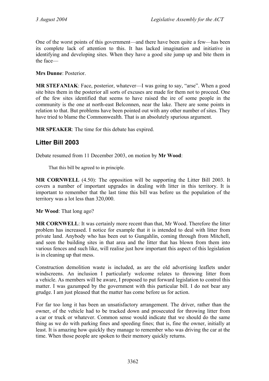One of the worst points of this government—and there have been quite a few—has been its complete lack of attention to this. It has lacked imagination and initiative in identifying and developing sites. When they have a good site jump up and bite them in the face—

**Mrs Dunne**: Posterior.

**MR STEFANIAK**: Face, posterior, whatever—I was going to say, "arse". When a good site bites them in the posterior all sorts of excuses are made for them not to proceed. One of the few sites identified that seems to have raised the ire of some people in the community is the one at north-east Belconnen, near the lake. There are some points in relation to that. But problems have been pointed out with any other number of sites. They have tried to blame the Commonwealth. That is an absolutely spurious argument.

**MR SPEAKER**: The time for this debate has expired.

# **Litter Bill 2003**

Debate resumed from 11 December 2003, on motion by **Mr Wood**:

That this bill be agreed to in principle.

**MR CORNWELL** (4.50): The opposition will be supporting the Litter Bill 2003. It covers a number of important upgrades in dealing with litter in this territory. It is important to remember that the last time this bill was before us the population of the territory was a lot less than 320,000.

**Mr Wood**: That long ago?

**MR CORNWELL**: It was certainly more recent than that, Mr Wood. Therefore the litter problem has increased. I notice for example that it is intended to deal with litter from private land. Anybody who has been out to Gungahlin, coming through from Mitchell, and seen the building sites in that area and the litter that has blown from them into various fences and such like, will realise just how important this aspect of this legislation is in cleaning up that mess.

Construction demolition waste is included, as are the old advertising leaflets under windscreens. An inclusion I particularly welcome relates to throwing litter from a vehicle. As members will be aware, I proposed to put forward legislation to control this matter. I was gazumped by the government with this particular bill. I do not bear any grudge. I am just pleased that the matter has come before us for action.

For far too long it has been an unsatisfactory arrangement. The driver, rather than the owner, of the vehicle had to be tracked down and prosecuted for throwing litter from a car or truck or whatever. Common sense would indicate that we should do the same thing as we do with parking fines and speeding fines; that is, fine the owner, initially at least. It is amazing how quickly they manage to remember who was driving the car at the time. When those people are spoken to their memory quickly returns.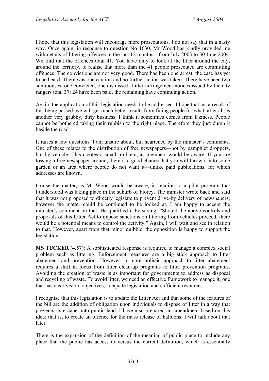I hope that this legislation will encourage more prosecutions. I do not say that in a nasty way. Once again, in response to question No 1630, Mr Wood has kindly provided me with details of littering offences in the last 12 months—from July 2003 to 30 June 2004. We find that the offences total 41. You have only to look at the litter around the city, around the territory, to realise that more than the 41 people prosecuted are committing offences. The convictions are not very good. There has been one arrest; the case has yet to be heard. There was one caution and no further action was taken. There have been two summonses: one convicted, one dismissed. Litter infringement notices issued by the city rangers total 37: 24 have been paid, the remaining have continuing action.

Again, the application of this legislation needs to be addressed. I hope that, as a result of this being passed, we will get much better results from fining people for what, after all, is another very grubby, dirty business. I think it sometimes comes from laziness. People cannot be bothered taking their rubbish to the right place. Therefore they just dump it beside the road.

It raises a few questions. I am unsure about, but heartened by the minister's comments. One of these relates to the distribution of free newspapers—not by pamphlet droppers, but by vehicle. This creates a small problem, as members would be aware. If you are tossing a free newspaper around, there is a good chance that you will throw it into some garden or an area where people do not want it—unlike paid publications, for which addresses are known.

I raise the matter, as Mr Wood would be aware, in relation to a pilot program that I understood was taking place in the suburb of Florey. The minister wrote back and said that it was not proposed to directly legislate to prevent drive-by delivery of newspapers; however the matter could be continued to be looked at. I am happy to accept the minister's comment on that. He qualified it by saying, "Should the above controls and proposals of this Litter Act to impose sanctions on littering from vehicles proceed, there would be a potential means to control the activity." Again, I will wait and see in relation to that. However, apart from that minor quibble, the opposition is happy to support the legislation.

**MS TUCKER** (4.57): A sophisticated response is required to manage a complex social problem such as littering. Enforcement measures are a big stick approach to litter abatement and prevention. However, a more holistic approach to litter abatement requires a shift in focus from litter clean-up programs to litter prevention programs. Avoiding the creation of waste is as important for governments to address as disposal and recycling of waste. To avoid litter, we need an effective framework to manage it, one that has clear vision, objectives, adequate legislation and sufficient resources.

I recognise that this legislation is to update the Litter Act and that some of the features of the bill are the addition of obligation upon individuals to dispose of litter in a way that prevents its escape onto public land. I have also prepared an amendment based on this idea; that is, to create an offence for the mass release of balloons. I will talk about that **later** 

There is the expansion of the definition of the meaning of public place to include any place that the public has access to versus the current definition, which is essentially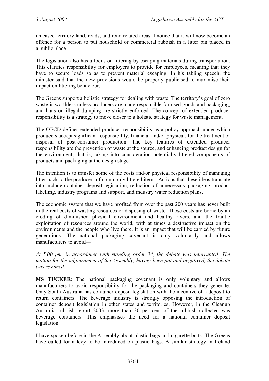unleased territory land, roads, and road related areas. I notice that it will now become an offence for a person to put household or commercial rubbish in a litter bin placed in a public place.

The legislation also has a focus on littering by escaping materials during transportation. This clarifies responsibility for employers to provide for employees, meaning that they have to secure loads so as to prevent material escaping. In his tabling speech, the minister said that the new provisions would be properly publicised to maximise their impact on littering behaviour.

The Greens support a holistic strategy for dealing with waste. The territory's goal of zero waste is worthless unless producers are made responsible for used goods and packaging, and bans on illegal dumping are strictly enforced. The concept of extended producer responsibility is a strategy to move closer to a holistic strategy for waste management.

The OECD defines extended producer responsibility as a policy approach under which producers accept significant responsibility, financial and/or physical, for the treatment or disposal of post-consumer production. The key features of extended producer responsibility are the prevention of waste at the source, and enhancing product design for the environment; that is, taking into consideration potentially littered components of products and packaging at the design stage.

The intention is to transfer some of the costs and/or physical responsibility of managing litter back to the producers of commonly littered items. Actions that these ideas translate into include container deposit legislation, reduction of unnecessary packaging, product labelling, industry programs and support, and industry water reduction plans.

The economic system that we have profited from over the past 200 years has never built in the real costs of wasting resources or disposing of waste. Those costs are borne by an eroding of diminished physical environment and healthy rivers, and the frantic exploitation of resources around the world, with at times a destructive impact on the environments and the people who live there. It is an impact that will be carried by future generations. The national packaging covenant is only voluntarily and allows manufacturers to avoid—

*At 5.00 pm, in accordance with standing order 34, the debate was interrupted. The motion for the adjournment of the Assembly, having been put and negatived, the debate was resumed.* 

**MS TUCKER**: The national packaging covenant is only voluntary and allows manufacturers to avoid responsibility for the packaging and containers they generate. Only South Australia has container deposit legislation with the incentive of a deposit to return containers. The beverage industry is strongly opposing the introduction of container deposit legislation in other states and territories. However, in the Cleanup Australia rubbish report 2003, more than 30 per cent of the rubbish collected was beverage containers. This emphasises the need for a national container deposit legislation.

I have spoken before in the Assembly about plastic bags and cigarette butts. The Greens have called for a levy to be introduced on plastic bags. A similar strategy in Ireland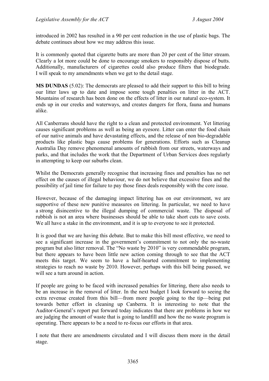introduced in 2002 has resulted in a 90 per cent reduction in the use of plastic bags. The debate continues about how we may address this issue.

It is commonly quoted that cigarette butts are more than 20 per cent of the litter stream. Clearly a lot more could be done to encourage smokers to responsibly dispose of butts. Additionally, manufacturers of cigarettes could also produce filters that biodegrade. I will speak to my amendments when we get to the detail stage.

**MS DUNDAS** (5.02): The democrats are pleased to add their support to this bill to bring our litter laws up to date and impose some tough penalties on litter in the ACT. Mountains of research has been done on the effects of litter in our natural eco-system. It ends up in our creeks and waterways, and creates dangers for flora, fauna and humans alike.

All Canberrans should have the right to a clean and protected environment. Yet littering causes significant problems as well as being an eyesore. Litter can enter the food chain of our native animals and have devastating effects, and the release of non bio-degradable products like plastic bags cause problems for generations. Efforts such as Cleanup Australia Day remove phenomenal amounts of rubbish from our streets, waterways and parks, and that includes the work that the Department of Urban Services does regularly in attempting to keep our suburbs clean.

Whilst the Democrats generally recognise that increasing fines and penalties has no net effect on the causes of illegal behaviour, we do not believe that excessive fines and the possibility of jail time for failure to pay those fines deals responsibly with the core issue.

However, because of the damaging impact littering has on our environment, we are supportive of these new punitive measures on littering. In particular, we need to have a strong disincentive to the illegal dumping of commercial waste. The disposal of rubbish is not an area where businesses should be able to take short cuts to save costs. We all have a stake in the environment, and it is up to everyone to see it protected.

It is good that we are having this debate. But to make this bill most effective, we need to see a significant increase in the government's commitment to not only the no-waste program but also litter removal. The "No waste by 2010" is very commendable program, but there appears to have been little new action coming through to see that the ACT meets this target. We seem to have a half-hearted commitment to implementing strategies to reach no waste by 2010. However, perhaps with this bill being passed, we will see a turn around in action.

If people are going to be faced with increased penalties for littering, there also needs to be an increase in the removal of litter. In the next budget I look forward to seeing the extra revenue created from this bill—from more people going to the tip—being put towards better effort in cleaning up Canberra. It is interesting to note that the Auditor-General's report put forward today indicates that there are problems in how we are judging the amount of waste that is going to landfill and how the no waste program is operating. There appears to be a need to re-focus our efforts in that area.

I note that there are amendments circulated and I will discuss them more in the detail stage.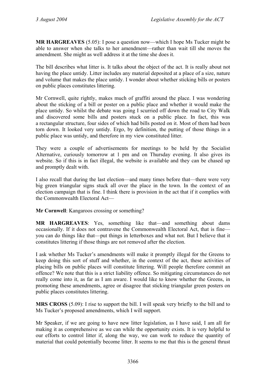**MR HARGREAVES** (5.05): I pose a question now—which I hope Ms Tucker might be able to answer when she talks to her amendment—rather than wait till she moves the amendment. She might as well address it at the time she does it.

The bill describes what litter is. It talks about the object of the act. It is really about not having the place untidy. Litter includes any material deposited at a place of a size, nature and volume that makes the place untidy. I wonder about whether sticking bills or posters on public places constitutes littering.

Mr Cornwell, quite rightly, makes much of graffiti around the place. I was wondering about the sticking of a bill or poster on a public place and whether it would make the place untidy. So whilst the debate was going I scurried off down the road to City Walk and discovered some bills and posters stuck on a public place. In fact, this was a rectangular structure, four sides of which had bills posted on it. Most of them had been torn down. It looked very untidy. Ergo, by definition, the putting of those things in a public place was untidy, and therefore in my view constituted litter.

They were a couple of advertisements for meetings to be held by the Socialist Alternative, curiously tomorrow at 1 pm and on Thursday evening. It also gives its website. So if this is in fact illegal, the website is available and they can be chased up and promptly dealt with.

I also recall that during the last election—and many times before that—there were very big green triangular signs stuck all over the place in the town. In the context of an election campaign that is fine. I think there is provision in the act that if it complies with the Commonwealth Electoral Act—

**Mr Cornwell**: Kangaroos crossing or something?

**MR HARGREAVES**: Yes, something like that—and something about dams occasionally. If it does not contravene the Commonwealth Electoral Act, that is fine you can do things like that—put things in letterboxes and what not. But I believe that it constitutes littering if those things are not removed after the election.

I ask whether Ms Tucker's amendments will make it promptly illegal for the Greens to keep doing this sort of stuff and whether, in the context of the act, these activities of placing bills on public places will constitute littering. Will people therefore commit an offence? We note that this is a strict liability offence. So mitigating circumstances do not really come into it, as far as I am aware. I would like to know whether the Greens, in promoting these amendments, agree or disagree that sticking triangular green posters on public places constitutes littering.

**MRS CROSS** (5.09): I rise to support the bill. I will speak very briefly to the bill and to Ms Tucker's proposed amendments, which I will support.

Mr Speaker, if we are going to have new litter legislation, as I have said, I am all for making it as comprehensive as we can while the opportunity exists. It is very helpful to our efforts to control litter if, along the way, we can work to reduce the quantity of material that could potentially become litter. It seems to me that this is the general thrust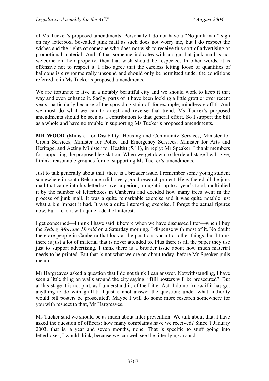of Ms Tucker's proposed amendments. Personally I do not have a "No junk mail" sign on my letterbox. So-called junk mail as such does not worry me, but I do respect the wishes and the rights of someone who does not wish to receive this sort of advertising or promotional material. And if that someone indicates with a sign that junk mail is not welcome on their property, then that wish should be respected. In other words, it is offensive not to respect it. I also agree that the careless letting loose of quantities of balloons is environmentally unsound and should only be permitted under the conditions referred to in Ms Tucker's proposed amendments.

We are fortunate to live in a notably beautiful city and we should work to keep it that way and even enhance it. Sadly, parts of it have been looking a little grottier over recent years, particularly because of the spreading stain of, for example, mindless graffiti. And we must do what we can to arrest and reverse that trend. Ms Tucker's proposed amendments should be seen as a contribution to that general effort. So I support the bill as a whole and have no trouble in supporting Ms Tucker's proposed amendments.

**MR WOOD** (Minister for Disability, Housing and Community Services, Minister for Urban Services, Minister for Police and Emergency Services, Minister for Arts and Heritage, and Acting Minister for Health) (5.11), in reply: Mr Speaker, I thank members for supporting the proposed legislation. When we get down to the detail stage I will give, I think, reasonable grounds for not supporting Ms Tucker's amendments.

Just to talk generally about that: there is a broader issue. I remember some young student somewhere in south Belconnen did a very good research project. He gathered all the junk mail that came into his letterbox over a period, brought it up to a year's total, multiplied it by the number of letterboxes in Canberra and decided how many trees went in the process of junk mail. It was a quite remarkable exercise and it was quite notable just what a big impact it had. It was a quite interesting exercise. I forget the actual figures now, but I read it with quite a deal of interest.

I get concerned—I think I have said it before when we have discussed litter—when I buy the *Sydney Morning Herald* on a Saturday morning. I dispense with most of it. No doubt there are people in Canberra that look at the positions vacant or other things, but I think there is just a lot of material that is never attended to. Plus there is all the paper they use just to support advertising. I think there is a broader issue about how much material needs to be printed. But that is not what we are on about today, before Mr Speaker pulls me up.

Mr Hargreaves asked a question that I do not think I can answer. Notwithstanding, I have seen a little thing on walls around the city saying, "Bill posters will be prosecuted". But at this stage it is not part, as I understand it, of the Litter Act. I do not know if it has got anything to do with graffiti. I just cannot answer the question: under what authority would bill posters be prosecuted? Maybe I will do some more research somewhere for you with respect to that, Mr Hargreaves.

Ms Tucker said we should be as much about litter prevention. We talk about that. I have asked the question of officers: how many complaints have we received? Since 1 January 2003, that is, a year and seven months, none. That is specific to stuff going into letterboxes, I would think, because we can well see the litter lying around.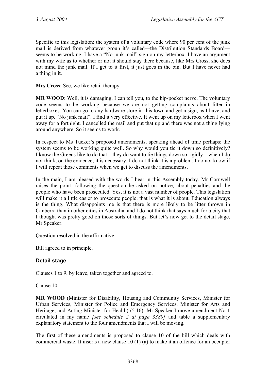Specific to this legislation: the system of a voluntary code where 90 per cent of the junk mail is derived from whatever group it's called—the Distribution Standards Board seems to be working. I have a "No junk mail" sign on my letterbox. I have an argument with my wife as to whether or not it should stay there because, like Mrs Cross, she does not mind the junk mail. If I get to it first, it just goes in the bin. But I have never had a thing in it.

**Mrs Cross**: See, we like retail therapy.

**MR WOOD**: Well, it is damaging, I can tell you, to the hip-pocket nerve. The voluntary code seems to be working because we are not getting complaints about litter in letterboxes. You can go to any hardware store in this town and get a sign, as I have, and put it up. "No junk mail". I find it very effective. It went up on my letterbox when I went away for a fortnight. I cancelled the mail and put that up and there was not a thing lying around anywhere. So it seems to work.

In respect to Ms Tucker's proposed amendments, speaking ahead of time perhaps: the system seems to be working quite well. So why would you tie it down so definitively? I know the Greens like to do that—they do want to tie things down so rigidly—when I do not think, on the evidence, it is necessary. I do not think it is a problem. I do not know if I will repeat those comments when we get to discuss the amendments.

In the main, I am pleased with the words I hear in this Assembly today. Mr Cornwell raises the point, following the question he asked on notice, about penalties and the people who have been prosecuted. Yes, it is not a vast number of people. This legislation will make it a little easier to prosecute people; that is what it is about. Education always is the thing. What disappoints me is that there is more likely to be litter thrown in Canberra than in other cities in Australia, and I do not think that says much for a city that I thought was pretty good on those sorts of things. But let's now get to the detail stage, Mr Speaker.

Question resolved in the affirmative.

Bill agreed to in principle.

# **Detail stage**

Clauses 1 to 9, by leave, taken together and agreed to.

Clause 10.

**MR WOOD** (Minister for Disability, Housing and Community Services, Minister for Urban Services, Minister for Police and Emergency Services, Minister for Arts and Heritage, and Acting Minister for Health) (5.16): Mr Speaker I move amendment No 1 circulated in my name *[see schedule 2 at page 3380]* and table a supplementary explanatory statement to the four amendments that I will be moving.

The first of these amendments is proposed to clause 10 of the bill which deals with commercial waste. It inserts a new clause 10 (1) (a) to make it an offence for an occupier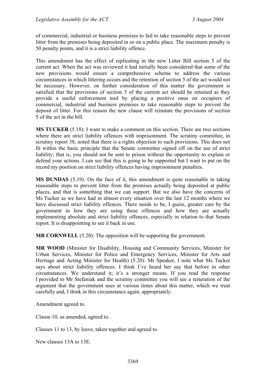of commercial, industrial or business premises to fail to take reasonable steps to prevent litter from the premises being deposited in or on a public place. The maximum penalty is 50 penalty points, and it is a strict liability offence.

This amendment has the effect of replicating in the new Litter Bill section 5 of the current act. When the act was reviewed it had initially been considered that some of the new provisions would ensure a comprehensive scheme to address the various circumstances in which littering occurs and the retention of section 5 of the act would not be necessary. However, on further consideration of this matter the government is satisfied that the provisions of section 5 of the current act should be retained as they provide a useful enforcement tool by placing a positive onus on occupiers of commercial, industrial and business premises to take reasonable steps to prevent the deposit of litter. For this reason the new clause will reinstate the provisions of section 5 of the act in the bill.

**MS TUCKER** (5.18): I want to make a comment on this section. There are two sections where there are strict liability offences with imprisonment. The scrutiny committee, in scrutiny report 38, noted that there is a rights objection to such provisions. This does not fit within the basic principle that the Senate committee signed off on the use of strict liability; that is, you should not be sent to prison without the opportunity to explain or defend your actions. I can see that this is going to be supported but I want to put on the record my position on strict liability offences having imprisonment penalties.

**MS DUNDAS** (5.19): On the face of it, this amendment is quite reasonable in taking reasonable steps to prevent litter from the premises actually being deposited at public places, and that is something that we can support. But we also have the concerns of Ms Tucker as we have had in almost every situation over the last 12 months where we have discussed strict liability offences. There needs to be, I guess, greater care by the government in how they are using these offences and how they are actually implementing absolute and strict liability offences, especially in relation to that Senate report. It is disappointing to see it back in use.

**MR CORNWELL** (5.20): The opposition will be supporting the government.

**MR WOOD** (Minister for Disability, Housing and Community Services, Minister for Urban Services, Minister for Police and Emergency Services, Minister for Arts and Heritage and Acting Minister for Health) (5.20): Mr Speaker, I note what Ms Tucker says about strict liability offences. I think I've heard her say that before in other circumstances. We understand it; it's a stronger means. If you read the response I provided to Mr Stefaniak and the scrutiny committee you will see a reiteration of the argument that the government uses at various times about this matter, which we treat carefully and, I think in this circumstance again, appropriately.

Amendment agreed to.

Clause 10, as amended, agreed to.

Clauses 11 to 13, by leave, taken together and agreed to.

New clauses 13A to 13E.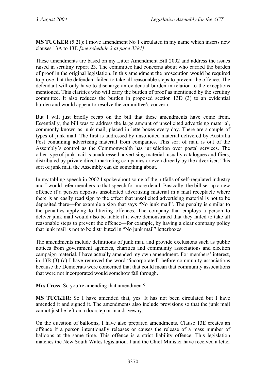**MS TUCKER** (5.21): I move amendment No 1 circulated in my name which inserts new clauses 13A to 13E *[see schedule 3 at page 3381]*.

These amendments are based on my Litter Amendment Bill 2002 and address the issues raised in scrutiny report 23. The committee had concerns about who carried the burden of proof in the original legislation. In this amendment the prosecution would be required to prove that the defendant failed to take all reasonable steps to prevent the offence. The defendant will only have to discharge an evidential burden in relation to the exceptions mentioned. This clarifies who will carry the burden of proof as mentioned by the scrutiny committee. It also reduces the burden in proposed section 13D (3) to an evidential burden and would appear to resolve the committee's concern.

But I will just briefly recap on the bill that these amendments have come from. Essentially, the bill was to address the large amount of unsolicited advertising material, commonly known as junk mail, placed in letterboxes every day. There are a couple of types of junk mail. The first is addressed by unsolicited material delivered by Australia Post containing advertising material from companies. This sort of mail is out of the Assembly's control as the Commonwealth has jurisdiction over postal services. The other type of junk mail is unaddressed advertising material, usually catalogues and fliers, distributed by private direct-marketing companies or even directly by the advertiser. This sort of junk mail the Assembly can do something about.

In my tabling speech in 2002 I spoke about some of the pitfalls of self-regulated industry and I would refer members to that speech for more detail. Basically, the bill set up a new offence if a person deposits unsolicited advertising material in a mail receptacle where there is an easily read sign to the effect that unsolicited advertising material is not to be deposited there—for example a sign that says "No junk mail". The penalty is similar to the penalties applying to littering offences. The company that employs a person to deliver junk mail would also be liable if it were demonstrated that they failed to take all reasonable steps to prevent the offence—for example, by having a clear company policy that junk mail is not to be distributed in "No junk mail" letterboxes.

The amendments include definitions of junk mail and provide exclusions such as public notices from government agencies, charities and community associations and election campaign material. I have actually amended my own amendment. For members' interest, in 13B (3) (c) I have removed the word "incorporated" before community associations because the Democrats were concerned that that could mean that community associations that were not incorporated would somehow fall through.

**Mrs Cross**: So you're amending that amendment?

**MS TUCKER**: So I have amended that, yes. It has not been circulated but I have amended it and signed it. The amendments also include provisions so that the junk mail cannot just be left on a doorstep or in a driveway.

On the question of balloons, I have also prepared amendments. Clause 13E creates an offence if a person intentionally releases or causes the release of a mass number of balloons at the same time. This offence is a strict liability offence. This legislation matches the New South Wales legislation. I and the Chief Minister have received a letter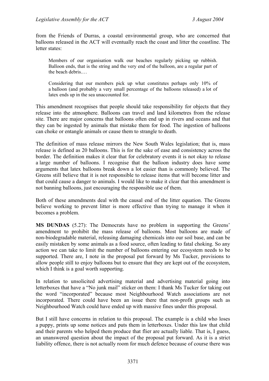from the Friends of Durras, a coastal environmental group, who are concerned that balloons released in the ACT will eventually reach the coast and litter the coastline. The letter states:

Members of our organisation walk our beaches regularly picking up rubbish. Balloon ends, that is the string and the very end of the balloon, are a regular part of the beach debris.…

Considering that our members pick up what constitutes perhaps only 10% of a balloon (and probably a very small percentage of the balloons released) a lot of latex ends up in the sea unaccounted for.

This amendment recognises that people should take responsibility for objects that they release into the atmosphere. Balloons can travel and land kilometres from the release site. There are major concerns that balloons often end up in rivers and oceans and that they can be ingested by animals that mistake them for food. The ingestion of balloons can choke or entangle animals or cause them to strangle to death.

The definition of mass release mirrors the New South Wales legislation; that is, mass release is defined as 20 balloons. This is for the sake of ease and consistency across the border. The definition makes it clear that for celebratory events it is not okay to release a large number of balloons. I recognise that the balloon industry does have some arguments that latex balloons break down a lot easier than is commonly believed. The Greens still believe that it is not responsible to release items that will become litter and that could cause a danger to animals. I would like to make it clear that this amendment is not banning balloons, just encouraging the responsible use of them.

Both of these amendments deal with the causal end of the litter equation. The Greens believe working to prevent litter is more effective than trying to manage it when it becomes a problem.

**MS DUNDAS** (5.27): The Democrats have no problem in supporting the Greens' amendment to prohibit the mass release of balloons. Most balloons are made of non-biodegradable material, releasing damaging chemicals into our soil base, and can be easily mistaken by some animals as a food source, often leading to fatal choking. So any action we can take to limit the number of balloons entering our ecosystem needs to be supported. There are, I note in the proposal put forward by Ms Tucker, provisions to allow people still to enjoy balloons but to ensure that they are kept out of the ecosystem, which I think is a goal worth supporting.

In relation to unsolicited advertising material and advertising material going into letterboxes that have a "No junk mail" sticker on them: I thank Ms Tucker for taking out the word "incorporated" because most Neighbourhood Watch associations are not incorporated. There could have been an issue there that non-profit groups such as Neighbourhood Watch could have ended up with massive fines under this proposal.

But I still have concerns in relation to this proposal. The example is a child who loses a puppy, prints up some notices and puts them in letterboxes. Under this law that child and their parents who helped them produce that flier are actually liable. That is, I guess, an unanswered question about the impact of the proposal put forward. As it is a strict liability offence, there is not actually room for much defence because of course there was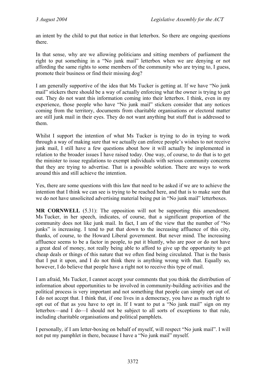an intent by the child to put that notice in that letterbox. So there are ongoing questions there.

In that sense, why are we allowing politicians and sitting members of parliament the right to put something in a "No junk mail" letterbox when we are denying or not affording the same rights to some members of the community who are trying to, I guess, promote their business or find their missing dog?

I am generally supportive of the idea that Ms Tucker is getting at. If we have "No junk mail" stickers there should be a way of actually enforcing what the owner is trying to get out. They do not want this information coming into their letterbox. I think, even in my experience, those people who have "No junk mail" stickers consider that any notices coming from the territory, documents from charitable organisations or electoral matter are still junk mail in their eyes. They do not want anything but stuff that is addressed to them.

Whilst I support the intention of what Ms Tucker is trying to do in trying to work through a way of making sure that we actually can enforce people's wishes to not receive junk mail, I still have a few questions about how it will actually be implemented in relation to the broader issues I have raised today. One way, of course, to do that is to get the minister to issue regulations to exempt individuals with serious community concerns that they are trying to advertise. That is a possible solution. There are ways to work around this and still achieve the intention.

Yes, there are some questions with this law that need to be asked if we are to achieve the intention that I think we can see is trying to be reached here, and that is to make sure that we do not have unsolicited advertising material being put in "No junk mail" letterboxes.

**MR CORNWELL** (5.31): The opposition will not be supporting this amendment. Ms Tucker, in her speech, indicates, of course, that a significant proportion of the community does not like junk mail. In fact, I am of the view that the number of "No junks" is increasing. I tend to put that down to the increasing affluence of this city, thanks, of course, to the Howard Liberal government. But never mind. The increasing affluence seems to be a factor in people, to put it bluntly, who are poor or do not have a great deal of money, not really being able to afford to give up the opportunity to get cheap deals or things of this nature that we often find being circulated. That is the basis that I put it upon, and I do not think there is anything wrong with that. Equally so, however, I do believe that people have a right not to receive this type of mail.

I am afraid, Ms Tucker, I cannot accept your comments that you think the distribution of information about opportunities to be involved in community-building activities and the political process is very important and not something that people can simply opt out of. I do not accept that. I think that, if one lives in a democracy, you have as much right to opt out of that as you have to opt in. If I want to put a "No junk mail" sign on my letterbox—and I do—I should not be subject to all sorts of exceptions to that rule, including charitable organisations and political pamphlets.

I personally, if I am letter-boxing on behalf of myself, will respect "No junk mail". I will not put my pamphlet in there, because I have a "No junk mail" myself.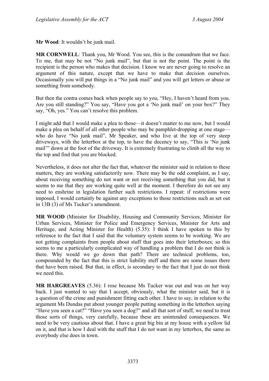**Mr Wood**: It wouldn't be junk mail.

**MR CORNWELL**: Thank you, Mr Wood. You see, this is the conundrum that we face. To me, that may be not "No junk mail", but that is not the point. The point is the recipient is the person who makes that decision. I know we are never going to resolve an argument of this nature, except that we have to make that decision ourselves. Occasionally you will put things in a "No junk mail" and you will get letters or abuse or something from somebody.

But then the contra comes back when people say to you, "Hey, I haven't heard from you. Are you still standing?" You say, "Have you got a 'No junk mail' on your box?" They say, "Oh, yes." You can't resolve this problem.

I might add that I would make a plea to those—it doesn't matter to me now, but I would make a plea on behalf of all other people who may be pamphlet-dropping at one stage who do have "No junk mail", Mr Speaker, and who live at the top of very steep driveways, with the letterbox at the top, to have the decency to say, "This is 'No junk mail'" down at the foot of the driveway. It is extremely frustrating to climb all the way to the top and find that you are blocked.

Nevertheless, it does not alter the fact that, whatever the minister said in relation to these matters, they are working satisfactorily now. There may be the odd complaint, as I say, about receiving something do not want or not receiving something that you did, but it seems to me that they are working quite well at the moment. I therefore do not see any need to enshrine in legislation further such restrictions. I repeat: if restrictions were imposed, I would certainly be against any exceptions to those restrictions such as set out in 13B (3) of Ms Tucker's amendment.

**MR WOOD** (Minister for Disability, Housing and Community Services, Minister for Urban Services, Minister for Police and Emergency Services, Minister for Arts and Heritage, and Acting Minister for Health) (5.35): I think I have spoken to this by reference to the fact that I said that the voluntary system seems to be working. We are not getting complaints from people about stuff that goes into their letterboxes; so this seems to me a particularly complicated way of handling a problem that I do not think is there. Why would we go down that path? There are technical problems, too, compounded by the fact that this is strict liability stuff and there are some issues there that have been raised. But that, in effect, is secondary to the fact that I just do not think we need this.

**MR HARGREAVES** (5.36): I rose because Ms Tucker was out and was on her way back. I just wanted to say that I accept, obviously, what the minister said, but it is a question of the crime and punishment fitting each other. I have to say, in relation to the argument Ms Dundas put about younger people putting something in the letterbox saying "Have you seen a cat?" "Have you seen a dog?" and all that sort of stuff, we need to treat those sorts of things, very carefully, because these are unintended consequences. We need to be very cautious about that. I have a great big bin at my house with a yellow lid on it, and that is how I deal with the stuff that I do not want in my letterbox, the same as everybody else does in town.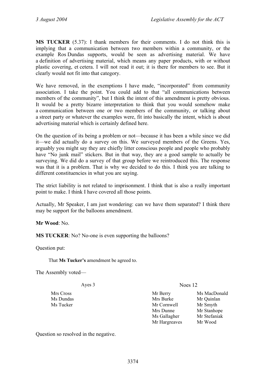**MS TUCKER** (5.37): I thank members for their comments. I do not think this is implying that a communication between two members within a community, or the example Ros Dundas supports, would be seen as advertising material. We have a definition of advertising material, which means any paper products, with or without plastic covering, et cetera. I will not read it out; it is there for members to see. But it clearly would not fit into that category.

We have removed, in the exemptions I have made, "incorporated" from community association. I take the point. You could add to that "all communications between members of the community", but I think the intent of this amendment is pretty obvious. It would be a pretty bizarre interpretation to think that you would somehow make a communication between one or two members of the community, or talking about a street party or whatever the examples were, fit into basically the intent, which is about advertising material which is certainly defined here.

On the question of its being a problem or not—because it has been a while since we did it—we did actually do a survey on this. We surveyed members of the Greens. Yes, arguably you might say they are chiefly litter conscious people and people who probably have "No junk mail" stickers. But in that way, they are a good sample to actually be surveying. We did do a survey of that group before we reintroduced this. The response was that it is a problem. That is why we decided to do this. I think you are talking to different constituencies in what you are saying.

The strict liability is not related to imprisonment. I think that is also a really important point to make. I think I have covered all those points.

Actually, Mr Speaker, I am just wondering: can we have them separated? I think there may be support for the balloons amendment.

**Mr Wood**: No.

**MS TUCKER:** No? No-one is even supporting the balloons?

Question put:

That **Ms Tucker's** amendment be agreed to.

The Assembly voted—

Ayes 3 Noes 12

Mrs Cross Mr Berry Ms MacDonald Ms Dundas Mrs Burke Mr Quinlan Ms Tucker Mr Cornwell Mr Smyth Mrs Dunne Mr Stanhope Ms Gallagher Mr Stefaniak Mr Hargreaves Mr Wood

Question so resolved in the negative.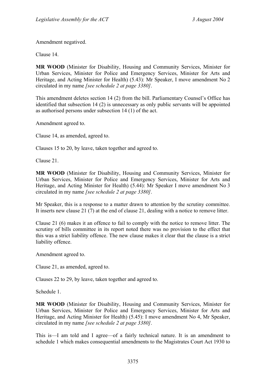Amendment negatived.

Clause 14.

**MR WOOD** (Minister for Disability, Housing and Community Services, Minister for Urban Services, Minister for Police and Emergency Services, Minister for Arts and Heritage, and Acting Minister for Health) (5.43): Mr Speaker, I move amendment No 2 circulated in my name *[see schedule 2 at page 3380]*.

This amendment deletes section 14 (2) from the bill. Parliamentary Counsel's Office has identified that subsection 14 (2) is unnecessary as only public servants will be appointed as authorised persons under subsection 14 (1) of the act.

Amendment agreed to.

Clause 14, as amended, agreed to.

Clauses 15 to 20, by leave, taken together and agreed to.

Clause 21.

**MR WOOD** (Minister for Disability, Housing and Community Services, Minister for Urban Services, Minister for Police and Emergency Services, Minister for Arts and Heritage, and Acting Minister for Health) (5.44): Mr Speaker I move amendment No 3 circulated in my name *[see schedule 2 at page 3380]*.

Mr Speaker, this is a response to a matter drawn to attention by the scrutiny committee. It inserts new clause 21 (7) at the end of clause 21, dealing with a notice to remove litter.

Clause 21 (6) makes it an offence to fail to comply with the notice to remove litter. The scrutiny of bills committee in its report noted there was no provision to the effect that this was a strict liability offence. The new clause makes it clear that the clause is a strict liability offence.

Amendment agreed to.

Clause 21, as amended, agreed to.

Clauses 22 to 29, by leave, taken together and agreed to.

Schedule 1.

**MR WOOD** (Minister for Disability, Housing and Community Services, Minister for Urban Services, Minister for Police and Emergency Services, Minister for Arts and Heritage, and Acting Minister for Health) (5.45): I move amendment No 4, Mr Speaker, circulated in my name *[see schedule 2 at page 3380]*.

This is—I am told and I agree—of a fairly technical nature. It is an amendment to schedule 1 which makes consequential amendments to the Magistrates Court Act 1930 to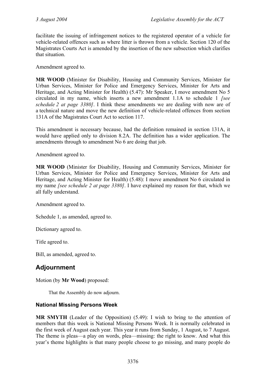facilitate the issuing of infringement notices to the registered operator of a vehicle for vehicle-related offences such as where litter is thrown from a vehicle. Section 120 of the Magistrates Courts Act is amended by the insertion of the new subsection which clarifies that situation.

Amendment agreed to.

**MR WOOD** (Minister for Disability, Housing and Community Services, Minister for Urban Services, Minister for Police and Emergency Services, Minister for Arts and Heritage, and Acting Minister for Health) (5.47): Mr Speaker, I move amendment No 5 circulated in my name, which inserts a new amendment 1.1A to schedule 1 *[see schedule 2 at page 3380]*. I think these amendments we are dealing with now are of a technical nature and move the new definition of vehicle-related offences from section 131A of the Magistrates Court Act to section 117.

This amendment is necessary because, had the definition remained in section 131A, it would have applied only to division 8.2A. The definition has a wider application. The amendments through to amendment No 6 are doing that job.

Amendment agreed to.

**MR WOOD** (Minister for Disability, Housing and Community Services, Minister for Urban Services, Minister for Police and Emergency Services, Minister for Arts and Heritage, and Acting Minister for Health) (5.48): I move amendment No 6 circulated in my name *[see schedule 2 at page 3380]*. I have explained my reason for that, which we all fully understand.

Amendment agreed to.

Schedule 1, as amended, agreed to.

Dictionary agreed to.

Title agreed to.

Bill, as amended, agreed to.

# **Adjournment**

Motion (by **Mr Wood**) proposed:

That the Assembly do now adjourn.

## **National Missing Persons Week**

**MR SMYTH** (Leader of the Opposition) (5.49): I wish to bring to the attention of members that this week is National Missing Persons Week. It is normally celebrated in the first week of August each year. This year it runs from Sunday, 1 August, to 7 August. The theme is pleas—a play on words, plea—missing: the right to know. And what this year's theme highlights is that many people choose to go missing, and many people do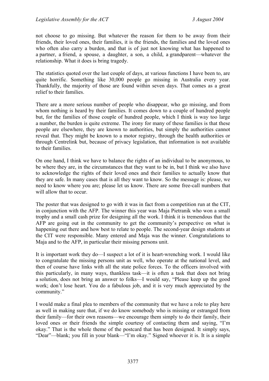not choose to go missing. But whatever the reason for them to be away from their friends, their loved ones, their families, it is the friends, the families and the loved ones who often also carry a burden, and that is of just not knowing what has happened to a partner, a friend, a spouse, a daughter, a son, a child, a grandparent—whatever the relationship. What it does is bring tragedy.

The statistics quoted over the last couple of days, at various functions I have been to, are quite horrific. Something like 30,000 people go missing in Australia every year. Thankfully, the majority of those are found within seven days. That comes as a great relief to their families.

There are a more serious number of people who disappear, who go missing, and from whom nothing is heard by their families. It comes down to a couple of hundred people but, for the families of those couple of hundred people, which I think is way too large a number, the burden is quite extreme. The irony for many of these families is that these people are elsewhere, they are known to authorities, but simply the authorities cannot reveal that. They might be known to a motor registry, through the health authorities or through Centrelink but, because of privacy legislation, that information is not available to their families.

On one hand, I think we have to balance the rights of an individual to be anonymous, to be where they are, in the circumstances that they want to be in, but I think we also have to acknowledge the rights of their loved ones and their families to actually know that they are safe. In many cases that is all they want to know. So the message is: please, we need to know where you are; please let us know. There are some free-call numbers that will allow that to occur.

The poster that was designed to go with it was in fact from a competition run at the CIT, in conjunction with the AFP. The winner this year was Maja Pietranik who won a small trophy and a small cash prize for designing all the work. I think it is tremendous that the AFP are going out in the community to get the community's perspective on what is happening out there and how best to relate to people. The second-year design students at the CIT were responsible. Many entered and Maja was the winner. Congratulations to Maja and to the AFP, in particular their missing persons unit.

It is important work they do—I suspect a lot of it is heart-wrenching work. I would like to congratulate the missing persons unit as well, who operate at the national level, and then of course have links with all the state police forces. To the officers involved with this particularly, in many ways, thankless task—it is often a task that does not bring a solution, does not bring an answer to folks—I would say, "Please keep up the good work; don't lose heart. You do a fabulous job, and it is very much appreciated by the community."

I would make a final plea to members of the community that we have a role to play here as well in making sure that, if we do know somebody who is missing or estranged from their family—for their own reasons—we encourage them simply to do their family, their loved ones or their friends the simple courtesy of contacting them and saying, "I'm okay." That is the whole theme of the postcard that has been designed. It simply says, "Dear"—blank; you fill in your blank—"I'm okay." Signed whoever it is. It is a simple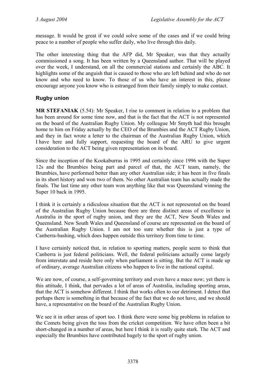message. It would be great if we could solve some of the cases and if we could bring peace to a number of people who suffer daily, who live through this daily.

The other interesting thing that the AFP did, Mr Speaker, was that they actually commissioned a song. It has been written by a Queensland author. That will be played over the week, I understand, on all the commercial stations and certainly the ABC. It highlights some of the anguish that is caused to those who are left behind and who do not know and who need to know. To those of us who have an interest in this, please encourage anyone you know who is estranged from their family simply to make contact.

# **Rugby union**

**MR STEFANIAK** (5.54): Mr Speaker, I rise to comment in relation to a problem that has been around for some time now, and that is the fact that the ACT is not represented on the board of the Australian Rugby Union. My colleague Mr Smyth had this brought home to him on Friday actually by the CEO of the Brumbies and the ACT Rugby Union, and they in fact wrote a letter to the chairman of the Australian Rugby Union, which I have here and fully support, requesting the board of the ARU to give urgent consideration to the ACT being given representation on its board.

Since the inception of the Kookaburras in 1995 and certainly since 1996 with the Super 12s and the Brumbies being part and parcel of that, the ACT team, namely, the Brumbies, have performed better than any other Australian side; it has been in five finals in its short history and won two of them. No other Australian team has actually made the finals. The last time any other team won anything like that was Queensland winning the Super 10 back in 1995.

I think it is certainly a ridiculous situation that the ACT is not represented on the board of the Australian Rugby Union because there are three distinct areas of excellence in Australia in the sport of rugby union, and they are the ACT, New South Wales and Queensland. New South Wales and Queensland of course are represented on the board of the Australian Rugby Union. I am not too sure whether this is just a type of Canberra-bashing, which does happen outside this territory from time to time.

I have certainly noticed that, in relation to sporting matters, people seem to think that Canberra is just federal politicians. Well, the federal politicians actually come largely from interstate and reside here only when parliament is sitting. But the ACT is made up of ordinary, average Australian citizens who happen to live in the national capital.

We are now, of course, a self-governing territory and even have a mace now; yet there is this attitude, I think, that pervades a lot of areas of Australia, including sporting areas, that the ACT is somehow different. I think that works often to our detriment. I detect that perhaps there is something in that because of the fact that we do not have, and we should have, a representative on the board of the Australian Rugby Union.

We see it in other areas of sport too. I think there were some big problems in relation to the Comets being given the toss from the cricket competition. We have often been a bit short-changed in a number of areas, but here I think it is really quite stark. The ACT and especially the Brumbies have contributed hugely to the sport of rugby union.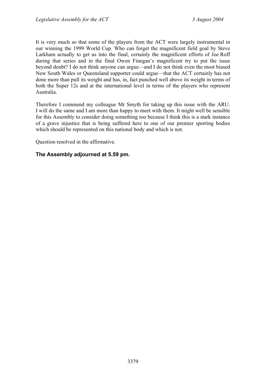It is very much so that some of the players from the ACT were largely instrumental in our winning the 1999 World Cup. Who can forget the magnificent field goal by Steve Larkham actually to get us into the final, certainly the magnificent efforts of Joe Roff during that series and in the final Owen Finegan's magnificent try to put the issue beyond doubt? I do not think anyone can argue—and I do not think even the most biased New South Wales or Queensland supporter could argue—that the ACT certainly has not done more than pull its weight and has, in, fact punched well above its weight in terms of both the Super 12s and at the international level in terms of the players who represent Australia.

Therefore I commend my colleague Mr Smyth for taking up this issue with the ARU. I will do the same and I am more than happy to meet with them. It might well be sensible for this Assembly to consider doing something too because I think this is a stark instance of a grave injustice that is being suffered here to one of our premier sporting bodies which should be represented on this national body and which is not.

Question resolved in the affirmative.

# **The Assembly adjourned at 5.59 pm.**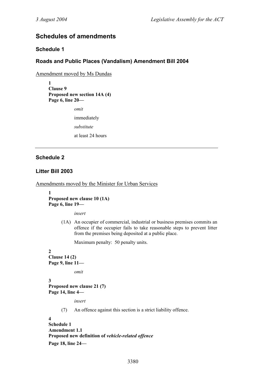# **Schedules of amendments**

# **Schedule 1**

# **Roads and Public Places (Vandalism) Amendment Bill 2004**

Amendment moved by Ms Dundas

**1 Clause 9 Proposed new section 14A (4) Page 6, line 20—** 

*omit* 

immediately

*substitute* 

at least 24 hours

# **Schedule 2**

# **Litter Bill 2003**

Amendments moved by the Minister for Urban Services

**1 Proposed new clause 10 (1A) Page 6, line 19—** 

*insert* 

 (1A) An occupier of commercial, industrial or business premises commits an offence if the occupier fails to take reasonable steps to prevent litter from the premises being deposited at a public place.

Maximum penalty: 50 penalty units.

#### **2 Clause 14 (2) Page 9, line 11—**

*omit* 

```
3 
Proposed new clause 21 (7) 
Page 14, line 4—
```
*insert* 

(7) An offence against this section is a strict liability offence.

```
4 
Schedule 1 
Amendment 1.1 
Proposed new definition of vehicle-related offence
Page 18, line 24—
```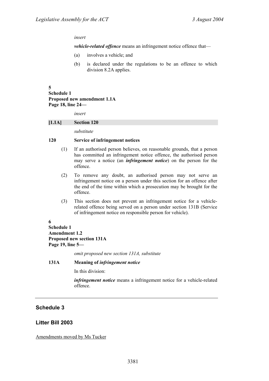### *insert*

*vehicle-related offence* means an infringement notice offence that—

- (a) involves a vehicle; and
- (b) is declared under the regulations to be an offence to which division 8.2A applies.

### **5**

```
Schedule 1 
Proposed new amendment 1.1A 
Page 18, line 24—
```
*insert* 

#### **[1.1A] Section 120**

*substitute* 

### **120 Service of infringement notices**

- (1) If an authorised person believes, on reasonable grounds, that a person has committed an infringement notice offence, the authorised person may serve a notice (an *infringement notice*) on the person for the offence.
- (2) To remove any doubt, an authorised person may not serve an infringement notice on a person under this section for an offence after the end of the time within which a prosecution may be brought for the offence.
- (3) This section does not prevent an infringement notice for a vehiclerelated offence being served on a person under section 131B (Service of infringement notice on responsible person for vehicle).

### **6**

### **Schedule 1 Amendment 1.2 Proposed new section 131A Page 19, line 5—**

*omit proposed new section 131A, substitute* 

### **131A Meaning of** *infringement notice*

In this division:

*infringement notice* means a infringement notice for a vehicle-related offence.

# **Schedule 3**

### **Litter Bill 2003**

Amendments moved by Ms Tucker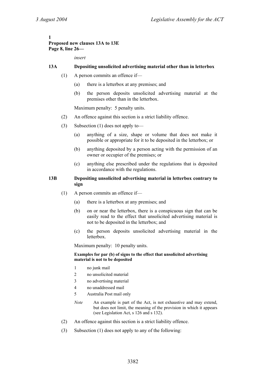### **1 Proposed new clauses 13A to 13E Page 8, line 26—**

*insert* 

## **13A Depositing unsolicited advertising material other than in letterbox**

- (1) A person commits an offence if—
	- (a) there is a letterbox at any premises; and
	- (b) the person deposits unsolicited advertising material at the premises other than in the letterbox.

Maximum penalty: 5 penalty units.

- (2) An offence against this section is a strict liability offence.
- (3) Subsection (1) does not apply to—
	- (a) anything of a size, shape or volume that does not make it possible or appropriate for it to be deposited in the letterbox; or
	- (b) anything deposited by a person acting with the permission of an owner or occupier of the premises; or
	- (c) anything else prescribed under the regulations that is deposited in accordance with the regulations.

### **13B Depositing unsolicited advertising material in letterbox contrary to sign**

- (1) A person commits an offence if—
	- (a) there is a letterbox at any premises; and
	- (b) on or near the letterbox, there is a conspicuous sign that can be easily read to the effect that unsolicited advertising material is not to be deposited in the letterbox; and
	- (c) the person deposits unsolicited advertising material in the letterbox.

Maximum penalty: 10 penalty units.

### **Examples for par (b) of signs to the effect that unsolicited advertising material is not to be deposited**

- 1 no junk mail
- 2 no unsolicited material
- 3 no advertising material
- 4 no unaddressed mail
- 5 Australia Post mail only
- *Note* An example is part of the Act, is not exhaustive and may extend, but does not limit, the meaning of the provision in which it appears (see Legislation Act, s 126 and s 132).
- (2) An offence against this section is a strict liability offence.
- (3) Subsection (1) does not apply to any of the following: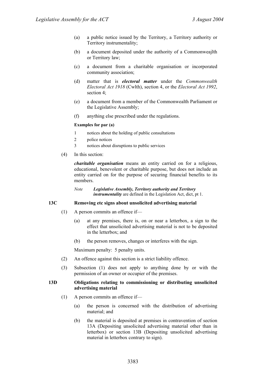- (a) a public notice issued by the Territory, a Territory authority or Territory instrumentality;
- (b) a document deposited under the authority of a Commonweajlth or Territory law;
- (c) a document from a charitable organisation or incorporated community association;
- (d) matter that is *electoral matter* under the *Commonwealth Electoral Act 1918* (Cwlth), section 4, or the *Electoral Act 1992*, section 4;
- (e) a document from a member of the Commonwealth Parliament or the Legislative Assembly;
- (f) anything else prescribed under the regulations.

#### **Examples for par (a)**

- 1 notices about the holding of public consultations
- 2 police notices
- 3 notices about disruptions to public services
- (4) In this section:

*charitable organisation* means an entity carried on for a religious, educational, benevolent or charitable purpose, but does not include an entity carried on for the purpose of securing financial benefits to its members.

*Note Legislative Assembly, Territory authority and Territory instrumentality* are defined in the Legislation Act, dict, pt 1.

### **13C Removing etc signs about unsolicited advertising material**

- (1) A person commits an offence if—
	- (a) at any premises, there is, on or near a letterbox, a sign to the effect that unsolicited advertising material is not to be deposited in the letterbox; and
	- (b) the person removes, changes or interferes with the sign.

Maximum penalty: 5 penalty units.

- (2) An offence against this section is a strict liability offence.
- (3) Subsection (1) does not apply to anything done by or with the permission of an owner or occupier of the premises.

#### **13D Obligations relating to commissioning or distributing unsolicited advertising material**

- (1) A person commits an offence if—
	- (a) the person is concerned with the distribution of advertising material; and
	- (b) the material is deposited at premises in contravention of section 13A (Depositing unsolicited advertising material other than in letterbox) or section 13B (Depositing unsolicited advertising material in letterbox contrary to sign).